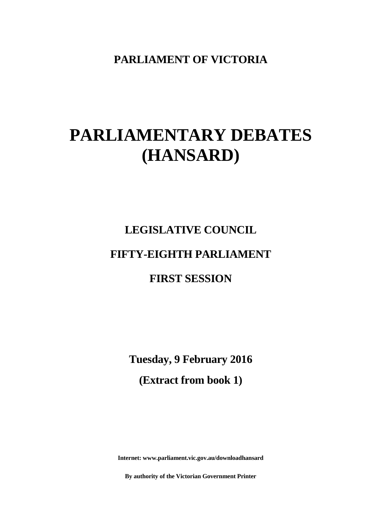**PARLIAMENT OF VICTORIA**

# **PARLIAMENTARY DEBATES (HANSARD)**

# **LEGISLATIVE COUNCIL FIFTY-EIGHTH PARLIAMENT**

## **FIRST SESSION**

**Tuesday, 9 February 2016 (Extract from book 1)**

**Internet: www.parliament.vic.gov.au/downloadhansard**

**By authority of the Victorian Government Printer**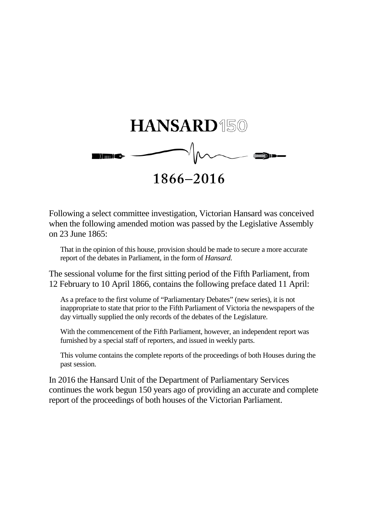

Following a select committee investigation, Victorian Hansard was conceived when the following amended motion was passed by the Legislative Assembly on 23 June 1865:

That in the opinion of this house, provision should be made to secure a more accurate report of the debates in Parliament, in the form of *Hansard.*

The sessional volume for the first sitting period of the Fifth Parliament, from 12 February to 10 April 1866, contains the following preface dated 11 April:

As a preface to the first volume of "Parliamentary Debates" (new series), it is not inappropriate to state that prior to the Fifth Parliament of Victoria the newspapers of the day virtually supplied the only records of the debates of the Legislature.

With the commencement of the Fifth Parliament, however, an independent report was furnished by a special staff of reporters, and issued in weekly parts.

This volume contains the complete reports of the proceedings of both Houses during the past session.

In 2016 the Hansard Unit of the Department of Parliamentary Services continues the work begun 150 years ago of providing an accurate and complete report of the proceedings of both houses of the Victorian Parliament.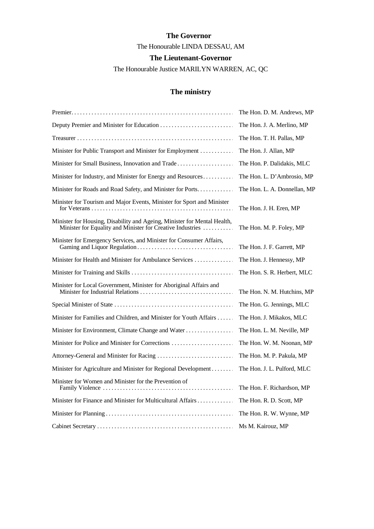## **The Governor** The Honourable LINDA DESSAU, AM **The Lieutenant-Governor**

The Honourable Justice MARILYN WARREN, AC, QC

## **The ministry**

|                                                                                                                                        | The Hon. D. M. Andrews, MP   |
|----------------------------------------------------------------------------------------------------------------------------------------|------------------------------|
|                                                                                                                                        | The Hon. J. A. Merlino, MP   |
|                                                                                                                                        | The Hon. T. H. Pallas, MP    |
| Minister for Public Transport and Minister for Employment                                                                              | The Hon. J. Allan, MP        |
| Minister for Small Business, Innovation and Trade                                                                                      | The Hon. P. Dalidakis, MLC   |
| Minister for Industry, and Minister for Energy and Resources                                                                           | The Hon. L. D'Ambrosio, MP   |
| Minister for Roads and Road Safety, and Minister for Ports.                                                                            | The Hon. L. A. Donnellan, MP |
| Minister for Tourism and Major Events, Minister for Sport and Minister                                                                 | The Hon. J. H. Eren, MP      |
| Minister for Housing, Disability and Ageing, Minister for Mental Health,<br>Minister for Equality and Minister for Creative Industries | The Hon. M. P. Foley, MP     |
| Minister for Emergency Services, and Minister for Consumer Affairs,                                                                    | The Hon. J. F. Garrett, MP   |
| Minister for Health and Minister for Ambulance Services                                                                                | The Hon. J. Hennessy, MP     |
|                                                                                                                                        | The Hon. S. R. Herbert, MLC  |
| Minister for Local Government, Minister for Aboriginal Affairs and                                                                     | The Hon. N. M. Hutchins, MP  |
|                                                                                                                                        | The Hon. G. Jennings, MLC    |
| Minister for Families and Children, and Minister for Youth Affairs                                                                     | The Hon. J. Mikakos, MLC     |
| Minister for Environment, Climate Change and Water                                                                                     | The Hon. L. M. Neville, MP   |
|                                                                                                                                        | The Hon. W. M. Noonan, MP    |
|                                                                                                                                        | The Hon. M. P. Pakula, MP    |
| Minister for Agriculture and Minister for Regional Development                                                                         | The Hon. J. L. Pulford, MLC  |
| Minister for Women and Minister for the Prevention of                                                                                  | The Hon. F. Richardson, MP   |
| Minister for Finance and Minister for Multicultural Affairs                                                                            | The Hon. R. D. Scott, MP     |
|                                                                                                                                        | The Hon. R. W. Wynne, MP     |
|                                                                                                                                        | Ms M. Kairouz, MP            |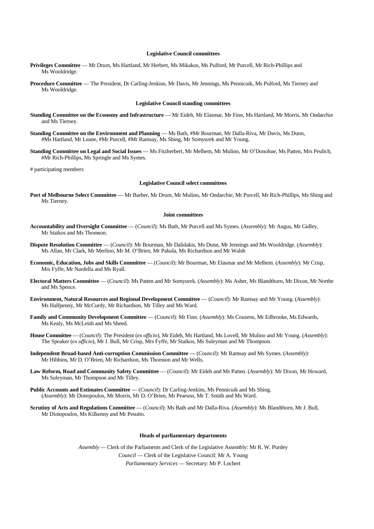#### **Legislative Council committees**

- **Privileges Committee** Mr Drum, Ms Hartland, Mr Herbert, Ms Mikakos, Ms Pulford, Mr Purcell, Mr Rich-Phillips and Ms Wooldridge.
- **Procedure Committee** The President, Dr Carling-Jenkins, Mr Davis, Mr Jennings, Ms Pennicuik, Ms Pulford, Ms Tierney and Ms Wooldridge.

#### **Legislative Council standing committees**

- **Standing Committee on the Economy and Infrastructure**  Mr Eideh, Mr Elasmar, Mr Finn, Ms Hartland, Mr Morris, Mr Ondarchie and Ms Tierney.
- **Standing Committee on the Environment and Planning**  Ms Bath, #Mr Bourman, Mr Dalla-Riva, Mr Davis, Ms Dunn, #Ms Hartland, Mr Leane, #Mr Purcell, #Mr Ramsay, Ms Shing, Mr Somyurek and Mr Young.
- **Standing Committee on Legal and Social Issues**  Ms Fitzherbert, Mr Melhem, Mr Mulino, Mr O'Donohue, Ms Patten, Mrs Peulich, #Mr Rich-Phillips, Ms Springle and Ms Symes.

# participating members

#### **Legislative Council select committees**

**Port of Melbourne Select Committee** — Mr Barber, Mr Drum, Mr Mulino, Mr Ondarchie, Mr Purcell, Mr Rich-Phillips, Ms Shing and Ms Tierney.

#### **Joint committees**

- **Accountability and Oversight Committee** (*Council*): Ms Bath, Mr Purcell and Ms Symes. (*Assembly*): Mr Angus, Mr Gidley, Mr Staikos and Ms Thomson.
- **Dispute Resolution Committee**  (*Council*): Mr Bourman, Mr Dalidakis, Ms Dunn, Mr Jennings and Ms Wooldridge. (*Assembly*): Ms Allan, Mr Clark, Mr Merlino, Mr M. O'Brien, Mr Pakula, Ms Richardson and Mr Walsh
- **Economic, Education, Jobs and Skills Committee** (*Council*): Mr Bourman, Mr Elasmar and Mr Melhem. (*Assembly*): Mr Crisp, Mrs Fyffe, Mr Nardella and Ms Ryall.
- **Electoral Matters Committee** (*Council*): Ms Patten and Mr Somyurek. (*Assembly*): Ms Asher, Ms Blandthorn, Mr Dixon, Mr Northe and Ms Spence.
- **Environment, Natural Resources and Regional Development Committee**  (*Council*): Mr Ramsay and Mr Young. (*Assembly*): Ms Halfpenny, Mr McCurdy, Mr Richardson, Mr Tilley and Ms Ward.
- **Family and Community Development Committee** (*Council*): Mr Finn. (*Assembly*): Ms Couzens, Mr Edbrooke, Ms Edwards, Ms Kealy, Ms McLeish and Ms Sheed.
- **House Committee**  (*Council*): The President (*ex officio*), Mr Eideh, Ms Hartland, Ms Lovell, Mr Mulino and Mr Young. (*Assembly*): The Speaker (*ex officio*), Mr J. Bull, Mr Crisp, Mrs Fyffe, Mr Staikos, Ms Suleyman and Mr Thompson.
- **Independent Broad-based Anti-corruption Commission Committee** (*Council*): Mr Ramsay and Ms Symes. (*Assembly*): Mr Hibbins, Mr D. O'Brien, Mr Richardson, Ms Thomson and Mr Wells.
- **Law Reform, Road and Community Safety Committee** (*Council*): Mr Eideh and Ms Patten. (*Assembly*): Mr Dixon, Mr Howard, Ms Suleyman, Mr Thompson and Mr Tilley.
- **Public Accounts and Estimates Committee** (*Council*): Dr Carling-Jenkins, Ms Pennicuik and Ms Shing. (*Assembly*): Mr Dimopoulos, Mr Morris, Mr D. O'Brien, Mr Pearson, Mr T. Smith and Ms Ward.
- **Scrutiny of Acts and Regulations Committee** (*Council*): Ms Bath and Mr Dalla-Riva. (*Assembly*): Ms Blandthorn, Mr J. Bull, Mr Dimopoulos, Ms Kilkenny and Mr Pesutto.

#### **Heads of parliamentary departments**

*Assembly —* Clerk of the Parliaments and Clerk of the Legislative Assembly: Mr R. W. Purdey *Council* — Clerk of the Legislative Council: Mr A. Young

*Parliamentary Services* — Secretary: Mr P. Lochert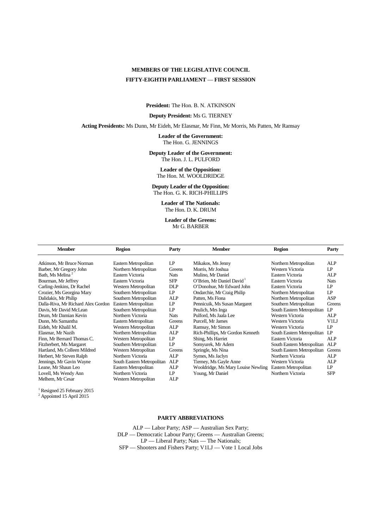## **MEMBERS OF THE LEGISLATIVE COUNCIL FIFTY-EIGHTH PARLIAMENT** — **FIRST SESSION**

**President:** The Hon. B. N. ATKINSON

#### **Deputy President:** Ms G. TIERNEY

**Acting Presidents:** Ms Dunn, Mr Eideh, Mr Elasmar, Mr Finn, Mr Morris, Ms Patten, Mr Ramsay

**Leader of the Government:** The Hon. G. JENNINGS

**Deputy Leader of the Government:** The Hon. J. L. PULFORD

> **Leader of the Opposition:** The Hon. M. WOOLDRIDGE

**Deputy Leader of the Opposition:** The Hon. G. K. RICH-PHILLIPS

> **Leader of The Nationals:** The Hon. D. K. DRUM

**Leader of the Greens:** Mr G. BARBER

| <b>Member</b>                      | <b>Region</b>              | Party       | <b>Member</b>                      | <b>Region</b>              | Party       |
|------------------------------------|----------------------------|-------------|------------------------------------|----------------------------|-------------|
| Atkinson, Mr Bruce Norman          | Eastern Metropolitan       | LP          | Mikakos, Ms Jenny                  | Northern Metropolitan      | ALP         |
|                                    |                            |             |                                    |                            |             |
| Barber, Mr Gregory John            | Northern Metropolitan      | Greens      | Morris, Mr Joshua                  | Western Victoria           | LP          |
| Bath, Ms Melina <sup>2</sup>       | Eastern Victoria           | <b>Nats</b> | Mulino, Mr Daniel                  | Eastern Victoria           | ALP         |
| Bourman, Mr Jeffrey                | Eastern Victoria           | <b>SFP</b>  | O'Brien, Mr Daniel David           | Eastern Victoria           | <b>Nats</b> |
| Carling-Jenkins, Dr Rachel         | Western Metropolitan       | <b>DLP</b>  | O'Donohue, Mr Edward John          | Eastern Victoria           | LP          |
| Crozier, Ms Georgina Mary          | Southern Metropolitan      | LP          | Ondarchie, Mr Craig Philip         | Northern Metropolitan      | LP          |
| Dalidakis, Mr Philip               | Southern Metropolitan      | <b>ALP</b>  | Patten. Ms Fiona                   | Northern Metropolitan      | <b>ASP</b>  |
| Dalla-Riva, Mr Richard Alex Gordon | Eastern Metropolitan       | LP          | Pennicuik, Ms Susan Margaret       | Southern Metropolitan      | Greens      |
| Davis, Mr David McLean             | Southern Metropolitan      | LP          | Peulich, Mrs Inga                  | South Eastern Metropolitan | LP          |
| Drum, Mr Damian Kevin              | Northern Victoria          | <b>Nats</b> | Pulford, Ms Jaala Lee              | Western Victoria           | ALP         |
| Dunn, Ms Samantha                  | Eastern Metropolitan       | Greens      | Purcell, Mr James                  | Western Victoria           | V1LJ        |
| Eideh. Mr Khalil M.                | Western Metropolitan       | ALP         | Ramsay, Mr Simon                   | Western Victoria           | LP          |
| Elasmar, Mr Nazih                  | Northern Metropolitan      | ALP         | Rich-Phillips, Mr Gordon Kenneth   | South Eastern Metropolitan | LP          |
| Finn. Mr Bernard Thomas C.         | Western Metropolitan       | LP          | Shing, Ms Harriet                  | Eastern Victoria           | ALP         |
| Fitzherbert, Ms Margaret           | Southern Metropolitan      | LP          | Somyurek, Mr Adem                  | South Eastern Metropolitan | AI.P        |
| Hartland, Ms Colleen Mildred       | Western Metropolitan       | Greens      | Springle, Ms Nina                  | South Eastern Metropolitan | Greens      |
| Herbert, Mr Steven Ralph           | Northern Victoria          | ALP         | Symes, Ms Jaclyn                   | Northern Victoria          | AI.P        |
| Jennings, Mr Gavin Wayne           | South Eastern Metropolitan | <b>ALP</b>  | Tierney, Ms Gayle Anne             | Western Victoria           | ALP         |
| Leane, Mr Shaun Leo                | Eastern Metropolitan       | <b>ALP</b>  | Wooldridge, Ms Mary Louise Newling | Eastern Metropolitan       | LP          |
| Lovell, Ms Wendy Ann               | Northern Victoria          | LP          | Young, Mr Daniel                   | Northern Victoria          | <b>SFP</b>  |
| Melhem, Mr Cesar                   | Western Metropolitan       | ALP         |                                    |                            |             |

 $\frac{1}{2}$  Resigned 25 February 2015<br> $\frac{2}{2}$  Appointed 15 April 2015

#### **PARTY ABBREVIATIONS**

ALP — Labor Party; ASP — Australian Sex Party; DLP — Democratic Labour Party; Greens — Australian Greens; LP — Liberal Party; Nats — The Nationals; SFP — Shooters and Fishers Party; V1LJ — Vote 1 Local Jobs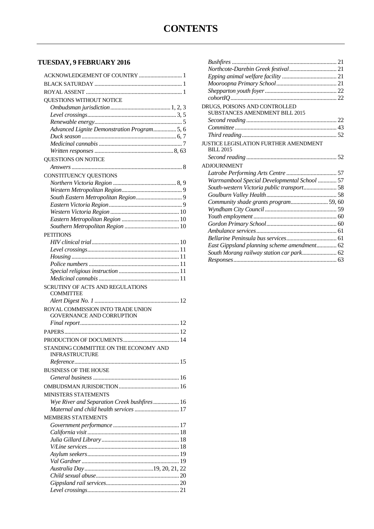## **TUESDAY, 9 FEBRUARY 2016**

| ACKNOWLEDGEMENT OF COUNTRY  1               |
|---------------------------------------------|
|                                             |
|                                             |
| QUESTIONS WITHOUT NOTICE                    |
|                                             |
|                                             |
|                                             |
| Advanced Lignite Demonstration Program5, 6  |
|                                             |
|                                             |
|                                             |
| QUESTIONS ON NOTICE                         |
|                                             |
| CONSTITUENCY QUESTIONS                      |
|                                             |
|                                             |
|                                             |
|                                             |
|                                             |
|                                             |
|                                             |
| <b>PETITIONS</b>                            |
|                                             |
|                                             |
|                                             |
|                                             |
|                                             |
|                                             |
|                                             |
| SCRUTINY OF ACTS AND REGULATIONS            |
| COMMITTEE                                   |
|                                             |
| ROYAL COMMISSION INTO TRADE UNION           |
| <b>GOVERNANCE AND CORRUPTION</b>            |
|                                             |
|                                             |
|                                             |
| STANDING COMMITTEE ON THE ECONOMY AND       |
| <b>INFRASTRUCTURE</b>                       |
|                                             |
| <b>BUSINESS OF THE HOUSE</b>                |
|                                             |
|                                             |
| <b>MINISTERS STATEMENTS</b>                 |
| Wye River and Separation Creek bushfires 16 |
| Maternal and child health services  17      |
| <b>MEMBERS STATEMENTS</b>                   |
|                                             |
|                                             |
|                                             |
|                                             |
|                                             |
|                                             |
|                                             |
|                                             |
|                                             |

| DRUGS, POISONS AND CONTROLLED                |  |
|----------------------------------------------|--|
| <b>SUBSTANCES AMENDMENT BILL 2015</b>        |  |
|                                              |  |
|                                              |  |
|                                              |  |
| <b>JUSTICE LEGISLATION FURTHER AMENDMENT</b> |  |
| <b>BILL 2015</b>                             |  |
|                                              |  |
| <b>ADJOURNMENT</b>                           |  |
|                                              |  |
| Warrnambool Special Developmental School  57 |  |
|                                              |  |
|                                              |  |
| Community shade grants program59, 60         |  |
|                                              |  |
|                                              |  |
|                                              |  |
|                                              |  |
|                                              |  |
| East Gippsland planning scheme amendment 62  |  |
| South Morang railway station car park 62     |  |
|                                              |  |
|                                              |  |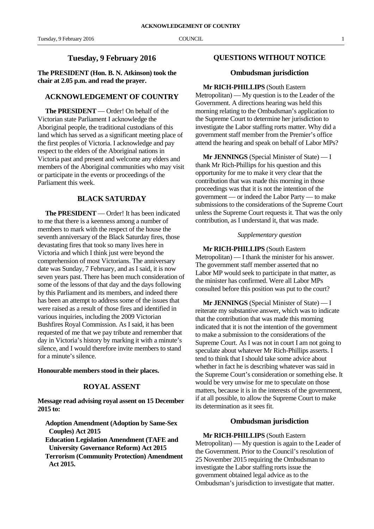**The PRESIDENT (Hon. B. N. Atkinson) took the chair at 2.05 p.m. and read the prayer.**

#### **ACKNOWLEDGEMENT OF COUNTRY**

**The PRESIDENT** — Order! On behalf of the Victorian state Parliament I acknowledge the Aboriginal people, the traditional custodians of this land which has served as a significant meeting place of the first peoples of Victoria. I acknowledge and pay respect to the elders of the Aboriginal nations in Victoria past and present and welcome any elders and members of the Aboriginal communities who may visit or participate in the events or proceedings of the Parliament this week.

### **BLACK SATURDAY**

**The PRESIDENT** — Order! It has been indicated to me that there is a keenness among a number of members to mark with the respect of the house the seventh anniversary of the Black Saturday fires, those devastating fires that took so many lives here in Victoria and which I think just were beyond the comprehension of most Victorians. The anniversary date was Sunday, 7 February, and as I said, it is now seven years past. There has been much consideration of some of the lessons of that day and the days following by this Parliament and its members, and indeed there has been an attempt to address some of the issues that were raised as a result of those fires and identified in various inquiries, including the 2009 Victorian Bushfires Royal Commission. As I said, it has been requested of me that we pay tribute and remember that day in Victoria's history by marking it with a minute's silence, and I would therefore invite members to stand for a minute's silence.

#### **Honourable members stood in their places.**

#### **ROYAL ASSENT**

**Message read advising royal assent on 15 December 2015 to:**

- **Adoption Amendment (Adoption by Same-Sex Couples) Act 2015**
- **Education Legislation Amendment (TAFE and University Governance Reform) Act 2015**
- **Terrorism (Community Protection) Amendment Act 2015.**

#### **QUESTIONS WITHOUT NOTICE**

#### **Ombudsman jurisdiction**

#### **Mr RICH-PHILLIPS** (South Eastern

Metropolitan) — My question is to the Leader of the Government. A directions hearing was held this morning relating to the Ombudsman's application to the Supreme Court to determine her jurisdiction to investigate the Labor staffing rorts matter. Why did a government staff member from the Premier's office attend the hearing and speak on behalf of Labor MPs?

**Mr JENNINGS** (Special Minister of State) — I thank Mr Rich-Phillips for his question and this opportunity for me to make it very clear that the contribution that was made this morning in those proceedings was that it is not the intention of the government — or indeed the Labor Party — to make submissions to the considerations of the Supreme Court unless the Supreme Court requests it. That was the only contribution, as I understand it, that was made.

#### *Supplementary question*

**Mr RICH-PHILLIPS** (South Eastern Metropolitan) — I thank the minister for his answer. The government staff member asserted that no Labor MP would seek to participate in that matter, as the minister has confirmed. Were all Labor MPs consulted before this position was put to the court?

**Mr JENNINGS** (Special Minister of State) — I reiterate my substantive answer, which was to indicate that the contribution that was made this morning indicated that it is not the intention of the government to make a submission to the considerations of the Supreme Court. As I was not in court I am not going to speculate about whatever Mr Rich-Phillips asserts. I tend to think that I should take some advice about whether in fact he is describing whatever was said in the Supreme Court's consideration or something else. It would be very unwise for me to speculate on those matters, because it is in the interests of the government, if at all possible, to allow the Supreme Court to make its determination as it sees fit.

#### **Ombudsman jurisdiction**

**Mr RICH-PHILLIPS** (South Eastern Metropolitan) — My question is again to the Leader of the Government. Prior to the Council's resolution of 25 November 2015 requiring the Ombudsman to investigate the Labor staffing rorts issue the government obtained legal advice as to the Ombudsman's jurisdiction to investigate that matter.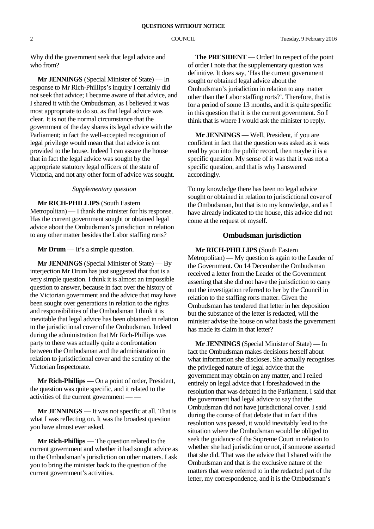Why did the government seek that legal advice and who from?

**Mr JENNINGS** (Special Minister of State) — In response to Mr Rich-Phillips's inquiry I certainly did not seek that advice; I became aware of that advice, and I shared it with the Ombudsman, as I believed it was most appropriate to do so, as that legal advice was clear. It is not the normal circumstance that the government of the day shares its legal advice with the Parliament; in fact the well-accepted recognition of legal privilege would mean that that advice is not provided to the house. Indeed I can assure the house that in fact the legal advice was sought by the appropriate statutory legal officers of the state of Victoria, and not any other form of advice was sought.

#### *Supplementary question*

**Mr RICH-PHILLIPS** (South Eastern Metropolitan) — I thank the minister for his response. Has the current government sought or obtained legal advice about the Ombudsman's jurisdiction in relation to any other matter besides the Labor staffing rorts?

**Mr Drum** — It's a simple question.

**Mr JENNINGS** (Special Minister of State) — By interjection Mr Drum has just suggested that that is a very simple question. I think it is almost an impossible question to answer, because in fact over the history of the Victorian government and the advice that may have been sought over generations in relation to the rights and responsibilities of the Ombudsman I think it is inevitable that legal advice has been obtained in relation to the jurisdictional cover of the Ombudsman. Indeed during the administration that Mr Rich-Phillips was party to there was actually quite a confrontation between the Ombudsman and the administration in relation to jurisdictional cover and the scrutiny of the Victorian Inspectorate.

**Mr Rich-Phillips** — On a point of order, President, the question was quite specific, and it related to the activities of the current government — —

**Mr JENNINGS** — It was not specific at all. That is what I was reflecting on. It was the broadest question you have almost ever asked.

**Mr Rich-Phillips** — The question related to the current government and whether it had sought advice as to the Ombudsman's jurisdiction on other matters. I ask you to bring the minister back to the question of the current government's activities.

**The PRESIDENT** — Order! In respect of the point of order I note that the supplementary question was definitive. It does say, 'Has the current government sought or obtained legal advice about the Ombudsman's jurisdiction in relation to any matter other than the Labor staffing rorts?'. Therefore, that is for a period of some 13 months, and it is quite specific in this question that it is the current government. So I think that is where I would ask the minister to reply.

**Mr JENNINGS** — Well, President, if you are confident in fact that the question was asked as it was read by you into the public record, then maybe it is a specific question. My sense of it was that it was not a specific question, and that is why I answered accordingly.

To my knowledge there has been no legal advice sought or obtained in relation to jurisdictional cover of the Ombudsman, but that is to my knowledge, and as I have already indicated to the house, this advice did not come at the request of myself.

#### **Ombudsman jurisdiction**

**Mr RICH-PHILLIPS** (South Eastern Metropolitan) — My question is again to the Leader of the Government. On 14 December the Ombudsman received a letter from the Leader of the Government asserting that she did not have the jurisdiction to carry out the investigation referred to her by the Council in relation to the staffing rorts matter. Given the Ombudsman has tendered that letter in her deposition but the substance of the letter is redacted, will the minister advise the house on what basis the government has made its claim in that letter?

**Mr JENNINGS** (Special Minister of State) — In fact the Ombudsman makes decisions herself about what information she discloses. She actually recognises the privileged nature of legal advice that the government may obtain on any matter, and I relied entirely on legal advice that I foreshadowed in the resolution that was debated in the Parliament. I said that the government had legal advice to say that the Ombudsman did not have jurisdictional cover. I said during the course of that debate that in fact if this resolution was passed, it would inevitably lead to the situation where the Ombudsman would be obliged to seek the guidance of the Supreme Court in relation to whether she had jurisdiction or not, if someone asserted that she did. That was the advice that I shared with the Ombudsman and that is the exclusive nature of the matters that were referred to in the redacted part of the letter, my correspondence, and it is the Ombudsman's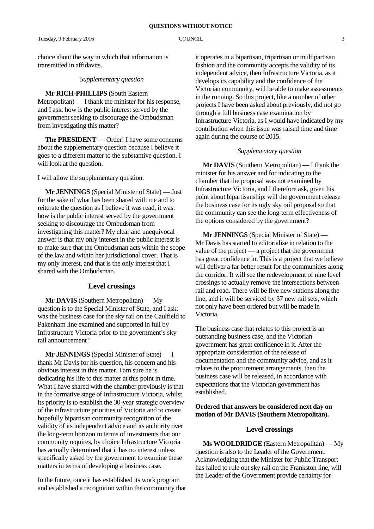choice about the way in which that information is transmitted in affidavits.

*Supplementary question*

**Mr RICH-PHILLIPS** (South Eastern Metropolitan) — I thank the minister for his response, and I ask: how is the public interest served by the government seeking to discourage the Ombudsman from investigating this matter?

**The PRESIDENT** — Order! I have some concerns about the supplementary question because I believe it goes to a different matter to the substantive question. I will look at the question.

I will allow the supplementary question.

**Mr JENNINGS** (Special Minister of State) — Just for the sake of what has been shared with me and to reiterate the question as I believe it was read, it was: how is the public interest served by the government seeking to discourage the Ombudsman from investigating this matter? My clear and unequivocal answer is that my only interest in the public interest is to make sure that the Ombudsman acts within the scope of the law and within her jurisdictional cover. That is my only interest, and that is the only interest that I shared with the Ombudsman.

#### **Level crossings**

**Mr DAVIS** (Southern Metropolitan) — My question is to the Special Minister of State, and I ask: was the business case for the sky rail on the Caulfield to Pakenham line examined and supported in full by Infrastructure Victoria prior to the government's sky rail announcement?

**Mr JENNINGS** (Special Minister of State) — I thank Mr Davis for his question, his concern and his obvious interest in this matter. I am sure he is dedicating his life to this matter at this point in time. What I have shared with the chamber previously is that in the formative stage of Infrastructure Victoria, whilst its priority is to establish the 30-year strategic overview of the infrastructure priorities of Victoria and to create hopefully bipartisan community recognition of the validity of its independent advice and its authority over the long-term horizon in terms of investments that our community requires, by choice Infrastructure Victoria has actually determined that it has no interest unless specifically asked by the government to examine these matters in terms of developing a business case.

In the future, once it has established its work program and established a recognition within the community that

it operates in a bipartisan, tripartisan or multipartisan fashion and the community accepts the validity of its independent advice, then Infrastructure Victoria, as it develops its capability and the confidence of the Victorian community, will be able to make assessments in the running. So this project, like a number of other projects I have been asked about previously, did not go through a full business case examination by Infrastructure Victoria, as I would have indicated by my contribution when this issue was raised time and time again during the course of 2015.

#### *Supplementary question*

**Mr DAVIS** (Southern Metropolitan) — I thank the minister for his answer and for indicating to the chamber that the proposal was not examined by Infrastructure Victoria, and I therefore ask, given his point about bipartisanship: will the government release the business case for its ugly sky rail proposal so that the community can see the long-term effectiveness of the options considered by the government?

**Mr JENNINGS** (Special Minister of State) — Mr Davis has started to editorialise in relation to the value of the project — a project that the government has great confidence in. This is a project that we believe will deliver a far better result for the communities along the corridor. It will see the redevelopment of nine level crossings to actually remove the intersections between rail and road. There will be five new stations along the line, and it will be serviced by 37 new rail sets, which not only have been ordered but will be made in Victoria.

The business case that relates to this project is an outstanding business case, and the Victorian government has great confidence in it. After the appropriate consideration of the release of documentation and the community advice, and as it relates to the procurement arrangements, then the business case will be released, in accordance with expectations that the Victorian government has established.

#### **Ordered that answers be considered next day on motion of Mr DAVIS (Southern Metropolitan).**

#### **Level crossings**

**Ms WOOLDRIDGE** (Eastern Metropolitan) — My question is also to the Leader of the Government. Acknowledging that the Minister for Public Transport has failed to rule out sky rail on the Frankston line, will the Leader of the Government provide certainty for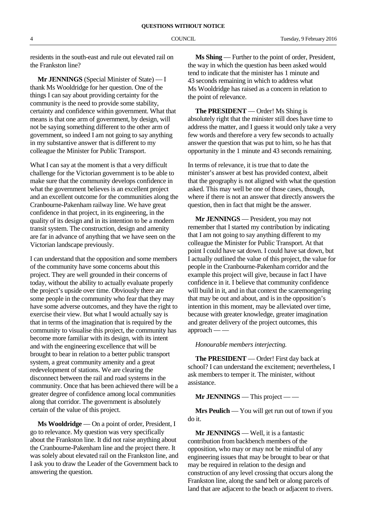residents in the south-east and rule out elevated rail on the Frankston line?

**Mr JENNINGS** (Special Minister of State) — I thank Ms Wooldridge for her question. One of the things I can say about providing certainty for the community is the need to provide some stability, certainty and confidence within government. What that means is that one arm of government, by design, will not be saying something different to the other arm of government, so indeed I am not going to say anything in my substantive answer that is different to my colleague the Minister for Public Transport.

What I can say at the moment is that a very difficult challenge for the Victorian government is to be able to make sure that the community develops confidence in what the government believes is an excellent project and an excellent outcome for the communities along the Cranbourne-Pakenham railway line. We have great confidence in that project, in its engineering, in the quality of its design and in its intention to be a modern transit system. The construction, design and amenity are far in advance of anything that we have seen on the Victorian landscape previously.

I can understand that the opposition and some members of the community have some concerns about this project. They are well grounded in their concerns of today, without the ability to actually evaluate properly the project's upside over time. Obviously there are some people in the community who fear that they may have some adverse outcomes, and they have the right to exercise their view. But what I would actually say is that in terms of the imagination that is required by the community to visualise this project, the community has become more familiar with its design, with its intent and with the engineering excellence that will be brought to bear in relation to a better public transport system, a great community amenity and a great redevelopment of stations. We are clearing the disconnect between the rail and road systems in the community. Once that has been achieved there will be a greater degree of confidence among local communities along that corridor. The government is absolutely certain of the value of this project.

**Ms Wooldridge** — On a point of order, President, I go to relevance. My question was very specifically about the Frankston line. It did not raise anything about the Cranbourne-Pakenham line and the project there. It was solely about elevated rail on the Frankston line, and I ask you to draw the Leader of the Government back to answering the question.

**Ms Shing** — Further to the point of order, President, the way in which the question has been asked would tend to indicate that the minister has 1 minute and 43 seconds remaining in which to address what Ms Wooldridge has raised as a concern in relation to the point of relevance.

**The PRESIDENT** — Order! Ms Shing is absolutely right that the minister still does have time to address the matter, and I guess it would only take a very few words and therefore a very few seconds to actually answer the question that was put to him, so he has that opportunity in the 1 minute and 43 seconds remaining.

In terms of relevance, it is true that to date the minister's answer at best has provided context, albeit that the geography is not aligned with what the question asked. This may well be one of those cases, though, where if there is not an answer that directly answers the question, then in fact that might be the answer.

**Mr JENNINGS** — President, you may not remember that I started my contribution by indicating that I am not going to say anything different to my colleague the Minister for Public Transport. At that point I could have sat down. I could have sat down, but I actually outlined the value of this project, the value for people in the Cranbourne-Pakenham corridor and the example this project will give, because in fact I have confidence in it. I believe that community confidence will build in it, and in that context the scaremongering that may be out and about, and is in the opposition's intention in this moment, may be alleviated over time, because with greater knowledge, greater imagination and greater delivery of the project outcomes, this approach

#### *Honourable members interjecting.*

**The PRESIDENT** — Order! First day back at school? I can understand the excitement; nevertheless, I ask members to temper it. The minister, without assistance.

**Mr JENNINGS** — This project — —

**Mrs Peulich** — You will get run out of town if you do it.

**Mr JENNINGS** — Well, it is a fantastic contribution from backbench members of the opposition, who may or may not be mindful of any engineering issues that may be brought to bear or that may be required in relation to the design and construction of any level crossing that occurs along the Frankston line, along the sand belt or along parcels of land that are adjacent to the beach or adjacent to rivers.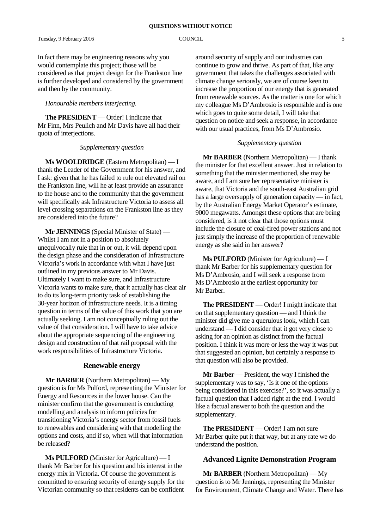In fact there may be engineering reasons why you would contemplate this project; those will be considered as that project design for the Frankston line is further developed and considered by the government and then by the community.

#### *Honourable members interjecting.*

**The PRESIDENT** — Order! I indicate that Mr Finn, Mrs Peulich and Mr Davis have all had their quota of interjections.

#### *Supplementary question*

**Ms WOOLDRIDGE** (Eastern Metropolitan) — I thank the Leader of the Government for his answer, and I ask: given that he has failed to rule out elevated rail on the Frankston line, will he at least provide an assurance to the house and to the community that the government will specifically ask Infrastructure Victoria to assess all level crossing separations on the Frankston line as they are considered into the future?

**Mr JENNINGS** (Special Minister of State) — Whilst I am not in a position to absolutely unequivocally rule that in or out, it will depend upon the design phase and the consideration of Infrastructure Victoria's work in accordance with what I have just outlined in my previous answer to Mr Davis. Ultimately I want to make sure, and Infrastructure Victoria wants to make sure, that it actually has clear air to do its long-term priority task of establishing the 30-year horizon of infrastructure needs. It is a timing question in terms of the value of this work that you are actually seeking. I am not conceptually ruling out the value of that consideration. I will have to take advice about the appropriate sequencing of the engineering design and construction of that rail proposal with the work responsibilities of Infrastructure Victoria.

#### **Renewable energy**

**Mr BARBER** (Northern Metropolitan) — My question is for Ms Pulford, representing the Minister for Energy and Resources in the lower house. Can the minister confirm that the government is conducting modelling and analysis to inform policies for transitioning Victoria's energy sector from fossil fuels to renewables and considering with that modelling the options and costs, and if so, when will that information be released?

**Ms PULFORD** (Minister for Agriculture) — I thank Mr Barber for his question and his interest in the energy mix in Victoria. Of course the government is committed to ensuring security of energy supply for the Victorian community so that residents can be confident

around security of supply and our industries can continue to grow and thrive. As part of that, like any government that takes the challenges associated with climate change seriously, we are of course keen to increase the proportion of our energy that is generated from renewable sources. As the matter is one for which my colleague Ms D'Ambrosio is responsible and is one which goes to quite some detail, I will take that question on notice and seek a response, in accordance with our usual practices, from Ms D'Ambrosio.

#### *Supplementary question*

**Mr BARBER** (Northern Metropolitan) — I thank the minister for that excellent answer. Just in relation to something that the minister mentioned, she may be aware, and I am sure her representative minister is aware, that Victoria and the south-east Australian grid has a large oversupply of generation capacity — in fact, by the Australian Energy Market Operator's estimate, 9000 megawatts. Amongst these options that are being considered, is it not clear that those options must include the closure of coal-fired power stations and not just simply the increase of the proportion of renewable energy as she said in her answer?

**Ms PULFORD** (Minister for Agriculture) — I thank Mr Barber for his supplementary question for Ms D'Ambrosio, and I will seek a response from Ms D'Ambrosio at the earliest opportunity for Mr Barber.

**The PRESIDENT** — Order! I might indicate that on that supplementary question — and I think the minister did give me a querulous look, which I can understand — I did consider that it got very close to asking for an opinion as distinct from the factual position. I think it was more or less the way it was put that suggested an opinion, but certainly a response to that question will also be provided.

**Mr Barber** — President, the way I finished the supplementary was to say, 'Is it one of the options being considered in this exercise?', so it was actually a factual question that I added right at the end. I would like a factual answer to both the question and the supplementary.

**The PRESIDENT** — Order! I am not sure Mr Barber quite put it that way, but at any rate we do understand the position.

#### **Advanced Lignite Demonstration Program**

**Mr BARBER** (Northern Metropolitan) — My question is to Mr Jennings, representing the Minister for Environment, Climate Change and Water. There has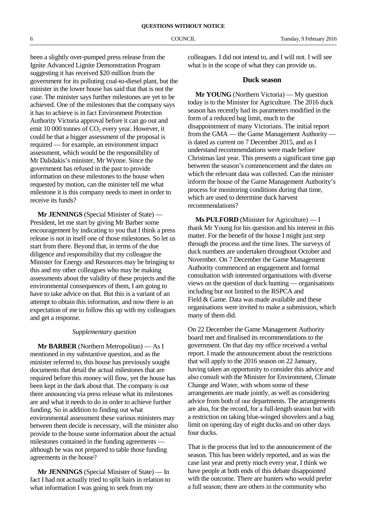been a slightly over-pumped press release from the Ignite Advanced Lignite Demonstration Program suggesting it has received \$20 million from the government for its polluting coal-to-diesel plant, but the minister in the lower house has said that that is not the case. The minister says further milestones are yet to be achieved. One of the milestones that the company says it has to achieve is in fact Environment Protection Authority Victoria approval before it can go out and emit 10 000 tonnes of  $CO<sub>2</sub>$  every year. However, it could be that a bigger assessment of the proposal is required — for example, an environment impact assessment, which would be the responsibility of Mr Dalidakis's minister, Mr Wynne. Since the government has refused in the past to provide information on these milestones to the house when requested by motion, can the minister tell me what milestone it is this company needs to meet in order to receive its funds?

**Mr JENNINGS** (Special Minister of State) — President, let me start by giving Mr Barber some encouragement by indicating to you that I think a press release is not in itself one of those milestones. So let us start from there. Beyond that, in terms of the due diligence and responsibility that my colleague the Minister for Energy and Resources may be bringing to this and my other colleagues who may be making assessments about the validity of these projects and the environmental consequences of them, I am going to have to take advice on that. But this is a variant of an attempt to obtain this information, and now there is an expectation of me to follow this up with my colleagues and get a response.

#### *Supplementary question*

**Mr BARBER** (Northern Metropolitan) — As I mentioned in my substantive question, and as the minister referred to, this house has previously sought documents that detail the actual milestones that are required before this money will flow, yet the house has been kept in the dark about that. The company is out there announcing via press release what its milestones are and what it needs to do in order to achieve further funding. So in addition to finding out what environmental assessment these various ministers may between them decide is necessary, will the minister also provide to the house some information about the actual milestones contained in the funding agreements although he was not prepared to table those funding agreements in the house?

**Mr JENNINGS** (Special Minister of State) — In fact I had not actually tried to split hairs in relation to what information I was going to seek from my

colleagues. I did not intend to, and I will not. I will see what is in the scope of what they can provide us.

#### **Duck season**

**Mr YOUNG** (Northern Victoria) — My question today is to the Minister for Agriculture. The 2016 duck season has recently had its parameters modified in the form of a reduced bag limit, much to the disappointment of many Victorians. The initial report from the GMA — the Game Management Authority is dated as current on 7 December 2015, and as I understand recommendations were made before Christmas last year. This presents a significant time gap between the season's commencement and the dates on which the relevant data was collected. Can the minister inform the house of the Game Management Authority's process for monitoring conditions during that time, which are used to determine duck harvest recommendations?

**Ms PULFORD** (Minister for Agriculture) — I thank Mr Young for his question and his interest in this matter. For the benefit of the house I might just step through the process and the time lines. The surveys of duck numbers are undertaken throughout October and November. On 7 December the Game Management Authority commenced an engagement and formal consultation with interested organisations with diverse views on the question of duck hunting — organisations including but not limited to the RSPCA and Field & Game. Data was made available and these organisations were invited to make a submission, which many of them did.

On 22 December the Game Management Authority board met and finalised its recommendations to the government. On that day my office received a verbal report. I made the announcement about the restrictions that will apply to the 2016 season on 22 January, having taken an opportunity to consider this advice and also consult with the Minister for Environment, Climate Change and Water, with whom some of these arrangements are made jointly, as well as considering advice from both of our departments. The arrangements are also, for the record, for a full-length season but with a restriction on taking blue-winged shovelers and a bag limit on opening day of eight ducks and on other days four ducks.

That is the process that led to the announcement of the season. This has been widely reported, and as was the case last year and pretty much every year, I think we have people at both ends of this debate disappointed with the outcome. There are hunters who would prefer a full season; there are others in the community who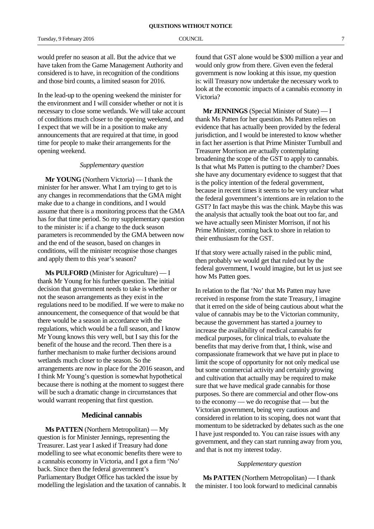would prefer no season at all. But the advice that we have taken from the Game Management Authority and considered is to have, in recognition of the conditions and those bird counts, a limited season for 2016.

In the lead-up to the opening weekend the minister for the environment and I will consider whether or not it is necessary to close some wetlands. We will take account of conditions much closer to the opening weekend, and I expect that we will be in a position to make any announcements that are required at that time, in good time for people to make their arrangements for the opening weekend.

#### *Supplementary question*

**Mr YOUNG** (Northern Victoria) — I thank the minister for her answer. What I am trying to get to is any changes in recommendations that the GMA might make due to a change in conditions, and I would assume that there is a monitoring process that the GMA has for that time period. So my supplementary question to the minister is: if a change to the duck season parameters is recommended by the GMA between now and the end of the season, based on changes in conditions, will the minister recognise those changes and apply them to this year's season?

**Ms PULFORD** (Minister for Agriculture) — I thank Mr Young for his further question. The initial decision that government needs to take is whether or not the season arrangements as they exist in the regulations need to be modified. If we were to make no announcement, the consequence of that would be that there would be a season in accordance with the regulations, which would be a full season, and I know Mr Young knows this very well, but I say this for the benefit of the house and the record. Then there is a further mechanism to make further decisions around wetlands much closer to the season. So the arrangements are now in place for the 2016 season, and I think Mr Young's question is somewhat hypothetical because there is nothing at the moment to suggest there will be such a dramatic change in circumstances that would warrant reopening that first question.

#### **Medicinal cannabis**

**Ms PATTEN** (Northern Metropolitan) — My question is for Minister Jennings, representing the Treasurer. Last year I asked if Treasury had done modelling to see what economic benefits there were to a cannabis economy in Victoria, and I got a firm 'No' back. Since then the federal government's Parliamentary Budget Office has tackled the issue by modelling the legislation and the taxation of cannabis. It found that GST alone would be \$300 million a year and would only grow from there. Given even the federal government is now looking at this issue, my question is: will Treasury now undertake the necessary work to look at the economic impacts of a cannabis economy in Victoria?

**Mr JENNINGS** (Special Minister of State) — I thank Ms Patten for her question. Ms Patten relies on evidence that has actually been provided by the federal jurisdiction, and I would be interested to know whether in fact her assertion is that Prime Minister Turnbull and Treasurer Morrison are actually contemplating broadening the scope of the GST to apply to cannabis. Is that what Ms Patten is putting to the chamber? Does she have any documentary evidence to suggest that that is the policy intention of the federal government, because in recent times it seems to be very unclear what the federal government's intentions are in relation to the GST? In fact maybe this was the chink. Maybe this was the analysis that actually took the boat out too far, and we have actually seen Minister Morrison, if not his Prime Minister, coming back to shore in relation to their enthusiasm for the GST.

If that story were actually raised in the public mind, then probably we would get that ruled out by the federal government, I would imagine, but let us just see how Ms Patten goes.

In relation to the flat 'No' that Ms Patten may have received in response from the state Treasury, I imagine that it erred on the side of being cautious about what the value of cannabis may be to the Victorian community, because the government has started a journey to increase the availability of medical cannabis for medical purposes, for clinical trials, to evaluate the benefits that may derive from that, I think, wise and compassionate framework that we have put in place to limit the scope of opportunity for not only medical use but some commercial activity and certainly growing and cultivation that actually may be required to make sure that we have medical grade cannabis for those purposes. So there are commercial and other flow-ons to the economy — we do recognise that — but the Victorian government, being very cautious and considered in relation to its scoping, does not want that momentum to be sidetracked by debates such as the one I have just responded to. You can raise issues with any government, and they can start running away from you, and that is not my interest today.

#### *Supplementary question*

**Ms PATTEN** (Northern Metropolitan) — I thank the minister. I too look forward to medicinal cannabis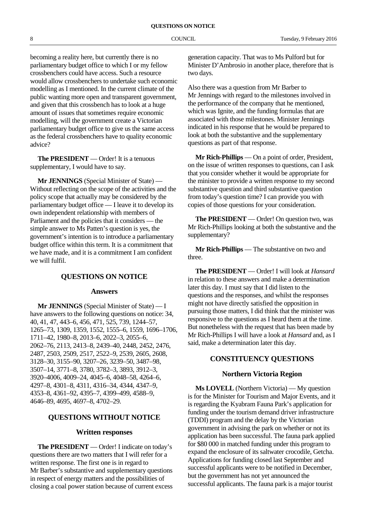becoming a reality here, but currently there is no parliamentary budget office to which I or my fellow crossbenchers could have access. Such a resource would allow crossbenchers to undertake such economic modelling as I mentioned. In the current climate of the public wanting more open and transparent government, and given that this crossbench has to look at a huge amount of issues that sometimes require economic modelling, will the government create a Victorian parliamentary budget office to give us the same access as the federal crossbenchers have to quality economic advice?

**The PRESIDENT** — Order! It is a tenuous supplementary, I would have to say.

**Mr JENNINGS** (Special Minister of State) — Without reflecting on the scope of the activities and the policy scope that actually may be considered by the parliamentary budget office — I leave it to develop its own independent relationship with members of Parliament and the policies that it considers — the simple answer to Ms Patten's question is yes, the government's intention is to introduce a parliamentary budget office within this term. It is a commitment that we have made, and it is a commitment I am confident we will fulfil.

#### **QUESTIONS ON NOTICE**

#### **Answers**

**Mr JENNINGS** (Special Minister of State) — I have answers to the following questions on notice: 34, 40, 41, 47, 443–6, 456, 471, 525, 739, 1244–57, 1265–73, 1309, 1359, 1552, 1555–6, 1559, 1696–1706, 1711–42, 1980–8, 2013–6, 2022–3, 2055–6, 2062–76, 2113, 2413–8, 2439–40, 2448, 2452, 2476, 2487, 2503, 2509, 2517, 2522–9, 2539, 2605, 2608, 3128–30, 3155–90, 3207–26, 3239–50, 3487–98, 3507–14, 3771–8, 3780, 3782–3, 3893, 3912–3, 3920–4006, 4009–24, 4045–6, 4048–58, 4264–6, 4297–8, 4301–8, 4311, 4316–34, 4344, 4347–9, 4353–8, 4361–92, 4395–7, 4399–499, 4588–9, 4646–89, 4695, 4697–8, 4702–29.

#### **QUESTIONS WITHOUT NOTICE**

#### **Written responses**

**The PRESIDENT** — Order! I indicate on today's questions there are two matters that I will refer for a written response. The first one is in regard to Mr Barber's substantive and supplementary questions in respect of energy matters and the possibilities of closing a coal power station because of current excess

generation capacity. That was to Ms Pulford but for Minister D'Ambrosio in another place, therefore that is two days.

Also there was a question from Mr Barber to Mr Jennings with regard to the milestones involved in the performance of the company that he mentioned, which was Ignite, and the funding formulas that are associated with those milestones. Minister Jennings indicated in his response that he would be prepared to look at both the substantive and the supplementary questions as part of that response.

**Mr Rich-Phillips** — On a point of order, President, on the issue of written responses to questions, can I ask that you consider whether it would be appropriate for the minister to provide a written response to my second substantive question and third substantive question from today's question time? I can provide you with copies of those questions for your consideration.

**The PRESIDENT** — Order! On question two, was Mr Rich-Phillips looking at both the substantive and the supplementary?

**Mr Rich-Phillips** — The substantive on two and three.

**The PRESIDENT** — Order! I will look at *Hansard* in relation to these answers and make a determination later this day. I must say that I did listen to the questions and the responses, and whilst the responses might not have directly satisfied the opposition in pursuing those matters, I did think that the minister was responsive to the questions as I heard them at the time. But nonetheless with the request that has been made by Mr Rich-Phillips I will have a look at *Hansard* and, as I said, make a determination later this day.

#### **CONSTITUENCY QUESTIONS**

#### **Northern Victoria Region**

**Ms LOVELL** (Northern Victoria) — My question is for the Minister for Tourism and Major Events, and it is regarding the Kyabram Fauna Park's application for funding under the tourism demand driver infrastructure (TDDI) program and the delay by the Victorian government in advising the park on whether or not its application has been successful. The fauna park applied for \$80 000 in matched funding under this program to expand the enclosure of its saltwater crocodile, Getcha. Applications for funding closed last September and successful applicants were to be notified in December, but the government has not yet announced the successful applicants. The fauna park is a major tourist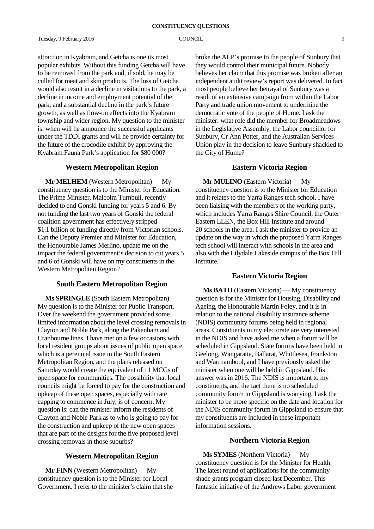attraction in Kyabram, and Getcha is one its most popular exhibits. Without this funding Getcha will have to be removed from the park and, if sold, he may be culled for meat and skin products. The loss of Getcha would also result in a decline in visitations to the park, a decline in income and employment potential of the park, and a substantial decline in the park's future growth, as well as flow-on effects into the Kyabram township and wider region. My question to the minister is: when will he announce the successful applicants under the TDDI grants and will he provide certainty for the future of the crocodile exhibit by approving the Kyabram Fauna Park's application for \$80 000?

#### **Western Metropolitan Region**

**Mr MELHEM** (Western Metropolitan) — My constituency question is to the Minister for Education. The Prime Minister, Malcolm Turnbull, recently decided to end Gonski funding for years 5 and 6. By not funding the last two years of Gonski the federal coalition government has effectively stripped \$1.1 billion of funding directly from Victorian schools. Can the Deputy Premier and Minister for Education, the Honourable James Merlino, update me on the impact the federal government's decision to cut years 5 and 6 of Gonski will have on my constituents in the Western Metropolitan Region?

#### **South Eastern Metropolitan Region**

**Ms SPRINGLE** (South Eastern Metropolitan) — My question is to the Minister for Public Transport. Over the weekend the government provided some limited information about the level crossing removals in Clayton and Noble Park, along the Pakenham and Cranbourne lines. I have met on a few occasions with local resident groups about issues of public open space, which is a perennial issue in the South Eastern Metropolitan Region, and the plans released on Saturday would create the equivalent of 11 MCGs of open space for communities. The possibility that local councils might be forced to pay for the construction and upkeep of these open spaces, especially with rate capping to commence in July, is of concern. My question is: can the minister inform the residents of Clayton and Noble Park as to who is going to pay for the construction and upkeep of the new open spaces that are part of the designs for the five proposed level crossing removals in those suburbs?

#### **Western Metropolitan Region**

**Mr FINN** (Western Metropolitan) — My constituency question is to the Minister for Local Government. I refer to the minister's claim that she broke the ALP's promise to the people of Sunbury that they would control their municipal future. Nobody believes her claim that this promise was broken after an independent audit review's report was delivered. In fact most people believe her betrayal of Sunbury was a result of an extensive campaign from within the Labor Party and trade union movement to undermine the democratic vote of the people of Hume. I ask the minister: what role did the member for Broadmeadows in the Legislative Assembly, the Labor councillor for Sunbury, Cr Ann Potter, and the Australian Services Union play in the decision to leave Sunbury shackled to the City of Hume?

#### **Eastern Victoria Region**

**Mr MULINO** (Eastern Victoria) — My constituency question is to the Minister for Education and it relates to the Yarra Ranges tech school. I have been liaising with the members of the working party, which includes Yarra Ranges Shire Council, the Outer Eastern LLEN, the Box Hill Institute and around 20 schools in the area. I ask the minister to provide an update on the way in which the proposed Yarra Ranges tech school will interact with schools in the area and also with the Lilydale Lakeside campus of the Box Hill Institute.

#### **Eastern Victoria Region**

**Ms BATH** (Eastern Victoria) — My constituency question is for the Minister for Housing, Disability and Ageing, the Honourable Martin Foley, and it is in relation to the national disability insurance scheme (NDIS) community forums being held in regional areas. Constituents in my electorate are very interested in the NDIS and have asked me when a forum will be scheduled in Gippsland. State forums have been held in Geelong, Wangaratta, Ballarat, Whittlesea, Frankston and Warrnambool, and I have previously asked the minister when one will be held in Gippsland. His answer was in 2016. The NDIS is important to my constituents, and the fact there is no scheduled community forum in Gippsland is worrying. I ask the minister to be more specific on the date and location for the NDIS community forum in Gippsland to ensure that my constituents are included in these important information sessions.

#### **Northern Victoria Region**

**Ms SYMES** (Northern Victoria) — My constituency question is for the Minister for Health. The latest round of applications for the community shade grants program closed last December. This fantastic initiative of the Andrews Labor government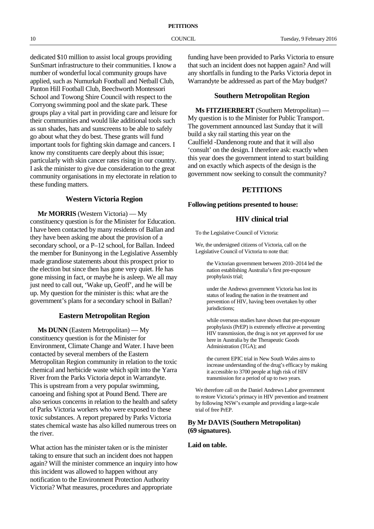dedicated \$10 million to assist local groups providing SunSmart infrastructure to their communities. I know a number of wonderful local community groups have applied, such as Numurkah Football and Netball Club, Panton Hill Football Club, Beechworth Montessori School and Towong Shire Council with respect to the Corryong swimming pool and the skate park. These groups play a vital part in providing care and leisure for their communities and would like additional tools such as sun shades, hats and sunscreens to be able to safely go about what they do best. These grants will fund important tools for fighting skin damage and cancers. I know my constituents care deeply about this issue; particularly with skin cancer rates rising in our country. I ask the minister to give due consideration to the great community organisations in my electorate in relation to these funding matters.

#### **Western Victoria Region**

**Mr MORRIS** (Western Victoria) — My constituency question is for the Minister for Education. I have been contacted by many residents of Ballan and they have been asking me about the provision of a secondary school, or a P–12 school, for Ballan. Indeed the member for Buninyong in the Legislative Assembly made grandiose statements about this prospect prior to the election but since then has gone very quiet. He has gone missing in fact, or maybe he is asleep. We all may just need to call out, 'Wake up, Geoff', and he will be up. My question for the minister is this: what are the government's plans for a secondary school in Ballan?

### **Eastern Metropolitan Region**

**Ms DUNN** (Eastern Metropolitan) — My constituency question is for the Minister for Environment, Climate Change and Water. I have been contacted by several members of the Eastern Metropolitan Region community in relation to the toxic chemical and herbicide waste which spilt into the Yarra River from the Parks Victoria depot in Warrandyte. This is upstream from a very popular swimming, canoeing and fishing spot at Pound Bend. There are also serious concerns in relation to the health and safety of Parks Victoria workers who were exposed to these toxic substances. A report prepared by Parks Victoria states chemical waste has also killed numerous trees on the river.

What action has the minister taken or is the minister taking to ensure that such an incident does not happen again? Will the minister commence an inquiry into how this incident was allowed to happen without any notification to the Environment Protection Authority Victoria? What measures, procedures and appropriate

funding have been provided to Parks Victoria to ensure that such an incident does not happen again? And will any shortfalls in funding to the Parks Victoria depot in Warrandyte be addressed as part of the May budget?

#### **Southern Metropolitan Region**

**Ms FITZHERBERT** (Southern Metropolitan) — My question is to the Minister for Public Transport. The government announced last Sunday that it will build a sky rail starting this year on the Caulfield -Dandenong route and that it will also 'consult' on the design. I therefore ask: exactly when this year does the government intend to start building and on exactly which aspects of the design is the government now seeking to consult the community?

### **PETITIONS**

#### **Following petitions presented to house:**

### **HIV clinical trial**

To the Legislative Council of Victoria:

We, the undersigned citizens of Victoria, call on the Legislative Council of Victoria to note that:

the Victorian government between 2010–2014 led the nation establishing Australia's first pre-exposure prophylaxis trial;

under the Andrews government Victoria has lost its status of leading the nation in the treatment and prevention of HIV, having been overtaken by other jurisdictions:

while overseas studies have shown that pre-exposure prophylaxis (PrEP) is extremely effective at preventing HIV transmission, the drug is not yet approved for use here in Australia by the Therapeutic Goods Administration (TGA); and

the current EPIC trial in New South Wales aims to increase understanding of the drug's efficacy by making it accessible to 3700 people at high risk of HIV transmission for a period of up to two years.

We therefore call on the Daniel Andrews Labor government to restore Victoria's primacy in HIV prevention and treatment by following NSW's example and providing a large-scale trial of free PrEP.

#### **By Mr DAVIS (Southern Metropolitan) (69 signatures).**

#### **Laid on table.**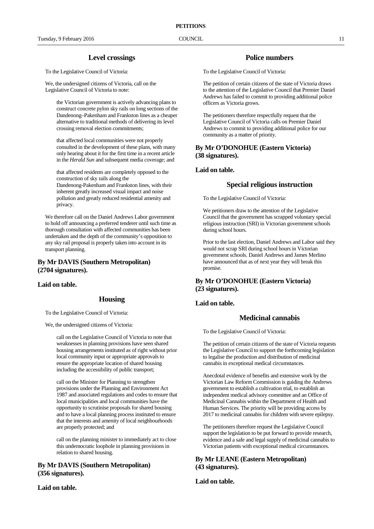#### **Level crossings**

To the Legislative Council of Victoria:

We, the undersigned citizens of Victoria, call on the Legislative Council of Victoria to note:

the Victorian government is actively advancing plans to construct concrete pylon sky rails on long sections of the Dandenong–Pakenham and Frankston lines as a cheaper alternative to traditional methods of delivering its level crossing removal election commitments;

that affected local communities were not properly consulted in the development of these plans, with many only hearing about it for the first time in a recent article in the *Herald Sun* and subsequent media coverage; and

that affected residents are completely opposed to the construction of sky rails along the Dandenong-Pakenham and Frankston lines, with their inherent greatly increased visual impact and noise pollution and greatly reduced residential amenity and privacy.

We therefore call on the Daniel Andrews Labor government to hold off announcing a preferred tenderer until such time as thorough consultation with affected communities has been undertaken and the depth of the community's opposition to any sky rail proposal is properly taken into account in its transport planning.

#### **By Mr DAVIS (Southern Metropolitan) (2704 signatures).**

#### **Laid on table.**

#### **Housing**

To the Legislative Council of Victoria:

We, the undersigned citizens of Victoria:

call on the Legislative Council of Victoria to note that weaknesses in planning provisions have seen shared housing arrangements instituted as of right without prior local community input or appropriate approvals to ensure the appropriate location of shared housing including the accessibility of public transport;

call on the Minister for Planning to strengthen provisions under the Planning and Environment Act 1987 and associated regulations and codes to ensure that local municipalities and local communities have the opportunity to scrutinise proposals for shared housing and to have a local planning process instituted to ensure that the interests and amenity of local neighbourhoods are properly protected; and

call on the planning minister to immediately act to close this undemocratic loophole in planning provisions in relation to shared housing.

#### **By Mr DAVIS (Southern Metropolitan) (356 signatures).**

**Laid on table.**

#### **Police numbers**

To the Legislative Council of Victoria:

The petition of certain citizens of the state of Victoria draws to the attention of the Legislative Council that Premier Daniel Andrews has failed to commit to providing additional police officers as Victoria grows.

The petitioners therefore respectfully request that the Legislative Council of Victoria calls on Premier Daniel Andrews to commit to providing additional police for our community as a matter of priority.

#### **By Mr O'DONOHUE (Eastern Victoria) (38 signatures).**

#### **Laid on table.**

#### **Special religious instruction**

To the Legislative Council of Victoria:

We petitioners draw to the attention of the Legislative Council that the government has scrapped voluntary special religious instruction (SRI) in Victorian government schools during school hours.

Prior to the last election, Daniel Andrews and Labor said they would not scrap SRI during school hours in Victorian government schools. Daniel Andrews and James Merlino have announced that as of next year they will break this promise.

#### **By Mr O'DONOHUE (Eastern Victoria) (23 signatures).**

#### **Laid on table.**

#### **Medicinal cannabis**

To the Legislative Council of Victoria:

The petition of certain citizens of the state of Victoria requests the Legislative Council to support the forthcoming legislation to legalise the production and distribution of medicinal cannabis in exceptional medical circumstances.

Anecdotal evidence of benefits and extensive work by the Victorian Law Reform Commission is guiding the Andrews government to establish a cultivation trial, to establish an independent medical advisory committee and an Office of Medicinal Cannabis within the Department of Health and Human Services. The priority will be providing access by 2017 to medicinal cannabis for children with severe epilepsy.

The petitioners therefore request the Legislative Council support the legislation to be put forward to provide research, evidence and a safe and legal supply of medicinal cannabis to Victorian patients with exceptional medical circumstances.

#### **By Mr LEANE (Eastern Metropolitan) (43 signatures).**

**Laid on table.**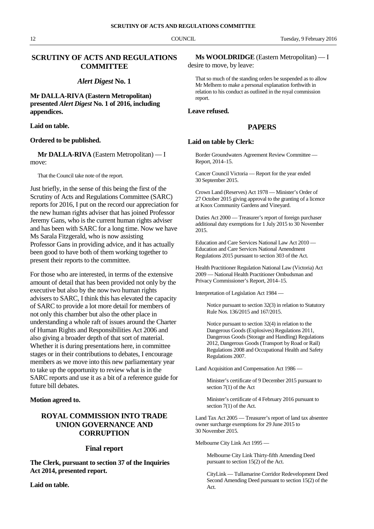#### **SCRUTINY OF ACTS AND REGULATIONS COMMITTEE**

#### *Alert Digest* **No. 1**

#### **Mr DALLA-RIVA (Eastern Metropolitan) presented** *Alert Digest* **No. 1 of 2016, including appendices.**

#### **Laid on table.**

#### **Ordered to be published.**

#### **Mr DALLA-RIVA** (Eastern Metropolitan) — I move:

That the Council take note of the report.

Just briefly, in the sense of this being the first of the Scrutiny of Acts and Regulations Committee (SARC) reports for 2016, I put on the record our appreciation for the new human rights adviser that has joined Professor Jeremy Gans, who is the current human rights adviser and has been with SARC for a long time. Now we have Ms Sarala Fitzgerald, who is now assisting Professor Gans in providing advice, and it has actually been good to have both of them working together to present their reports to the committee.

For those who are interested, in terms of the extensive amount of detail that has been provided not only by the executive but also by the now two human rights advisers to SARC, I think this has elevated the capacity of SARC to provide a lot more detail for members of not only this chamber but also the other place in understanding a whole raft of issues around the Charter of Human Rights and Responsibilities Act 2006 and also giving a broader depth of that sort of material. Whether it is during presentations here, in committee stages or in their contributions to debates, I encourage members as we move into this new parliamentary year to take up the opportunity to review what is in the SARC reports and use it as a bit of a reference guide for future bill debates.

#### **Motion agreed to.**

### **ROYAL COMMISSION INTO TRADE UNION GOVERNANCE AND CORRUPTION**

#### **Final report**

**The Clerk, pursuant to section 37 of the Inquiries Act 2014, presented report.**

**Laid on table.**

#### **Ms WOOLDRIDGE** (Eastern Metropolitan) — I

desire to move, by leave:

That so much of the standing orders be suspended as to allow Mr Melhem to make a personal explanation forthwith in relation to his conduct as outlined in the royal commission report.

#### **Leave refused.**

#### **PAPERS**

#### **Laid on table by Clerk:**

Border Groundwaters Agreement Review Committee — Report, 2014–15.

Cancer Council Victoria — Report for the year ended 30 September 2015.

Crown Land (Reserves) Act 1978 — Minister's Order of 27 October 2015 giving approval to the granting of a licence at Knox Community Gardens and Vineyard.

Duties Act 2000 — Treasurer's report of foreign purchaser additional duty exemptions for 1 July 2015 to 30 November 2015.

Education and Care Services National Law Act 2010 — Education and Care Services National Amendment Regulations 2015 pursuant to section 303 of the Act.

Health Practitioner Regulation National Law (Victoria) Act 2009 — National Health Practitioner Ombudsman and Privacy Commissioner's Report, 2014–15.

Interpretation of Legislation Act 1984 —

Notice pursuant to section 32(3) in relation to Statutory Rule Nos. 136/2015 and 167/2015.

Notice pursuant to section 32(4) in relation to the Dangerous Goods (Explosives) Regulations 2011, Dangerous Goods (Storage and Handling) Regulations 2012, Dangerous Goods (Transport by Road or Rail) Regulations 2008 and Occupational Health and Safety Regulations 2007.

Land Acquisition and Compensation Act 1986 —

Minister's certificate of 9 December 2015 pursuant to section 7(1) of the Act

Minister's certificate of 4 February 2016 pursuant to section 7(1) of the Act.

Land Tax Act 2005 — Treasurer's report of land tax absentee owner surcharge exemptions for 29 June 2015 to 30 November 2015.

Melbourne City Link Act 1995 —

Melbourne City Link Thirty-fifth Amending Deed pursuant to section 15(2) of the Act.

CityLink — Tullamarine Corridor Redevelopment Deed Second Amending Deed pursuant to section 15(2) of the Act.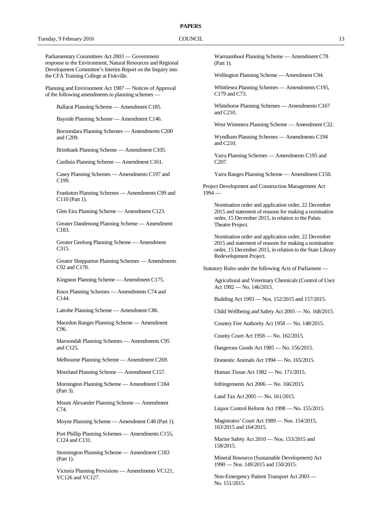#### **PAPERS**

Parliamentary Committees Act 2003 — Government response to the Environment, Natural Resources and Regional Development Committee's Interim Report on the Inquiry into the CFA Training College at Fiskville.

Planning and Environment Act 1987 — Notices of Approval of the following amendments to planning schemes —

Ballarat Planning Scheme — Amendment C185.

Bayside Planning Scheme — Amendment C146.

Boroondara Planning Schemes — Amendments C200 and C209.

Brimbank Planning Scheme — Amendment C105.

Cardinia Planning Scheme — Amendment C161.

Casey Planning Schemes — Amendments C197 and C199.

Frankston Planning Schemes — Amendments C99 and C110 (Part 1).

Glen Eira Planning Scheme — Amendment C123.

Greater Dandenong Planning Scheme — Amendment C183.

Greater Geelong Planning Scheme — Amendment C315.

Greater Shepparton Planning Schemes — Amendments C92 and C170.

Kingston Planning Scheme — Amendment C175.

Knox Planning Schemes — Amendments C74 and C144.

Latrobe Planning Scheme — Amendment C86.

Macedon Ranges Planning Scheme — Amendment C96.

Maroondah Planning Schemes — Amendments C95 and C125.

Melbourne Planning Scheme — Amendment C269.

Moreland Planning Scheme — Amendment C157.

Mornington Planning Scheme — Amendment C184 (Part 3).

Mount Alexander Planning Scheme — Amendment C74.

Moyne Planning Scheme — Amendment C48 (Part 1).

Port Phillip Planning Schemes — Amendments C155, C124 and C131.

Stonnington Planning Scheme — Amendment C183 (Part 1).

Victoria Planning Provisions — Amendments VC121, VC126 and VC127.

Warrnambool Planning Scheme — Amendment C78 (Part 1).

Wellington Planning Scheme — Amendment C94.

Whittlesea Planning Schemes — Amendments C195, C179 and C73.

Whitehorse Planning Schemes — Amendments C167 and C210.

West Wimmera Planning Scheme — Amendment C32.

Wyndham Planning Schemes — Amendments C194 and C210.

Yarra Planning Schemes — Amendments C195 and C207.

Yarra Ranges Planning Scheme — Amendment C150.

Project Development and Construction Management Act  $1994 -$ 

Nomination order and application order, 22 December 2015 and statement of reasons for making a nomination order, 15 December 2015, in relation to the Palais Theatre Project.

Nomination order and application order, 22 December 2015 and statement of reasons for making a nomination order, 15 December 2015, in relation to the State Library Redevelopment Project.

Statutory Rules under the following Acts of Parliament —

Agricultural and Veterinary Chemicals (Control of Use) Act 1992 — No. 146/2015.

Building Act 1993 — Nos. 152/2015 and 157/2015.

Child Wellbeing and Safety Act 2005 — No. 168/2015.

Country Fire Authority Act 1958 — No. 148/2015.

County Court Act 1958 — No. 162/2015.

Dangerous Goods Act 1985 — No. 156/2015.

Domestic Animals Act 1994 — No. 165/2015.

Human Tissue Act 1982 — No. 171/2015.

Infringements Act 2006 — No. 166/2015.

Land Tax Act 2005 — No. 161/2015.

Liquor Control Reform Act 1998 — No. 155/2015.

Magistrates' Court Act 1989 — Nos. 154/2015, 163/2015 and 164/2015.

Marine Safety Act 2010 — Nos. 153/2015 and 158/2015.

Mineral Resource (Sustainable Development) Act 1990 — Nos. 149/2015 and 150/2015.

Non-Emergency Patient Transport Act 2003 — No. 151/2015.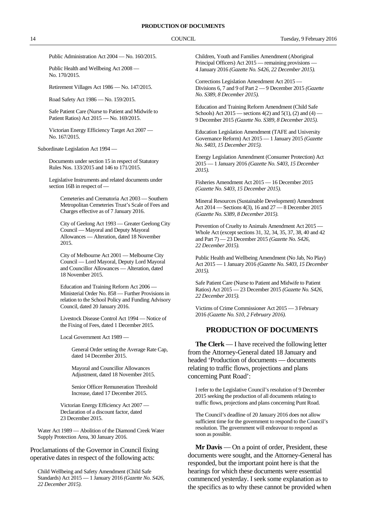Public Administration Act 2004 — No. 160/2015.

Public Health and Wellbeing Act 2008 — No. 170/2015.

Retirement Villages Act 1986 — No. 147/2015.

Road Safety Act 1986 — No. 159/2015.

Safe Patient Care (Nurse to Patient and Midwife to Patient Ratios) Act 2015 — No. 169/2015.

Victorian Energy Efficiency Target Act 2007 — No. 167/2015.

Subordinate Legislation Act 1994 —

Documents under section 15 in respect of Statutory Rules Nos. 133/2015 and 146 to 171/2015.

Legislative Instruments and related documents under section 16B in respect of —

Cemeteries and Crematoria Act 2003 — Southern Metropolitan Cemeteries Trust's Scale of Fees and Charges effective as of 7 January 2016.

City of Geelong Act 1993 — Greater Geelong City Council — Mayoral and Deputy Mayoral Allowances — Alteration, dated 18 November 2015.

City of Melbourne Act 2001 — Melbourne City Council — Lord Mayoral, Deputy Lord Mayoral and Councillor Allowances — Alteration, dated 18 November 2015.

Education and Training Reform Act 2006 — Ministerial Order No. 858 — Further Provisions in relation to the School Policy and Funding Advisory Council, dated 20 January 2016.

Livestock Disease Control Act 1994 — Notice of the Fixing of Fees, dated 1 December 2015.

Local Government Act 1989 —

General Order setting the Average Rate Cap, dated 14 December 2015.

Mayoral and Councillor Allowances Adjustment, dated 18 November 2015.

Senior Officer Remuneration Threshold Increase, dated 17 December 2015.

Victorian Energy Efficiency Act 2007 — Declaration of a discount factor, dated 23 December 2015.

Water Act 1989 — Abolition of the Diamond Creek Water Supply Protection Area, 30 January 2016.

Proclamations of the Governor in Council fixing operative dates in respect of the following acts:

Child Wellbeing and Safety Amendment (Child Safe Standards) Act 2015 — 1 January 2016 *(Gazette No. S426, 22 December 2015).*

Children, Youth and Families Amendment (Aboriginal Principal Officers) Act 2015 — remaining provisions -4 January 2016 *(Gazette No. S426, 22 December 2015).*

Corrections Legislation Amendment Act 2015 — Divisions 6, 7 and 9 of Part 2 — 9 December 2015 *(Gazette No. S389, 8 December 2015).*

Education and Training Reform Amendment (Child Safe Schools) Act 2015 — sections  $4(2)$  and  $5(1)$ ,  $(2)$  and  $(4)$  — 9 December 2015 *(Gazette No. S389, 8 December 2015).*

Education Legislation Amendment (TAFE and University Governance Reform) Act 2015 — 1 January 2015 *(Gazette No. S403, 15 December 2015).*

Energy Legislation Amendment (Consumer Protection) Act 2015 — 1 January 2016 *(Gazette No. S403, 15 December 2015).*

Fisheries Amendment Act 2015 — 16 December 2015 *(Gazette No. S403, 15 December 2015).*

Mineral Resources (Sustainable Development) Amendment Act 2014 — Sections 4(3), 16 and 27 — 8 December 2015 *(Gazette No. S389, 8 December 2015).*

Prevention of Cruelty to Animals Amendment Act 2015 — Whole Act (except sections 31, 32, 34, 35, 37, 38, 40 and 42 and Part 7) — 23 December 2015 *(Gazette No. S426, 22 December 2015).*

Public Health and Wellbeing Amendment (No Jab, No Play) Act 2015 — 1 January 2016 *(Gazette No. S403, 15 December 2015).*

Safe Patient Care (Nurse to Patient and Midwife to Patient Ratios) Act 2015 — 23 December 2015 *(Gazette No. S426, 22 December 2015).*

Victims of Crime Commissioner Act 2015 — 3 February 2016 *(Gazette No. S10, 2 February 2016).*

#### **PRODUCTION OF DOCUMENTS**

**The Clerk** — I have received the following letter from the Attorney-General dated 18 January and headed 'Production of documents — documents relating to traffic flows, projections and plans concerning Punt Road':

I refer to the Legislative Council's resolution of 9 December 2015 seeking the production of all documents relating to traffic flows, projections and plans concerning Punt Road.

The Council's deadline of 20 January 2016 does not allow sufficient time for the government to respond to the Council's resolution. The government will endeavour to respond as soon as possible.

**Mr Davis** — On a point of order, President, these documents were sought, and the Attorney-General has responded, but the important point here is that the hearings for which these documents were essential commenced yesterday. I seek some explanation as to the specifics as to why these cannot be provided when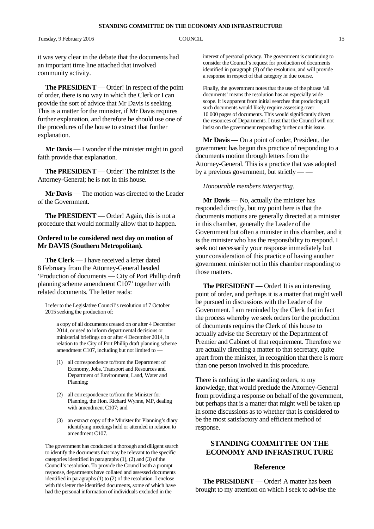it was very clear in the debate that the documents had an important time line attached that involved community activity.

**The PRESIDENT** — Order! In respect of the point of order, there is no way in which the Clerk or I can provide the sort of advice that Mr Davis is seeking. This is a matter for the minister, if Mr Davis requires further explanation, and therefore he should use one of the procedures of the house to extract that further explanation.

**Mr Davis** — I wonder if the minister might in good faith provide that explanation.

**The PRESIDENT** — Order! The minister is the Attorney-General; he is not in this house.

**Mr Davis** — The motion was directed to the Leader of the Government.

**The PRESIDENT** — Order! Again, this is not a procedure that would normally allow that to happen.

#### **Ordered to be considered next day on motion of Mr DAVIS (Southern Metropolitan).**

**The Clerk** — I have received a letter dated 8 February from the Attorney-General headed 'Production of documents — City of Port Phillip draft planning scheme amendment C107' together with related documents. The letter reads:

I refer to the Legislative Council's resolution of 7 October 2015 seeking the production of:

a copy of all documents created on or after 4 December 2014, or used to inform departmental decisions or ministerial briefings on or after 4 December 2014, in relation to the City of Port Phillip draft planning scheme amendment C107, including but not limited to —

- (1) all correspondence to/from the Department of Economy, Jobs, Transport and Resources and Department of Environment, Land, Water and Planning;
- (2) all correspondence to/from the Minister for Planning, the Hon. Richard Wynne, MP, dealing with amendment C107; and
- (3) an extract copy of the Minister for Planning's diary identifying meetings held or attended in relation to amendment C107.

The government has conducted a thorough and diligent search to identify the documents that may be relevant to the specific categories identified in paragraphs (1), (2) and (3) of the Council's resolution. To provide the Council with a prompt response, departments have collated and assessed documents identified in paragraphs (1) to (2) of the resolution. I enclose with this letter the identified documents, some of which have had the personal information of individuals excluded in the

interest of personal privacy. The government is continuing to consider the Council's request for production of documents identified in paragraph (3) of the resolution, and will provide a response in respect of that category in due course.

Finally, the government notes that the use of the phrase 'all documents' means the resolution has an especially wide scope. It is apparent from initial searches that producing all such documents would likely require assessing over 10 000 pages of documents. This would significantly divert the resources of Departments. I trust that the Council will not insist on the government responding further on this issue.

**Mr Davis** — On a point of order, President, the government has begun this practice of responding to a documents motion through letters from the Attorney-General. This is a practice that was adopted by a previous government, but strictly — —

#### *Honourable members interjecting.*

**Mr Davis** — No, actually the minister has responded directly, but my point here is that the documents motions are generally directed at a minister in this chamber, generally the Leader of the Government but often a minister in this chamber, and it is the minister who has the responsibility to respond. I seek not necessarily your response immediately but your consideration of this practice of having another government minister not in this chamber responding to those matters.

**The PRESIDENT** — Order! It is an interesting point of order, and perhaps it is a matter that might well be pursued in discussions with the Leader of the Government. I am reminded by the Clerk that in fact the process whereby we seek orders for the production of documents requires the Clerk of this house to actually advise the Secretary of the Department of Premier and Cabinet of that requirement. Therefore we are actually directing a matter to that secretary, quite apart from the minister, in recognition that there is more than one person involved in this procedure.

There is nothing in the standing orders, to my knowledge, that would preclude the Attorney-General from providing a response on behalf of the government, but perhaps that is a matter that might well be taken up in some discussions as to whether that is considered to be the most satisfactory and efficient method of response.

### **STANDING COMMITTEE ON THE ECONOMY AND INFRASTRUCTURE**

#### **Reference**

**The PRESIDENT** — Order! A matter has been brought to my attention on which I seek to advise the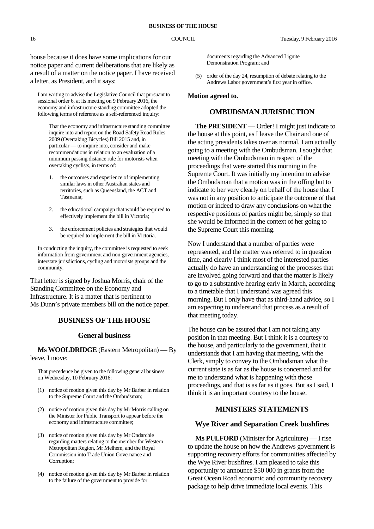house because it does have some implications for our notice paper and current deliberations that are likely as a result of a matter on the notice paper. I have received a letter, as President, and it says:

I am writing to advise the Legislative Council that pursuant to sessional order 6, at its meeting on 9 February 2016, the economy and infrastructure standing committee adopted the following terms of reference as a self-referenced inquiry:

That the economy and infrastructure standing committee inquire into and report on the Road Safety Road Rules 2009 (Overtaking Bicycles) Bill 2015 and, in particular — to inquire into, consider and make recommendations in relation to an evaluation of a minimum passing distance rule for motorists when overtaking cyclists, in terms of:

- 1. the outcomes and experience of implementing similar laws in other Australian states and territories, such as Queensland, the ACT and Tasmania;
- 2. the educational campaign that would be required to effectively implement the bill in Victoria;
- 3. the enforcement policies and strategies that would be required to implement the bill in Victoria.

In conducting the inquiry, the committee is requested to seek information from government and non-government agencies, interstate jurisdictions, cycling and motorists groups and the community.

That letter is signed by Joshua Morris, chair of the Standing Committee on the Economy and Infrastructure. It is a matter that is pertinent to Ms Dunn's private members bill on the notice paper.

#### **BUSINESS OF THE HOUSE**

#### **General business**

**Ms WOOLDRIDGE** (Eastern Metropolitan) — By leave, I move:

That precedence be given to the following general business on Wednesday, 10 February 2016:

- (1) notice of motion given this day by Mr Barber in relation to the Supreme Court and the Ombudsman;
- (2) notice of motion given this day by Mr Morris calling on the Minister for Public Transport to appear before the economy and infrastructure committee;
- (3) notice of motion given this day by Mr Ondarchie regarding matters relating to the member for Western Metropolitan Region, Mr Melhem, and the Royal Commission into Trade Union Governance and Corruption;
- (4) notice of motion given this day by Mr Barber in relation to the failure of the government to provide for

documents regarding the Advanced Lignite Demonstration Program; and

(5) order of the day 24, resumption of debate relating to the Andrews Labor government's first year in office.

#### **Motion agreed to.**

#### **OMBUDSMAN JURISDICTION**

**The PRESIDENT** — Order! I might just indicate to the house at this point, as I leave the Chair and one of the acting presidents takes over as normal, I am actually going to a meeting with the Ombudsman. I sought that meeting with the Ombudsman in respect of the proceedings that were started this morning in the Supreme Court. It was initially my intention to advise the Ombudsman that a motion was in the offing but to indicate to her very clearly on behalf of the house that I was not in any position to anticipate the outcome of that motion or indeed to draw any conclusions on what the respective positions of parties might be, simply so that she would be informed in the context of her going to the Supreme Court this morning.

Now I understand that a number of parties were represented, and the matter was referred to in question time, and clearly I think most of the interested parties actually do have an understanding of the processes that are involved going forward and that the matter is likely to go to a substantive hearing early in March, according to a timetable that I understand was agreed this morning. But I only have that as third-hand advice, so I am expecting to understand that process as a result of that meeting today.

The house can be assured that I am not taking any position in that meeting. But I think it is a courtesy to the house, and particularly to the government, that it understands that I am having that meeting, with the Clerk, simply to convey to the Ombudsman what the current state is as far as the house is concerned and for me to understand what is happening with those proceedings, and that is as far as it goes. But as I said, I think it is an important courtesy to the house.

#### **MINISTERS STATEMENTS**

#### **Wye River and Separation Creek bushfires**

**Ms PULFORD** (Minister for Agriculture) — I rise to update the house on how the Andrews government is supporting recovery efforts for communities affected by the Wye River bushfires. I am pleased to take this opportunity to announce \$50 000 in grants from the Great Ocean Road economic and community recovery package to help drive immediate local events. This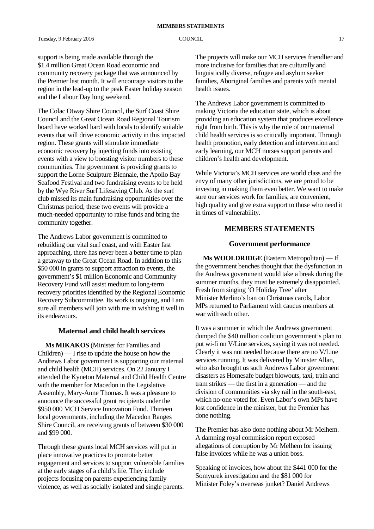Tuesday, 9 February 2016 **COUNCIL COUNCIL COUNCIL** 17

support is being made available through the \$1.4 million Great Ocean Road economic and community recovery package that was announced by the Premier last month. It will encourage visitors to the region in the lead-up to the peak Easter holiday season and the Labour Day long weekend.

The Colac Otway Shire Council, the Surf Coast Shire Council and the Great Ocean Road Regional Tourism board have worked hard with locals to identify suitable events that will drive economic activity in this impacted region. These grants will stimulate immediate economic recovery by injecting funds into existing events with a view to boosting visitor numbers to these communities. The government is providing grants to support the Lorne Sculpture Biennale, the Apollo Bay Seafood Festival and two fundraising events to be held by the Wye River Surf Lifesaving Club. As the surf club missed its main fundraising opportunities over the Christmas period, these two events will provide a much-needed opportunity to raise funds and bring the community together.

The Andrews Labor government is committed to rebuilding our vital surf coast, and with Easter fast approaching, there has never been a better time to plan a getaway to the Great Ocean Road. In addition to this \$50 000 in grants to support attraction to events, the government's \$1 million Economic and Community Recovery Fund will assist medium to long-term recovery priorities identified by the Regional Economic Recovery Subcommittee. Its work is ongoing, and I am sure all members will join with me in wishing it well in its endeavours.

#### **Maternal and child health services**

**Ms MIKAKOS** (Minister for Families and Children) — I rise to update the house on how the Andrews Labor government is supporting our maternal and child health (MCH) services. On 22 January I attended the Kyneton Maternal and Child Health Centre with the member for Macedon in the Legislative Assembly, Mary-Anne Thomas. It was a pleasure to announce the successful grant recipients under the \$950 000 MCH Service Innovation Fund. Thirteen local governments, including the Macedon Ranges Shire Council, are receiving grants of between \$30 000 and \$99 000.

Through these grants local MCH services will put in place innovative practices to promote better engagement and services to support vulnerable families at the early stages of a child's life. They include projects focusing on parents experiencing family violence, as well as socially isolated and single parents.

The projects will make our MCH services friendlier and more inclusive for families that are culturally and linguistically diverse, refugee and asylum seeker families, Aboriginal families and parents with mental health issues.

The Andrews Labor government is committed to making Victoria the education state, which is about providing an education system that produces excellence right from birth. This is why the role of our maternal child health services is so critically important. Through health promotion, early detection and intervention and early learning, our MCH nurses support parents and children's health and development.

While Victoria's MCH services are world class and the envy of many other jurisdictions, we are proud to be investing in making them even better. We want to make sure our services work for families, are convenient, high quality and give extra support to those who need it in times of vulnerability.

#### **MEMBERS STATEMENTS**

#### **Government performance**

**Ms WOOLDRIDGE** (Eastern Metropolitan) — If the government benches thought that the dysfunction in the Andrews government would take a break during the summer months, they must be extremely disappointed. Fresh from singing 'O Holiday Tree' after Minister Merlino's ban on Christmas carols, Labor MPs returned to Parliament with caucus members at war with each other.

It was a summer in which the Andrews government dumped the \$40 million coalition government's plan to put wi-fi on V/Line services, saying it was not needed. Clearly it was not needed because there are no V/Line services running. It was delivered by Minister Allan, who also brought us such Andrews Labor government disasters as Homesafe budget blowouts, taxi, train and tram strikes — the first in a generation — and the division of communities via sky rail in the south-east, which no-one voted for. Even Labor's own MPs have lost confidence in the minister, but the Premier has done nothing.

The Premier has also done nothing about Mr Melhem. A damning royal commission report exposed allegations of corruption by Mr Melhem for issuing false invoices while he was a union boss.

Speaking of invoices, how about the \$441 000 for the Somyurek investigation and the \$81 000 for Minister Foley's overseas junket? Daniel Andrews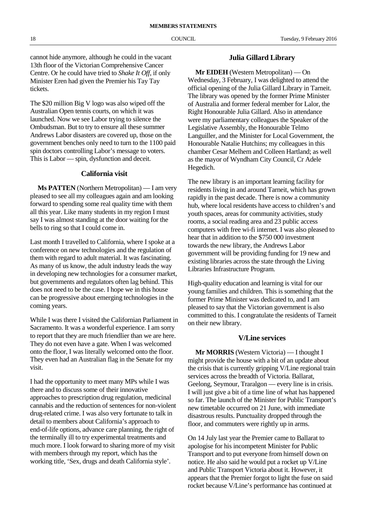cannot hide anymore, although he could in the vacant 13th floor of the Victorian Comprehensive Cancer Centre. Or he could have tried to *Shake It Off*, if only Minister Eren had given the Premier his Tay Tay tickets.

The \$20 million Big V logo was also wiped off the Australian Open tennis courts, on which it was launched. Now we see Labor trying to silence the Ombudsman. But to try to ensure all these summer Andrews Labor disasters are covered up, those on the government benches only need to turn to the 1100 paid spin doctors controlling Labor's message to voters. This is Labor — spin, dysfunction and deceit.

#### **California visit**

**Ms PATTEN** (Northern Metropolitan) — I am very pleased to see all my colleagues again and am looking forward to spending some real quality time with them all this year. Like many students in my region I must say I was almost standing at the door waiting for the bells to ring so that I could come in.

Last month I travelled to California, where I spoke at a conference on new technologies and the regulation of them with regard to adult material. It was fascinating. As many of us know, the adult industry leads the way in developing new technologies for a consumer market, but governments and regulators often lag behind. This does not need to be the case. I hope we in this house can be progressive about emerging technologies in the coming years.

While I was there I visited the Californian Parliament in Sacramento. It was a wonderful experience. I am sorry to report that they are much friendlier than we are here. They do not even have a gate. When I was welcomed onto the floor, I was literally welcomed onto the floor. They even had an Australian flag in the Senate for my visit.

I had the opportunity to meet many MPs while I was there and to discuss some of their innovative approaches to prescription drug regulation, medicinal cannabis and the reduction of sentences for non-violent drug-related crime. I was also very fortunate to talk in detail to members about California's approach to end-of-life options, advance care planning, the right of the terminally ill to try experimental treatments and much more. I look forward to sharing more of my visit with members through my report, which has the working title, 'Sex, drugs and death California style'.

#### **Julia Gillard Library**

**Mr EIDEH** (Western Metropolitan) — On Wednesday, 3 February, I was delighted to attend the official opening of the Julia Gillard Library in Tarneit. The library was opened by the former Prime Minister of Australia and former federal member for Lalor, the Right Honourable Julia Gillard. Also in attendance were my parliamentary colleagues the Speaker of the Legislative Assembly, the Honourable Telmo Languiller, and the Minister for Local Government, the Honourable Natalie Hutchins; my colleagues in this chamber Cesar Melhem and Colleen Hartland; as well as the mayor of Wyndham City Council, Cr Adele Hegedich.

The new library is an important learning facility for residents living in and around Tarneit, which has grown rapidly in the past decade. There is now a community hub, where local residents have access to children's and youth spaces, areas for community activities, study rooms, a social reading area and 23 public access computers with free wi-fi internet. I was also pleased to hear that in addition to the \$750 000 investment towards the new library, the Andrews Labor government will be providing funding for 19 new and existing libraries across the state through the Living Libraries Infrastructure Program.

High-quality education and learning is vital for our young families and children. This is something that the former Prime Minister was dedicated to, and I am pleased to say that the Victorian government is also committed to this. I congratulate the residents of Tarneit on their new library.

#### **V/Line services**

**Mr MORRIS** (Western Victoria) — I thought I might provide the house with a bit of an update about the crisis that is currently gripping V/Line regional train services across the breadth of Victoria. Ballarat, Geelong, Seymour, Traralgon — every line is in crisis. I will just give a bit of a time line of what has happened so far. The launch of the Minister for Public Transport's new timetable occurred on 21 June, with immediate disastrous results. Punctuality dropped through the floor, and commuters were rightly up in arms.

On 14 July last year the Premier came to Ballarat to apologise for his incompetent Minister for Public Transport and to put everyone from himself down on notice. He also said he would put a rocket up V/Line and Public Transport Victoria about it. However, it appears that the Premier forgot to light the fuse on said rocket because V/Line's performance has continued at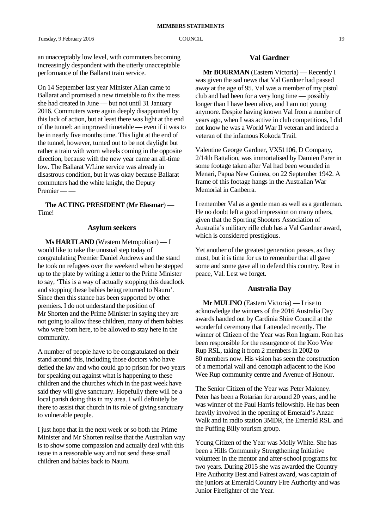an unacceptably low level, with commuters becoming increasingly despondent with the utterly unacceptable performance of the Ballarat train service.

On 14 September last year Minister Allan came to Ballarat and promised a new timetable to fix the mess she had created in June — but not until 31 January 2016. Commuters were again deeply disappointed by this lack of action, but at least there was light at the end of the tunnel: an improved timetable — even if it was to be in nearly five months time. This light at the end of the tunnel, however, turned out to be not daylight but rather a train with worn wheels coming in the opposite direction, because with the new year came an all-time low. The Ballarat V/Line service was already in disastrous condition, but it was okay because Ballarat commuters had the white knight, the Deputy Premier — —

**The ACTING PRESIDENT** (**Mr Elasmar**) — Time!

#### **Asylum seekers**

**Ms HARTLAND** (Western Metropolitan) — I would like to take the unusual step today of congratulating Premier Daniel Andrews and the stand he took on refugees over the weekend when he stepped up to the plate by writing a letter to the Prime Minister to say, 'This is a way of actually stopping this deadlock and stopping these babies being returned to Nauru'. Since then this stance has been supported by other premiers. I do not understand the position of Mr Shorten and the Prime Minister in saying they are not going to allow these children, many of them babies who were born here, to be allowed to stay here in the community.

A number of people have to be congratulated on their stand around this, including those doctors who have defied the law and who could go to prison for two years for speaking out against what is happening to these children and the churches which in the past week have said they will give sanctuary. Hopefully there will be a local parish doing this in my area. I will definitely be there to assist that church in its role of giving sanctuary to vulnerable people.

I just hope that in the next week or so both the Prime Minister and Mr Shorten realise that the Australian way is to show some compassion and actually deal with this issue in a reasonable way and not send these small children and babies back to Nauru.

#### **Val Gardner**

**Mr BOURMAN** (Eastern Victoria) — Recently I was given the sad news that Val Gardner had passed away at the age of 95. Val was a member of my pistol club and had been for a very long time — possibly longer than I have been alive, and I am not young anymore. Despite having known Val from a number of years ago, when I was active in club competitions, I did not know he was a World War II veteran and indeed a veteran of the infamous Kokoda Trail.

Valentine George Gardner, VX51106, D Company, 2/14th Battalion, was immortalised by Damien Parer in some footage taken after Val had been wounded in Menari, Papua New Guinea, on 22 September 1942. A frame of this footage hangs in the Australian War Memorial in Canberra.

I remember Val as a gentle man as well as a gentleman. He no doubt left a good impression on many others, given that the Sporting Shooters Association of Australia's military rifle club has a Val Gardner award, which is considered prestigious.

Yet another of the greatest generation passes, as they must, but it is time for us to remember that all gave some and some gave all to defend this country. Rest in peace, Val. Lest we forget.

#### **Australia Day**

**Mr MULINO** (Eastern Victoria) — I rise to acknowledge the winners of the 2016 Australia Day awards handed out by Cardinia Shire Council at the wonderful ceremony that I attended recently. The winner of Citizen of the Year was Ron Ingram. Ron has been responsible for the resurgence of the Koo Wee Rup RSL, taking it from 2 members in 2002 to 80 members now. His vision has seen the construction of a memorial wall and cenotaph adjacent to the Koo Wee Rup community centre and Avenue of Honour.

The Senior Citizen of the Year was Peter Maloney. Peter has been a Rotarian for around 20 years, and he was winner of the Paul Harris fellowship. He has been heavily involved in the opening of Emerald's Anzac Walk and in radio station 3MDR, the Emerald RSL and the Puffing Billy tourism group.

Young Citizen of the Year was Molly White. She has been a Hills Community Strengthening Initiative volunteer in the mentor and after-school programs for two years. During 2015 she was awarded the Country Fire Authority Best and Fairest award, was captain of the juniors at Emerald Country Fire Authority and was Junior Firefighter of the Year.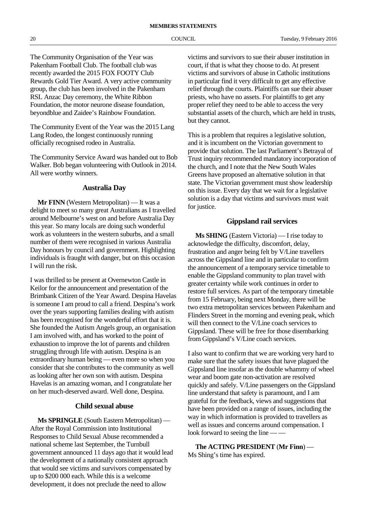The Community Organisation of the Year was Pakenham Football Club. The football club was recently awarded the 2015 FOX FOOTY Club Rewards Gold Tier Award. A very active community group, the club has been involved in the Pakenham RSL Anzac Day ceremony, the White Ribbon Foundation, the motor neurone disease foundation, beyondblue and Zaidee's Rainbow Foundation.

The Community Event of the Year was the 2015 Lang Lang Rodeo, the longest continuously running officially recognised rodeo in Australia.

The Community Service Award was handed out to Bob Walker. Bob began volunteering with Outlook in 2014. All were worthy winners.

#### **Australia Day**

**Mr FINN** (Western Metropolitan) — It was a delight to meet so many great Australians as I travelled around Melbourne's west on and before Australia Day this year. So many locals are doing such wonderful work as volunteers in the western suburbs, and a small number of them were recognised in various Australia Day honours by council and government. Highlighting individuals is fraught with danger, but on this occasion I will run the risk.

I was thrilled to be present at Overnewton Castle in Keilor for the announcement and presentation of the Brimbank Citizen of the Year Award. Despina Havelas is someone I am proud to call a friend. Despina's work over the years supporting families dealing with autism has been recognised for the wonderful effort that it is. She founded the Autism Angels group, an organisation I am involved with, and has worked to the point of exhaustion to improve the lot of parents and children struggling through life with autism. Despina is an extraordinary human being — even more so when you consider that she contributes to the community as well as looking after her own son with autism. Despina Havelas is an amazing woman, and I congratulate her on her much-deserved award. Well done, Despina.

#### **Child sexual abuse**

**Ms SPRINGLE** (South Eastern Metropolitan) — After the Royal Commission into Institutional Responses to Child Sexual Abuse recommended a national scheme last September, the Turnbull government announced 11 days ago that it would lead the development of a nationally consistent approach that would see victims and survivors compensated by up to \$200 000 each. While this is a welcome development, it does not preclude the need to allow

victims and survivors to sue their abuser institution in court, if that is what they choose to do. At present victims and survivors of abuse in Catholic institutions in particular find it very difficult to get any effective relief through the courts. Plaintiffs can sue their abuser priests, who have no assets. For plaintiffs to get any proper relief they need to be able to access the very substantial assets of the church, which are held in trusts, but they cannot.

This is a problem that requires a legislative solution, and it is incumbent on the Victorian government to provide that solution. The last Parliament's Betrayal of Trust inquiry recommended mandatory incorporation of the church, and I note that the New South Wales Greens have proposed an alternative solution in that state. The Victorian government must show leadership on this issue. Every day that we wait for a legislative solution is a day that victims and survivors must wait for justice.

#### **Gippsland rail services**

**Ms SHING** (Eastern Victoria) — I rise today to acknowledge the difficulty, discomfort, delay, frustration and anger being felt by V/Line travellers across the Gippsland line and in particular to confirm the announcement of a temporary service timetable to enable the Gippsland community to plan travel with greater certainty while work continues in order to restore full services. As part of the temporary timetable from 15 February, being next Monday, there will be two extra metropolitan services between Pakenham and Flinders Street in the morning and evening peak, which will then connect to the V/Line coach services to Gippsland. These will be free for those disembarking from Gippsland's V/Line coach services.

I also want to confirm that we are working very hard to make sure that the safety issues that have plagued the Gippsland line insofar as the double whammy of wheel wear and boom gate non-activation are resolved quickly and safely. V/Line passengers on the Gippsland line understand that safety is paramount, and I am grateful for the feedback, views and suggestions that have been provided on a range of issues, including the way in which information is provided to travellers as well as issues and concerns around compensation. I look forward to seeing the line –

**The ACTING PRESIDENT** (**Mr Finn**) — Ms Shing's time has expired.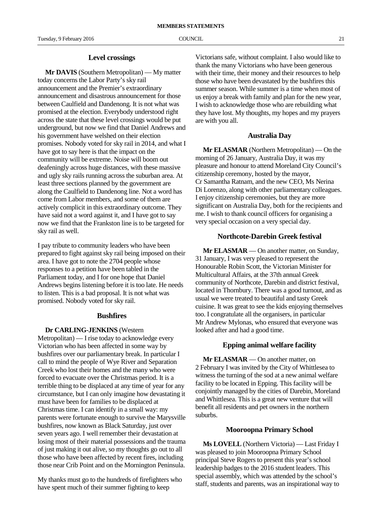#### **Level crossings**

**Mr DAVIS** (Southern Metropolitan) — My matter today concerns the Labor Party's sky rail announcement and the Premier's extraordinary announcement and disastrous announcement for those between Caulfield and Dandenong. It is not what was promised at the election. Everybody understood right across the state that these level crossings would be put underground, but now we find that Daniel Andrews and his government have welshed on their election promises. Nobody voted for sky rail in 2014, and what I have got to say here is that the impact on the community will be extreme. Noise will boom out deafeningly across huge distances, with these massive and ugly sky rails running across the suburban area. At least three sections planned by the government are along the Caulfield to Dandenong line. Not a word has come from Labor members, and some of them are actively complicit in this extraordinary outcome. They have said not a word against it, and I have got to say now we find that the Frankston line is to be targeted for sky rail as well.

I pay tribute to community leaders who have been prepared to fight against sky rail being imposed on their area. I have got to note the 2704 people whose responses to a petition have been tabled in the Parliament today, and I for one hope that Daniel Andrews begins listening before it is too late. He needs to listen. This is a bad proposal. It is not what was promised. Nobody voted for sky rail.

#### **Bushfires**

#### **Dr CARLING-JENKINS** (Western

Metropolitan) — I rise today to acknowledge every Victorian who has been affected in some way by bushfires over our parliamentary break. In particular I call to mind the people of Wye River and Separation Creek who lost their homes and the many who were forced to evacuate over the Christmas period. It is a terrible thing to be displaced at any time of year for any circumstance, but I can only imagine how devastating it must have been for families to be displaced at Christmas time. I can identify in a small way: my parents were fortunate enough to survive the Marysville bushfires, now known as Black Saturday, just over seven years ago. I well remember their devastation at losing most of their material possessions and the trauma of just making it out alive, so my thoughts go out to all those who have been affected by recent fires, including those near Crib Point and on the Mornington Peninsula.

My thanks must go to the hundreds of firefighters who have spent much of their summer fighting to keep

Victorians safe, without complaint. I also would like to thank the many Victorians who have been generous with their time, their money and their resources to help those who have been devastated by the bushfires this summer season. While summer is a time when most of us enjoy a break with family and plan for the new year, I wish to acknowledge those who are rebuilding what they have lost. My thoughts, my hopes and my prayers are with you all.

#### **Australia Day**

**Mr ELASMAR** (Northern Metropolitan) — On the morning of 26 January, Australia Day, it was my pleasure and honour to attend Moreland City Council's citizenship ceremony, hosted by the mayor, Cr Samantha Ratnam, and the new CEO, Ms Nerina Di Lorenzo, along with other parliamentary colleagues. I enjoy citizenship ceremonies, but they are more significant on Australia Day, both for the recipients and me. I wish to thank council officers for organising a very special occasion on a very special day.

#### **Northcote-Darebin Greek festival**

**Mr ELASMAR** — On another matter, on Sunday, 31 January, I was very pleased to represent the Honourable Robin Scott, the Victorian Minister for Multicultural Affairs, at the 37th annual Greek community of Northcote, Darebin and district festival, located in Thornbury. There was a good turnout, and as usual we were treated to beautiful and tasty Greek cuisine. It was great to see the kids enjoying themselves too. I congratulate all the organisers, in particular Mr Andrew Mylonas, who ensured that everyone was looked after and had a good time.

#### **Epping animal welfare facility**

**Mr ELASMAR** — On another matter, on 2 February I was invited by the City of Whittlesea to witness the turning of the sod at a new animal welfare facility to be located in Epping. This facility will be conjointly managed by the cities of Darebin, Moreland and Whittlesea. This is a great new venture that will benefit all residents and pet owners in the northern suburbs.

#### **Mooroopna Primary School**

**Ms LOVELL** (Northern Victoria) — Last Friday I was pleased to join Mooroopna Primary School principal Steve Rogers to present this year's school leadership badges to the 2016 student leaders. This special assembly, which was attended by the school's staff, students and parents, was an inspirational way to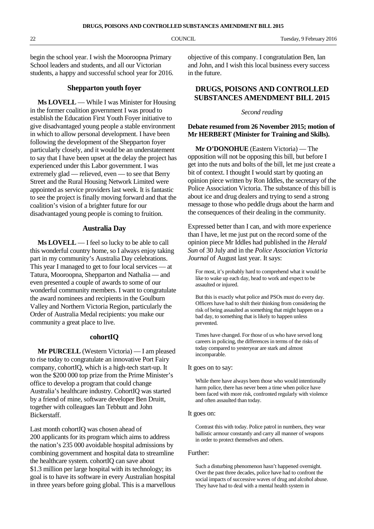begin the school year. I wish the Mooroopna Primary School leaders and students, and all our Victorian students, a happy and successful school year for 2016.

#### **Shepparton youth foyer**

**Ms LOVELL** — While I was Minister for Housing in the former coalition government I was proud to establish the Education First Youth Foyer initiative to give disadvantaged young people a stable environment in which to allow personal development. I have been following the development of the Shepparton foyer particularly closely, and it would be an understatement to say that I have been upset at the delay the project has experienced under this Labor government. I was extremely glad — relieved, even — to see that Berry Street and the Rural Housing Network Limited were appointed as service providers last week. It is fantastic to see the project is finally moving forward and that the coalition's vision of a brighter future for our disadvantaged young people is coming to fruition.

#### **Australia Day**

**Ms LOVELL** — I feel so lucky to be able to call this wonderful country home, so I always enjoy taking part in my community's Australia Day celebrations. This year I managed to get to four local services — at Tatura, Mooroopna, Shepparton and Nathalia — and even presented a couple of awards to some of our wonderful community members. I want to congratulate the award nominees and recipients in the Goulburn Valley and Northern Victoria Region, particularly the Order of Australia Medal recipients: you make our community a great place to live.

#### **cohortIQ**

**Mr PURCELL** (Western Victoria) — I am pleased to rise today to congratulate an innovative Port Fairy company, cohortIQ, which is a high-tech start-up. It won the \$200 000 top prize from the Prime Minister's office to develop a program that could change Australia's healthcare industry. CohortIQ was started by a friend of mine, software developer Ben Druitt, together with colleagues Ian Tebbutt and John Bickerstaff.

Last month cohortIQ was chosen ahead of 200 applicants for its program which aims to address the nation's 235 000 avoidable hospital admissions by combining government and hospital data to streamline the healthcare system. cohortIQ can save about \$1.3 million per large hospital with its technology; its goal is to have its software in every Australian hospital in three years before going global. This is a marvellous objective of this company. I congratulation Ben, Ian and John, and I wish this local business every success in the future.

### **DRUGS, POISONS AND CONTROLLED SUBSTANCES AMENDMENT BILL 2015**

#### *Second reading*

#### **Debate resumed from 26 November 2015; motion of Mr HERBERT (Minister for Training and Skills).**

**Mr O'DONOHUE** (Eastern Victoria) — The opposition will not be opposing this bill, but before I get into the nuts and bolts of the bill, let me just create a bit of context. I thought I would start by quoting an opinion piece written by Ron Iddles, the secretary of the Police Association Victoria. The substance of this bill is about ice and drug dealers and trying to send a strong message to those who peddle drugs about the harm and the consequences of their dealing in the community.

Expressed better than I can, and with more experience than I have, let me just put on the record some of the opinion piece Mr Iddles had published in the *Herald Sun* of 30 July and in the *Police Association Victoria Journal* of August last year. It says:

For most, it's probably hard to comprehend what it would be like to wake up each day, head to work and expect to be assaulted or injured.

But this is exactly what police and PSOs must do every day. Officers have had to shift their thinking from considering the risk of being assaulted as something that might happen on a bad day, to something that is likely to happen unless prevented.

Times have changed. For those of us who have served long careers in policing, the differences in terms of the risks of today compared to yesteryear are stark and almost incomparable.

It goes on to say:

While there have always been those who would intentionally harm police, there has never been a time when police have been faced with more risk, confronted regularly with violence and often assaulted than today.

#### It goes on:

Contrast this with today. Police patrol in numbers, they wear ballistic armour constantly and carry all manner of weapons in order to protect themselves and others.

#### Further:

Such a disturbing phenomenon hasn't happened overnight. Over the past three decades, police have had to confront the social impacts of successive waves of drug and alcohol abuse. They have had to deal with a mental health system in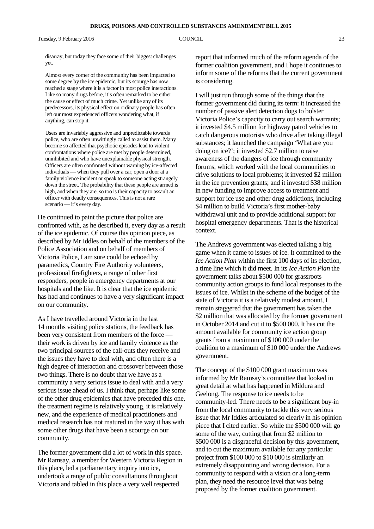disarray, but today they face some of their biggest challenges yet.

Almost every corner of the community has been impacted to some degree by the ice epidemic, but its scourge has now reached a stage where it is a factor in most police interactions. Like so many drugs before, it's often remarked to be either the cause or effect of much crime. Yet unlike any of its predecessors, its physical effect on ordinary people has often left our most experienced officers wondering what, if anything, can stop it.

Users are invariably aggressive and unpredictable towards police, who are often unwittingly called to assist them. Many become so affected that psychotic episodes lead to violent confrontations where police are met by people determined, uninhibited and who have unexplainable physical strength. Officers are often confronted without warning by ice-affected individuals — when they pull over a car, open a door at a family violence incident or speak to someone acting strangely down the street. The probability that these people are armed is high, and when they are, so too is their capacity to assault an officer with deadly consequences. This is not a rare scenario — it's every day.

He continued to paint the picture that police are confronted with, as he described it, every day as a result of the ice epidemic. Of course this opinion piece, as described by Mr Iddles on behalf of the members of the Police Association and on behalf of members of Victoria Police, I am sure could be echoed by paramedics, Country Fire Authority volunteers, professional firefighters, a range of other first responders, people in emergency departments at our hospitals and the like. It is clear that the ice epidemic has had and continues to have a very significant impact on our community.

As I have travelled around Victoria in the last 14 months visiting police stations, the feedback has been very consistent from members of the force their work is driven by ice and family violence as the two principal sources of the call-outs they receive and the issues they have to deal with, and often there is a high degree of interaction and crossover between those two things. There is no doubt that we have as a community a very serious issue to deal with and a very serious issue ahead of us. I think that, perhaps like some of the other drug epidemics that have preceded this one, the treatment regime is relatively young, it is relatively new, and the experience of medical practitioners and medical research has not matured in the way it has with some other drugs that have been a scourge on our community.

The former government did a lot of work in this space. Mr Ramsay, a member for Western Victoria Region in this place, led a parliamentary inquiry into ice, undertook a range of public consultations throughout Victoria and tabled in this place a very well respected

report that informed much of the reform agenda of the former coalition government, and I hope it continues to inform some of the reforms that the current government is considering.

I will just run through some of the things that the former government did during its term: it increased the number of passive alert detection dogs to bolster Victoria Police's capacity to carry out search warrants; it invested \$4.5 million for highway patrol vehicles to catch dangerous motorists who drive after taking illegal substances; it launched the campaign 'What are you doing on ice?'; it invested \$2.7 million to raise awareness of the dangers of ice through community forums, which worked with the local communities to drive solutions to local problems; it invested \$2 million in the ice prevention grants; and it invested \$38 million in new funding to improve access to treatment and support for ice use and other drug addictions, including \$4 million to build Victoria's first mother-baby withdrawal unit and to provide additional support for hospital emergency departments. That is the historical context.

The Andrews government was elected talking a big game when it came to issues of ice. It committed to the *Ice Action Plan* within the first 100 days of its election, a time line which it did meet. In its *Ice Action Plan* the government talks about \$500 000 for grassroots community action groups to fund local responses to the issues of ice. Whilst in the scheme of the budget of the state of Victoria it is a relatively modest amount, I remain staggered that the government has taken the \$2 million that was allocated by the former government in October 2014 and cut it to \$500 000. It has cut the amount available for community ice action group grants from a maximum of \$100 000 under the coalition to a maximum of \$10 000 under the Andrews government.

The concept of the \$100 000 grant maximum was informed by Mr Ramsay's committee that looked in great detail at what has happened in Mildura and Geelong. The response to ice needs to be community-led. There needs to be a significant buy-in from the local community to tackle this very serious issue that Mr Iddles articulated so clearly in his opinion piece that I cited earlier. So while the \$500 000 will go some of the way, cutting that from \$2 million to \$500 000 is a disgraceful decision by this government, and to cut the maximum available for any particular project from \$100 000 to \$10 000 is similarly an extremely disappointing and wrong decision. For a community to respond with a vision or a long-term plan, they need the resource level that was being proposed by the former coalition government.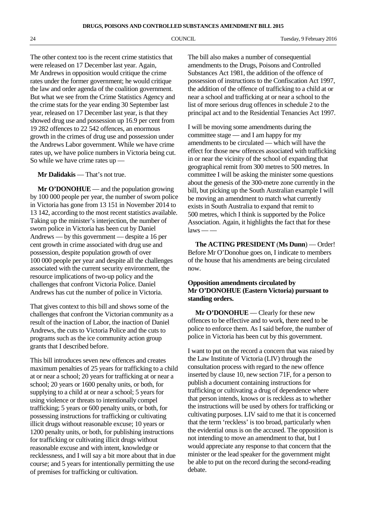The other context too is the recent crime statistics that were released on 17 December last year. Again, Mr Andrews in opposition would critique the crime rates under the former government; he would critique the law and order agenda of the coalition government. But what we see from the Crime Statistics Agency and the crime stats for the year ending 30 September last year, released on 17 December last year, is that they showed drug use and possession up 16.9 per cent from 19 282 offences to 22 542 offences, an enormous growth in the crimes of drug use and possession under the Andrews Labor government. While we have crime rates up, we have police numbers in Victoria being cut. So while we have crime rates up —

#### **Mr Dalidakis** — That's not true.

**Mr O'DONOHUE** — and the population growing by 100 000 people per year, the number of sworn police in Victoria has gone from 13 151 in November 2014 to 13 142, according to the most recent statistics available. Taking up the minister's interjection, the number of sworn police in Victoria has been cut by Daniel Andrews — by this government — despite a 16 per cent growth in crime associated with drug use and possession, despite population growth of over 100 000 people per year and despite all the challenges associated with the current security environment, the resource implications of two-up policy and the challenges that confront Victoria Police. Daniel Andrews has cut the number of police in Victoria.

That gives context to this bill and shows some of the challenges that confront the Victorian community as a result of the inaction of Labor, the inaction of Daniel Andrews, the cuts to Victoria Police and the cuts to programs such as the ice community action group grants that I described before.

This bill introduces seven new offences and creates maximum penalties of 25 years for trafficking to a child at or near a school; 20 years for trafficking at or near a school; 20 years or 1600 penalty units, or both, for supplying to a child at or near a school; 5 years for using violence or threats to intentionally compel trafficking; 5 years or 600 penalty units, or both, for possessing instructions for trafficking or cultivating illicit drugs without reasonable excuse; 10 years or 1200 penalty units, or both, for publishing instructions for trafficking or cultivating illicit drugs without reasonable excuse and with intent, knowledge or recklessness, and I will say a bit more about that in due course; and 5 years for intentionally permitting the use of premises for trafficking or cultivation.

The bill also makes a number of consequential amendments to the Drugs, Poisons and Controlled Substances Act 1981, the addition of the offence of possession of instructions to the Confiscation Act 1997, the addition of the offence of trafficking to a child at or near a school and trafficking at or near a school to the list of more serious drug offences in schedule 2 to the principal act and to the Residential Tenancies Act 1997.

I will be moving some amendments during the committee stage — and I am happy for my amendments to be circulated — which will have the effect for those new offences associated with trafficking in or near the vicinity of the school of expanding that geographical remit from 300 metres to 500 metres. In committee I will be asking the minister some questions about the genesis of the 300-metre zone currently in the bill, but picking up the South Australian example I will be moving an amendment to match what currently exists in South Australia to expand that remit to 500 metres, which I think is supported by the Police Association. Again, it highlights the fact that for these  $laws \longrightarrow$ 

**The ACTING PRESIDENT** (**Ms Dunn**) — Order! Before Mr O'Donohue goes on, I indicate to members of the house that his amendments are being circulated now.

#### **Opposition amendments circulated by Mr O'DONOHUE (Eastern Victoria) pursuant to standing orders.**

**Mr O'DONOHUE** — Clearly for these new offences to be effective and to work, there need to be police to enforce them. As I said before, the number of police in Victoria has been cut by this government.

I want to put on the record a concern that was raised by the Law Institute of Victoria (LIV) through the consultation process with regard to the new offence inserted by clause 10, new section 71F, for a person to publish a document containing instructions for trafficking or cultivating a drug of dependence where that person intends, knows or is reckless as to whether the instructions will be used by others for trafficking or cultivating purposes. LIV said to me that it is concerned that the term 'reckless' is too broad, particularly when the evidential onus is on the accused. The opposition is not intending to move an amendment to that, but I would appreciate any response to that concern that the minister or the lead speaker for the government might be able to put on the record during the second-reading debate.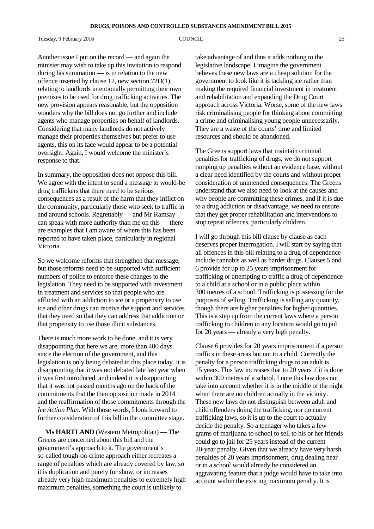Tuesday, 9 February 2016 **COUNCIL COUNCIL** 25

Another issue I put on the record — and again the minister may wish to take up this invitation to respond during his summation — is in relation to the new offence inserted by clause 12, new section 72D(1), relating to landlords intentionally permitting their own premises to be used for drug trafficking activities. The new provision appears reasonable, but the opposition wonders why the bill does not go further and include agents who manage properties on behalf of landlords. Considering that many landlords do not actively manage their properties themselves but prefer to use agents, this on its face would appear to be a potential oversight. Again, I would welcome the minister's response to that.

In summary, the opposition does not oppose this bill. We agree with the intent to send a message to would-be drug traffickers that there need to be serious consequences as a result of the harm that they inflict on the community, particularly those who seek to traffic in and around schools. Regrettably — and Mr Ramsay can speak with more authority than me on this — there are examples that I am aware of where this has been reported to have taken place, particularly in regional Victoria.

So we welcome reforms that strengthen that message, but those reforms need to be supported with sufficient numbers of police to enforce these changes to the legislation. They need to be supported with investment in treatment and services so that people who are afflicted with an addiction to ice or a propensity to use ice and other drugs can receive the support and services that they need so that they can address that addiction or that propensity to use those illicit substances.

There is much more work to be done, and it is very disappointing that here we are, more than 400 days since the election of the government, and this legislation is only being debated in this place today. It is disappointing that it was not debated late last year when it was first introduced, and indeed it is disappointing that it was not passed months ago on the back of the commitments that the then opposition made in 2014 and the reaffirmation of those commitments through the *Ice Action Plan*. With those words, I look forward to further consideration of this bill in the committee stage.

**Ms HARTLAND** (Western Metropolitan) — The Greens are concerned about this bill and the government's approach to it. The government's so-called tough-on-crime approach either recreates a range of penalties which are already covered by law, so it is duplication and purely for show, or increases already very high maximum penalties to extremely high maximum penalties, something the court is unlikely to

take advantage of and thus it adds nothing to the legislative landscape. I imagine the government believes these new laws are a cheap solution for the government to look like it is tackling ice rather than making the required financial investment in treatment and rehabilitation and expanding the Drug Court approach across Victoria. Worse, some of the new laws risk criminalising people for thinking about committing a crime and criminalising young people unnecessarily. They are a waste of the courts' time and limited resources and should be abandoned.

The Greens support laws that maintain criminal penalties for trafficking of drugs; we do not support ramping up penalties without an evidence base, without a clear need identified by the courts and without proper consideration of unintended consequences. The Greens understand that we also need to look at the causes and why people are committing these crimes, and if it is due to a drug addiction or disadvantage, we need to ensure that they get proper rehabilitation and interventions to stop repeat offences, particularly children.

I will go through this bill clause by clause as each deserves proper interrogation. I will start by saying that all offences in this bill relating to a drug of dependence include cannabis as well as harder drugs. Clauses 5 and 6 provide for up to 25 years imprisonment for trafficking or attempting to traffic a drug of dependence to a child at a school or in a public place within 300 metres of a school. Trafficking is possessing for the purposes of selling. Trafficking is selling any quantity, though there are higher penalties for higher quantities. This is a step up from the current laws where a person trafficking to children in any location would go to jail for 20 years — already a very high penalty.

Clause 6 provides for 20 years imprisonment if a person traffics in these areas but not to a child. Currently the penalty for a person trafficking drugs to an adult is 15 years. This law increases that to 20 years if it is done within 300 metres of a school. I note this law does not take into account whether it is in the middle of the night when there are no children actually in the vicinity. These new laws do not distinguish between adult and child offenders doing the trafficking, nor do current trafficking laws, so it is up to the court to actually decide the penalty. So a teenager who takes a few grams of marijuana to school to sell to his or her friends could go to jail for 25 years instead of the current 20-year penalty. Given that we already have very harsh penalties of 20 years imprisonment, drug dealing near or in a school would already be considered an aggravating feature that a judge would have to take into account within the existing maximum penalty. It is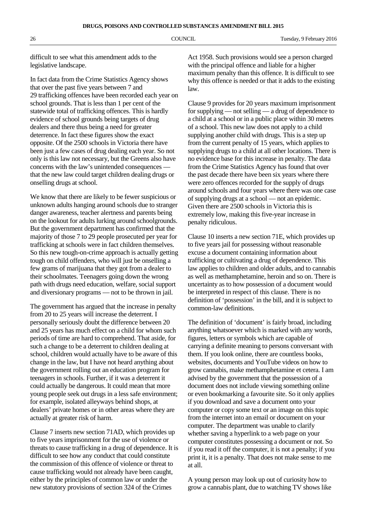difficult to see what this amendment adds to the legislative landscape.

In fact data from the Crime Statistics Agency shows that over the past five years between 7 and 29 trafficking offences have been recorded each year on school grounds. That is less than 1 per cent of the statewide total of trafficking offences. This is hardly evidence of school grounds being targets of drug dealers and there thus being a need for greater deterrence. In fact these figures show the exact opposite. Of the 2500 schools in Victoria there have been just a few cases of drug dealing each year. So not only is this law not necessary, but the Greens also have concerns with the law's unintended consequences that the new law could target children dealing drugs or onselling drugs at school.

We know that there are likely to be fewer suspicious or unknown adults hanging around schools due to stranger danger awareness, teacher alertness and parents being on the lookout for adults lurking around schoolgrounds. But the government department has confirmed that the majority of those 7 to 29 people prosecuted per year for trafficking at schools were in fact children themselves. So this new tough-on-crime approach is actually getting tough on child offenders, who will just be onselling a few grams of marijuana that they got from a dealer to their schoolmates. Teenagers going down the wrong path with drugs need education, welfare, social support and diversionary programs — not to be thrown in jail.

The government has argued that the increase in penalty from 20 to 25 years will increase the deterrent. I personally seriously doubt the difference between 20 and 25 years has much effect on a child for whom such periods of time are hard to comprehend. That aside, for such a change to be a deterrent to children dealing at school, children would actually have to be aware of this change in the law, but I have not heard anything about the government rolling out an education program for teenagers in schools. Further, if it was a deterrent it could actually be dangerous. It could mean that more young people seek out drugs in a less safe environment; for example, isolated alleyways behind shops, at dealers' private homes or in other areas where they are actually at greater risk of harm.

Clause 7 inserts new section 71AD, which provides up to five years imprisonment for the use of violence or threats to cause trafficking in a drug of dependence. It is difficult to see how any conduct that could constitute the commission of this offence of violence or threat to cause trafficking would not already have been caught, either by the principles of common law or under the new statutory provisions of section 324 of the Crimes

Act 1958. Such provisions would see a person charged with the principal offence and liable for a higher maximum penalty than this offence. It is difficult to see why this offence is needed or that it adds to the existing law.

Clause 9 provides for 20 years maximum imprisonment for supplying — not selling — a drug of dependence to a child at a school or in a public place within 30 metres of a school. This new law does not apply to a child supplying another child with drugs. This is a step up from the current penalty of 15 years, which applies to supplying drugs to a child at all other locations. There is no evidence base for this increase in penalty. The data from the Crime Statistics Agency has found that over the past decade there have been six years where there were zero offences recorded for the supply of drugs around schools and four years where there was one case of supplying drugs at a school — not an epidemic. Given there are 2500 schools in Victoria this is extremely low, making this five-year increase in penalty ridiculous.

Clause 10 inserts a new section 71E, which provides up to five years jail for possessing without reasonable excuse a document containing information about trafficking or cultivating a drug of dependence. This law applies to children and older adults, and to cannabis as well as methamphetamine, heroin and so on. There is uncertainty as to how possession of a document would be interpreted in respect of this clause. There is no definition of 'possession' in the bill, and it is subject to common-law definitions.

The definition of 'document' is fairly broad, including anything whatsoever which is marked with any words, figures, letters or symbols which are capable of carrying a definite meaning to persons conversant with them. If you look online, there are countless books, websites, documents and YouTube videos on how to grow cannabis, make methamphetamine et cetera. I am advised by the government that the possession of a document does not include viewing something online or even bookmarking a favourite site. So it only applies if you download and save a document onto your computer or copy some text or an image on this topic from the internet into an email or document on your computer. The department was unable to clarify whether saving a hyperlink to a web page on your computer constitutes possessing a document or not. So if you read it off the computer, it is not a penalty; if you print it, it is a penalty. That does not make sense to me at all.

A young person may look up out of curiosity how to grow a cannabis plant, due to watching TV shows like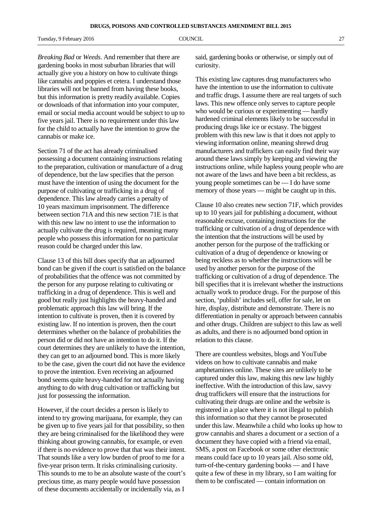Tuesday, 9 February 2016 **COUNCIL COUNCIL** 27

*Breaking Bad* or *Weeds*. And remember that there are gardening books in most suburban libraries that will actually give you a history on how to cultivate things like cannabis and poppies et cetera. I understand those libraries will not be banned from having these books, but this information is pretty readily available. Copies or downloads of that information into your computer, email or social media account would be subject to up to five years jail. There is no requirement under this law for the child to actually have the intention to grow the cannabis or make ice.

Section 71 of the act has already criminalised possessing a document containing instructions relating to the preparation, cultivation or manufacture of a drug of dependence, but the law specifies that the person must have the intention of using the document for the purpose of cultivating or trafficking in a drug of dependence. This law already carries a penalty of 10 years maximum imprisonment. The difference between section 71A and this new section 71E is that with this new law no intent to use the information to actually cultivate the drug is required, meaning many people who possess this information for no particular reason could be charged under this law.

Clause 13 of this bill does specify that an adjourned bond can be given if the court is satisfied on the balance of probabilities that the offence was not committed by the person for any purpose relating to cultivating or trafficking in a drug of dependence. This is well and good but really just highlights the heavy-handed and problematic approach this law will bring. If the intention to cultivate is proven, then it is covered by existing law. If no intention is proven, then the court determines whether on the balance of probabilities the person did or did not have an intention to do it. If the court determines they are unlikely to have the intention, they can get to an adjourned bond. This is more likely to be the case, given the court did not have the evidence to prove the intention. Even receiving an adjourned bond seems quite heavy-handed for not actually having anything to do with drug cultivation or trafficking but just for possessing the information.

However, if the court decides a person is likely to intend to try growing marijuana, for example, they can be given up to five years jail for that possibility, so then they are being criminalised for the likelihood they were thinking about growing cannabis, for example, or even if there is no evidence to prove that that was their intent. That sounds like a very low burden of proof to me for a five-year prison term. It risks criminalising curiosity. This sounds to me to be an absolute waste of the court's precious time, as many people would have possession of these documents accidentally or incidentally via, as I

said, gardening books or otherwise, or simply out of curiosity.

This existing law captures drug manufacturers who have the intention to use the information to cultivate and traffic drugs. I assume there are real targets of such laws. This new offence only serves to capture people who would be curious or experimenting — hardly hardened criminal elements likely to be successful in producing drugs like ice or ecstasy. The biggest problem with this new law is that it does not apply to viewing information online, meaning shrewd drug manufacturers and traffickers can easily find their way around these laws simply by keeping and viewing the instructions online, while hapless young people who are not aware of the laws and have been a bit reckless, as young people sometimes can be — I do have some memory of those years — might be caught up in this.

Clause 10 also creates new section 71F, which provides up to 10 years jail for publishing a document, without reasonable excuse, containing instructions for the trafficking or cultivation of a drug of dependence with the intention that the instructions will be used by another person for the purpose of the trafficking or cultivation of a drug of dependence or knowing or being reckless as to whether the instructions will be used by another person for the purpose of the trafficking or cultivation of a drug of dependence. The bill specifies that it is irrelevant whether the instructions actually work to produce drugs. For the purpose of this section, 'publish' includes sell, offer for sale, let on hire, display, distribute and demonstrate. There is no differentiation in penalty or approach between cannabis and other drugs. Children are subject to this law as well as adults, and there is no adjourned bond option in relation to this clause.

There are countless websites, blogs and YouTube videos on how to cultivate cannabis and make amphetamines online. These sites are unlikely to be captured under this law, making this new law highly ineffective. With the introduction of this law, savvy drug traffickers will ensure that the instructions for cultivating their drugs are online and the website is registered in a place where it is not illegal to publish this information so that they cannot be prosecuted under this law. Meanwhile a child who looks up how to grow cannabis and shares a document or a section of a document they have copied with a friend via email, SMS, a post on Facebook or some other electronic means could face up to 10 years jail. Also some old, turn-of-the-century gardening books — and I have quite a few of these in my library, so I am waiting for them to be confiscated — contain information on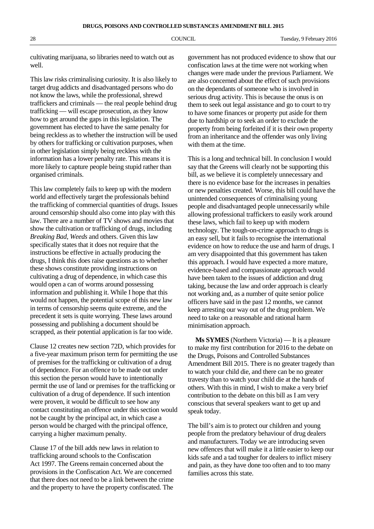cultivating marijuana, so libraries need to watch out as well.

This law risks criminalising curiosity. It is also likely to target drug addicts and disadvantaged persons who do not know the laws, while the professional, shrewd traffickers and criminals — the real people behind drug trafficking — will escape prosecution, as they know how to get around the gaps in this legislation. The government has elected to have the same penalty for being reckless as to whether the instruction will be used by others for trafficking or cultivation purposes, when in other legislation simply being reckless with the information has a lower penalty rate. This means it is more likely to capture people being stupid rather than organised criminals.

This law completely fails to keep up with the modern world and effectively target the professionals behind the trafficking of commercial quantities of drugs. Issues around censorship should also come into play with this law. There are a number of TV shows and movies that show the cultivation or trafficking of drugs, including *Breaking Bad*, *Weeds* and others. Given this law specifically states that it does not require that the instructions be effective in actually producing the drugs, I think this does raise questions as to whether these shows constitute providing instructions on cultivating a drug of dependence, in which case this would open a can of worms around possessing information and publishing it. While I hope that this would not happen, the potential scope of this new law in terms of censorship seems quite extreme, and the precedent it sets is quite worrying. These laws around possessing and publishing a document should be scrapped, as their potential application is far too wide.

Clause 12 creates new section 72D, which provides for a five-year maximum prison term for permitting the use of premises for the trafficking or cultivation of a drug of dependence. For an offence to be made out under this section the person would have to intentionally permit the use of land or premises for the trafficking or cultivation of a drug of dependence. If such intention were proven, it would be difficult to see how any contact constituting an offence under this section would not be caught by the principal act, in which case a person would be charged with the principal offence, carrying a higher maximum penalty.

Clause 17 of the bill adds new laws in relation to trafficking around schools to the Confiscation Act 1997. The Greens remain concerned about the provisions in the Confiscation Act. We are concerned that there does not need to be a link between the crime and the property to have the property confiscated. The

government has not produced evidence to show that our confiscation laws at the time were not working when changes were made under the previous Parliament. We are also concerned about the effect of such provisions on the dependants of someone who is involved in serious drug activity. This is because the onus is on them to seek out legal assistance and go to court to try to have some finances or property put aside for them due to hardship or to seek an order to exclude the property from being forfeited if it is their own property from an inheritance and the offender was only living with them at the time.

This is a long and technical bill. In conclusion I would say that the Greens will clearly not be supporting this bill, as we believe it is completely unnecessary and there is no evidence base for the increases in penalties or new penalties created. Worse, this bill could have the unintended consequences of criminalising young people and disadvantaged people unnecessarily while allowing professional traffickers to easily work around these laws, which fail to keep up with modern technology. The tough-on-crime approach to drugs is an easy sell, but it fails to recognise the international evidence on how to reduce the use and harm of drugs. I am very disappointed that this government has taken this approach. I would have expected a more mature, evidence-based and compassionate approach would have been taken to the issues of addiction and drug taking, because the law and order approach is clearly not working and, as a number of quite senior police officers have said in the past 12 months, we cannot keep arresting our way out of the drug problem. We need to take on a reasonable and rational harm minimisation approach.

**Ms SYMES** (Northern Victoria) — It is a pleasure to make my first contribution for 2016 to the debate on the Drugs, Poisons and Controlled Substances Amendment Bill 2015. There is no greater tragedy than to watch your child die, and there can be no greater travesty than to watch your child die at the hands of others. With this in mind, I wish to make a very brief contribution to the debate on this bill as I am very conscious that several speakers want to get up and speak today.

The bill's aim is to protect our children and young people from the predatory behaviour of drug dealers and manufacturers. Today we are introducing seven new offences that will make it a little easier to keep our kids safe and a tad tougher for dealers to inflict misery and pain, as they have done too often and to too many families across this state.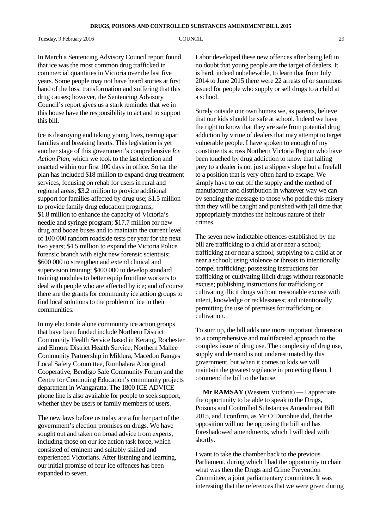Tuesday, 9 February 2016 **COUNCIL COUNCIL** 29

In March a Sentencing Advisory Council report found that ice was the most common drug trafficked in commercial quantities in Victoria over the last five years. Some people may not have heard stories at first hand of the loss, transformation and suffering that this drug causes; however, the Sentencing Advisory Council's report gives us a stark reminder that we in this house have the responsibility to act and to support this bill.

Ice is destroying and taking young lives, tearing apart families and breaking hearts. This legislation is yet another stage of this government's comprehensive *Ice Action Plan*, which we took to the last election and enacted within our first 100 days in office. So far the plan has included \$18 million to expand drug treatment services, focusing on rehab for users in rural and regional areas; \$3.2 million to provide additional support for families affected by drug use; \$1.5 million to provide family drug education programs; \$1.8 million to enhance the capacity of Victoria's needle and syringe program; \$17.7 million for new drug and booze buses and to maintain the current level of 100 000 random roadside tests per year for the next two years; \$4.5 million to expand the Victoria Police forensic branch with eight new forensic scientists; \$600 000 to strengthen and extend clinical and supervision training; \$400 000 to develop standard training modules to better equip frontline workers to deal with people who are affected by ice; and of course there are the grants for community ice action groups to find local solutions to the problem of ice in their communities.

In my electorate alone community ice action groups that have been funded include Northern District Community Health Service based in Kerang, Rochester and Elmore District Health Service, Northern Mallee Community Partnership in Mildura, Macedon Ranges Local Safety Committee, Rumbalara Aboriginal Cooperative, Bendigo Safe Community Forum and the Centre for Continuing Education's community projects department in Wangaratta. The 1800 ICE ADVICE phone line is also available for people to seek support, whether they be users or family members of users.

The new laws before us today are a further part of the government's election promises on drugs. We have sought out and taken on broad advice from experts, including those on our ice action task force, which consisted of eminent and suitably skilled and experienced Victorians. After listening and learning, our initial promise of four ice offences has been expanded to seven.

Labor developed these new offences after being left in no doubt that young people are the target of dealers. It is hard, indeed unbelievable, to learn that from July 2014 to June 2015 there were 22 arrests of or summons issued for people who supply or sell drugs to a child at a school.

Surely outside our own homes we, as parents, believe that our kids should be safe at school. Indeed we have the right to know that they are safe from potential drug addiction by virtue of dealers that may attempt to target vulnerable people. I have spoken to enough of my constituents across Northern Victoria Region who have been touched by drug addiction to know that falling prey to a dealer is not just a slippery slope but a freefall to a position that is very often hard to escape. We simply have to cut off the supply and the method of manufacture and distribution in whatever way we can by sending the message to those who peddle this misery that they will be caught and punished with jail time that appropriately matches the heinous nature of their crimes.

The seven new indictable offences established by the bill are trafficking to a child at or near a school; trafficking at or near a school; supplying to a child at or near a school; using violence or threats to intentionally compel trafficking; possessing instructions for trafficking or cultivating illicit drugs without reasonable excuse; publishing instructions for trafficking or cultivating illicit drugs without reasonable excuse with intent, knowledge or recklessness; and intentionally permitting the use of premises for trafficking or cultivation.

To sum up, the bill adds one more important dimension to a comprehensive and multifaceted approach to the complex issue of drug use. The complexity of drug use, supply and demand is not underestimated by this government, but when it comes to kids we will maintain the greatest vigilance in protecting them. I commend the bill to the house.

**Mr RAMSAY** (Western Victoria) — I appreciate the opportunity to be able to speak to the Drugs, Poisons and Controlled Substances Amendment Bill 2015, and I confirm, as Mr O'Donohue did, that the opposition will not be opposing the bill and has foreshadowed amendments, which I will deal with shortly.

I want to take the chamber back to the previous Parliament, during which I had the opportunity to chair what was then the Drugs and Crime Prevention Committee, a joint parliamentary committee. It was interesting that the references that we were given during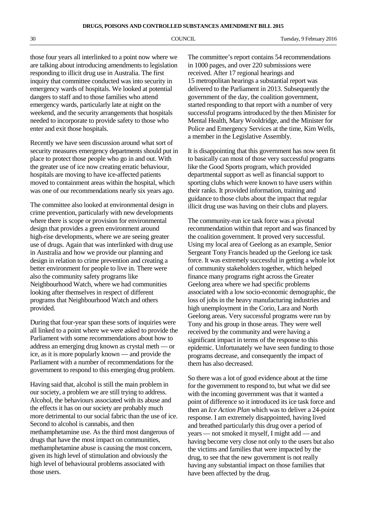those four years all interlinked to a point now where we are talking about introducing amendments to legislation responding to illicit drug use in Australia. The first inquiry that committee conducted was into security in emergency wards of hospitals. We looked at potential dangers to staff and to those families who attend emergency wards, particularly late at night on the weekend, and the security arrangements that hospitals needed to incorporate to provide safety to those who enter and exit those hospitals.

Recently we have seen discussion around what sort of security measures emergency departments should put in place to protect those people who go in and out. With the greater use of ice now creating erratic behaviour, hospitals are moving to have ice-affected patients moved to containment areas within the hospital, which was one of our recommendations nearly six years ago.

The committee also looked at environmental design in crime prevention, particularly with new developments where there is scope or provision for environmental design that provides a green environment around high-rise developments, where we are seeing greater use of drugs. Again that was interlinked with drug use in Australia and how we provide our planning and design in relation to crime prevention and creating a better environment for people to live in. There were also the community safety programs like Neighbourhood Watch, where we had communities looking after themselves in respect of different programs that Neighbourhood Watch and others provided.

During that four-year span these sorts of inquiries were all linked to a point where we were asked to provide the Parliament with some recommendations about how to address an emerging drug known as crystal meth — or ice, as it is more popularly known — and provide the Parliament with a number of recommendations for the government to respond to this emerging drug problem.

Having said that, alcohol is still the main problem in our society, a problem we are still trying to address. Alcohol, the behaviours associated with its abuse and the effects it has on our society are probably much more detrimental to our social fabric than the use of ice. Second to alcohol is cannabis, and then methamphetamine use. As the third most dangerous of drugs that have the most impact on communities, methamphetamine abuse is causing the most concern, given its high level of stimulation and obviously the high level of behavioural problems associated with those users.

The committee's report contains 54 recommendations in 1000 pages, and over 220 submissions were received. After 17 regional hearings and 15 metropolitan hearings a substantial report was delivered to the Parliament in 2013. Subsequently the government of the day, the coalition government, started responding to that report with a number of very successful programs introduced by the then Minister for Mental Health, Mary Wooldridge, and the Minister for Police and Emergency Services at the time, Kim Wells, a member in the Legislative Assembly.

It is disappointing that this government has now seen fit to basically can most of those very successful programs like the Good Sports program, which provided departmental support as well as financial support to sporting clubs which were known to have users within their ranks. It provided information, training and guidance to those clubs about the impact that regular illicit drug use was having on their clubs and players.

The community-run ice task force was a pivotal recommendation within that report and was financed by the coalition government. It proved very successful. Using my local area of Geelong as an example, Senior Sergeant Tony Francis headed up the Geelong ice task force. It was extremely successful in getting a whole lot of community stakeholders together, which helped finance many programs right across the Greater Geelong area where we had specific problems associated with a low socio-economic demographic, the loss of jobs in the heavy manufacturing industries and high unemployment in the Corio, Lara and North Geelong areas. Very successful programs were run by Tony and his group in those areas. They were well received by the community and were having a significant impact in terms of the response to this epidemic. Unfortunately we have seen funding to those programs decrease, and consequently the impact of them has also decreased.

So there was a lot of good evidence about at the time for the government to respond to, but what we did see with the incoming government was that it wanted a point of difference so it introduced its ice task force and then an *Ice Action Plan* which was to deliver a 24-point response. I am extremely disappointed, having lived and breathed particularly this drug over a period of years — not smoked it myself, I might add — and having become very close not only to the users but also the victims and families that were impacted by the drug, to see that the new government is not really having any substantial impact on those families that have been affected by the drug.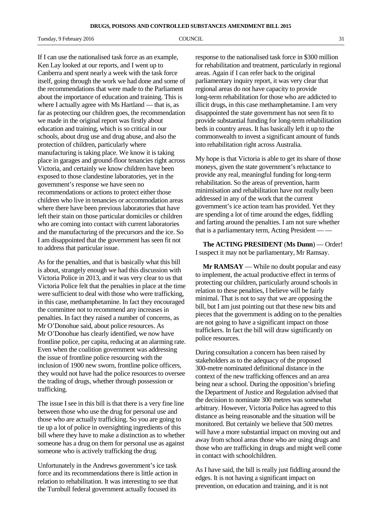Tuesday, 9 February 2016 **COUNCIL COUNCIL COUNCIL** 31

If I can use the nationalised task force as an example, Ken Lay looked at our reports, and I went up to Canberra and spent nearly a week with the task force itself, going through the work we had done and some of the recommendations that were made to the Parliament about the importance of education and training. This is where I actually agree with Ms Hartland — that is, as far as protecting our children goes, the recommendation we made in the original report was firstly about education and training, which is so critical in our schools, about drug use and drug abuse, and also the protection of children, particularly where manufacturing is taking place. We know it is taking place in garages and ground-floor tenancies right across Victoria, and certainly we know children have been exposed to those clandestine laboratories, yet in the government's response we have seen no recommendations or actions to protect either those children who live in tenancies or accommodation areas where there have been previous laboratories that have left their stain on those particular domiciles or children who are coming into contact with current laboratories and the manufacturing of the precursors and the ice. So I am disappointed that the government has seen fit not to address that particular issue.

As for the penalties, and that is basically what this bill is about, strangely enough we had this discussion with Victoria Police in 2013, and it was very clear to us that Victoria Police felt that the penalties in place at the time were sufficient to deal with those who were trafficking, in this case, methamphetamine. In fact they encouraged the committee not to recommend any increases in penalties. In fact they raised a number of concerns, as Mr O'Donohue said, about police resources. As Mr O'Donohue has clearly identified, we now have frontline police, per capita, reducing at an alarming rate. Even when the coalition government was addressing the issue of frontline police resourcing with the inclusion of 1900 new sworn, frontline police officers, they would not have had the police resources to oversee the trading of drugs, whether through possession or trafficking.

The issue I see in this bill is that there is a very fine line between those who use the drug for personal use and those who are actually trafficking. So you are going to tie up a lot of police in oversighting ingredients of this bill where they have to make a distinction as to whether someone has a drug on them for personal use as against someone who is actively trafficking the drug.

Unfortunately in the Andrews government's ice task force and its recommendations there is little action in relation to rehabilitation. It was interesting to see that the Turnbull federal government actually focused its

response to the nationalised task force in \$300 million for rehabilitation and treatment, particularly in regional areas. Again if I can refer back to the original parliamentary inquiry report, it was very clear that regional areas do not have capacity to provide long-term rehabilitation for those who are addicted to illicit drugs, in this case methamphetamine. I am very disappointed the state government has not seen fit to provide substantial funding for long-term rehabilitation beds in country areas. It has basically left it up to the commonwealth to invest a significant amount of funds into rehabilitation right across Australia.

My hope is that Victoria is able to get its share of those moneys, given the state government's reluctance to provide any real, meaningful funding for long-term rehabilitation. So the areas of prevention, harm minimisation and rehabilitation have not really been addressed in any of the work that the current government's ice action team has provided. Yet they are spending a lot of time around the edges, fiddling and farting around the penalties. I am not sure whether that is a parliamentary term, Acting President — —

**The ACTING PRESIDENT** (**Ms Dunn**) — Order! I suspect it may not be parliamentary, Mr Ramsay.

**Mr RAMSAY** — While no doubt popular and easy to implement, the actual productive effect in terms of protecting our children, particularly around schools in relation to these penalties, I believe will be fairly minimal. That is not to say that we are opposing the bill, but I am just pointing out that these new bits and pieces that the government is adding on to the penalties are not going to have a significant impact on those traffickers. In fact the bill will draw significantly on police resources.

During consultation a concern has been raised by stakeholders as to the adequacy of the proposed 300-metre nominated definitional distance in the context of the new trafficking offences and an area being near a school. During the opposition's briefing the Department of Justice and Regulation advised that the decision to nominate 300 metres was somewhat arbitrary. However, Victoria Police has agreed to this distance as being reasonable and the situation will be monitored. But certainly we believe that 500 metres will have a more substantial impact on moving out and away from school areas those who are using drugs and those who are trafficking in drugs and might well come in contact with schoolchildren.

As I have said, the bill is really just fiddling around the edges. It is not having a significant impact on prevention, on education and training, and it is not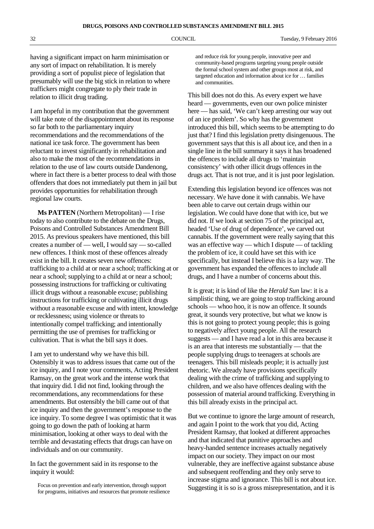having a significant impact on harm minimisation or any sort of impact on rehabilitation. It is merely providing a sort of populist piece of legislation that presumably will use the big stick in relation to where traffickers might congregate to ply their trade in relation to illicit drug trading.

I am hopeful in my contribution that the government will take note of the disappointment about its response so far both to the parliamentary inquiry recommendations and the recommendations of the national ice task force. The government has been reluctant to invest significantly in rehabilitation and also to make the most of the recommendations in relation to the use of law courts outside Dandenong, where in fact there is a better process to deal with those offenders that does not immediately put them in jail but provides opportunities for rehabilitation through regional law courts.

**Ms PATTEN** (Northern Metropolitan) — I rise today to also contribute to the debate on the Drugs, Poisons and Controlled Substances Amendment Bill 2015. As previous speakers have mentioned, this bill creates a number of — well, I would say — so-called new offences. I think most of these offences already exist in the bill. It creates seven new offences: trafficking to a child at or near a school; trafficking at or near a school; supplying to a child at or near a school; possessing instructions for trafficking or cultivating illicit drugs without a reasonable excuse; publishing instructions for trafficking or cultivating illicit drugs without a reasonable excuse and with intent, knowledge or recklessness; using violence or threats to intentionally compel trafficking; and intentionally permitting the use of premises for trafficking or cultivation. That is what the bill says it does.

I am yet to understand why we have this bill. Ostensibly it was to address issues that came out of the ice inquiry, and I note your comments, Acting President Ramsay, on the great work and the intense work that that inquiry did. I did not find, looking through the recommendations, any recommendations for these amendments. But ostensibly the bill came out of that ice inquiry and then the government's response to the ice inquiry. To some degree I was optimistic that it was going to go down the path of looking at harm minimisation, looking at other ways to deal with the terrible and devastating effects that drugs can have on individuals and on our community.

In fact the government said in its response to the inquiry it would:

and reduce risk for young people, innovative peer and community-based programs targeting young people outside the formal school system and other groups most at risk, and targeted education and information about ice for … families and communities.

This bill does not do this. As every expert we have heard — governments, even our own police minister here — has said, 'We can't keep arresting our way out of an ice problem'. So why has the government introduced this bill, which seems to be attempting to do just that? I find this legislation pretty disingenuous. The government says that this is all about ice, and then in a single line in the bill summary it says it has broadened the offences to include all drugs to 'maintain consistency' with other illicit drugs offences in the drugs act. That is not true, and it is just poor legislation.

Extending this legislation beyond ice offences was not necessary. We have done it with cannabis. We have been able to carve out certain drugs within our legislation. We could have done that with ice, but we did not. If we look at section 75 of the principal act, headed 'Use of drug of dependence', we carved out cannabis. If the government were really saying that this was an effective way — which I dispute — of tackling the problem of ice, it could have set this with ice specifically, but instead I believe this is a lazy way. The government has expanded the offences to include all drugs, and I have a number of concerns about this.

It is great; it is kind of like the *Herald Sun* law: it is a simplistic thing, we are going to stop trafficking around schools — whoo hoo, it is now an offence. It sounds great, it sounds very protective, but what we know is this is not going to protect young people; this is going to negatively affect young people. All the research suggests — and I have read a lot in this area because it is an area that interests me substantially — that the people supplying drugs to teenagers at schools are teenagers. This bill misleads people; it is actually just rhetoric. We already have provisions specifically dealing with the crime of trafficking and supplying to children, and we also have offences dealing with the possession of material around trafficking. Everything in this bill already exists in the principal act.

But we continue to ignore the large amount of research, and again I point to the work that you did, Acting President Ramsay, that looked at different approaches and that indicated that punitive approaches and heavy-handed sentence increases actually negatively impact on our society. They impact on our most vulnerable, they are ineffective against substance abuse and subsequent reoffending and they only serve to increase stigma and ignorance. This bill is not about ice. Suggesting it is so is a gross misrepresentation, and it is

Focus on prevention and early intervention, through support for programs, initiatives and resources that promote resilience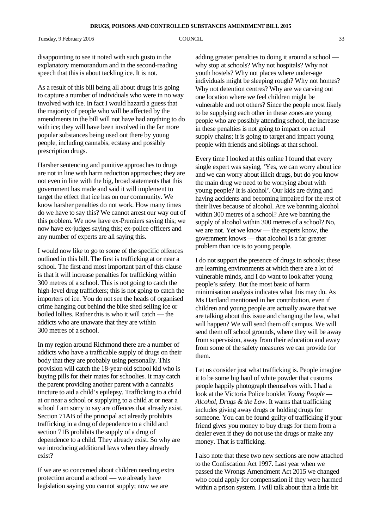disappointing to see it noted with such gusto in the explanatory memorandum and in the second-reading speech that this is about tackling ice. It is not.

As a result of this bill being all about drugs it is going to capture a number of individuals who were in no way involved with ice. In fact I would hazard a guess that the majority of people who will be affected by the amendments in the bill will not have had anything to do with ice; they will have been involved in the far more popular substances being used out there by young people, including cannabis, ecstasy and possibly prescription drugs.

Harsher sentencing and punitive approaches to drugs are not in line with harm reduction approaches; they are not even in line with the big, broad statements that this government has made and said it will implement to target the effect that ice has on our community. We know harsher penalties do not work. How many times do we have to say this? We cannot arrest our way out of this problem. We now have ex-Premiers saying this; we now have ex-judges saying this; ex-police officers and any number of experts are all saying this.

I would now like to go to some of the specific offences outlined in this bill. The first is trafficking at or near a school. The first and most important part of this clause is that it will increase penalties for trafficking within 300 metres of a school. This is not going to catch the high-level drug traffickers; this is not going to catch the importers of ice. You do not see the heads of organised crime hanging out behind the bike shed selling ice or boiled lollies. Rather this is who it will catch — the addicts who are unaware that they are within 300 metres of a school.

In my region around Richmond there are a number of addicts who have a trafficable supply of drugs on their body that they are probably using personally. This provision will catch the 18-year-old school kid who is buying pills for their mates for schoolies. It may catch the parent providing another parent with a cannabis tincture to aid a child's epilepsy. Trafficking to a child at or near a school or supplying to a child at or near a school I am sorry to say are offences that already exist. Section 71AB of the principal act already prohibits trafficking in a drug of dependence to a child and section 71B prohibits the supply of a drug of dependence to a child. They already exist. So why are we introducing additional laws when they already exist?

If we are so concerned about children needing extra protection around a school — we already have legislation saying you cannot supply; now we are

adding greater penalties to doing it around a school why stop at schools? Why not hospitals? Why not youth hostels? Why not places where under-age individuals might be sleeping rough? Why not homes? Why not detention centres? Why are we carving out one location where we feel children might be vulnerable and not others? Since the people most likely to be supplying each other in these zones are young people who are possibly attending school, the increase in these penalties is not going to impact on actual supply chains; it is going to target and impact young people with friends and siblings at that school.

Every time I looked at this online I found that every single expert was saying, 'Yes, we can worry about ice and we can worry about illicit drugs, but do you know the main drug we need to be worrying about with young people? It is alcohol'. Our kids are dying and having accidents and becoming impaired for the rest of their lives because of alcohol. Are we banning alcohol within 300 metres of a school? Are we banning the supply of alcohol within 300 metres of a school? No, we are not. Yet we know — the experts know, the government knows — that alcohol is a far greater problem than ice is to young people.

I do not support the presence of drugs in schools; these are learning environments at which there are a lot of vulnerable minds, and I do want to look after young people's safety. But the most basic of harm minimisation analysis indicates what this may do. As Ms Hartland mentioned in her contribution, even if children and young people are actually aware that we are talking about this issue and changing the law, what will happen? We will send them off campus. We will send them off school grounds, where they will be away from supervision, away from their education and away from some of the safety measures we can provide for them.

Let us consider just what trafficking is. People imagine it to be some big haul of white powder that customs people happily photograph themselves with. I had a look at the Victoria Police booklet *Young People — Alcohol, Drugs & the Law*. It warns that trafficking includes giving away drugs or holding drugs for someone. You can be found guilty of trafficking if your friend gives you money to buy drugs for them from a dealer even if they do not use the drugs or make any money. That is trafficking.

I also note that these two new sections are now attached to the Confiscation Act 1997. Last year when we passed the Wrongs Amendment Act 2015 we changed who could apply for compensation if they were harmed within a prison system. I will talk about that a little bit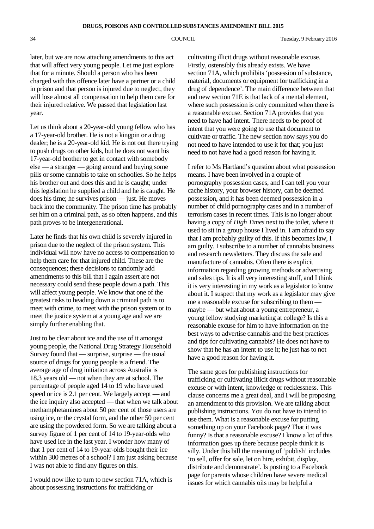later, but we are now attaching amendments to this act that will affect very young people. Let me just explore that for a minute. Should a person who has been charged with this offence later have a partner or a child in prison and that person is injured due to neglect, they will lose almost all compensation to help them care for their injured relative. We passed that legislation last year.

Let us think about a 20-year-old young fellow who has a 17-year-old brother. He is not a kingpin or a drug dealer; he is a 20-year-old kid. He is not out there trying to push drugs on other kids, but he does not want his 17-year-old brother to get in contact with somebody else — a stranger — going around and buying some pills or some cannabis to take on schoolies. So he helps his brother out and does this and he is caught; under this legislation he supplied a child and he is caught. He does his time; he survives prison — just. He moves back into the community. The prison time has probably set him on a criminal path, as so often happens, and this path proves to be intergenerational.

Later he finds that his own child is severely injured in prison due to the neglect of the prison system. This individual will now have no access to compensation to help them care for that injured child. These are the consequences; these decisions to randomly add amendments to this bill that I again assert are not necessary could send these people down a path. This will affect young people. We know that one of the greatest risks to heading down a criminal path is to meet with crime, to meet with the prison system or to meet the justice system at a young age and we are simply further enabling that.

Just to be clear about ice and the use of it amongst young people, the National Drug Strategy Household Survey found that — surprise, surprise — the usual source of drugs for young people is a friend. The average age of drug initiation across Australia is 18.3 years old — not when they are at school. The percentage of people aged 14 to 19 who have used speed or ice is 2.1 per cent. We largely accept — and the ice inquiry also accepted — that when we talk about methamphetamines about 50 per cent of those users are using ice, or the crystal form, and the other 50 per cent are using the powdered form. So we are talking about a survey figure of 1 per cent of 14 to 19-year-olds who have used ice in the last year. I wonder how many of that 1 per cent of 14 to 19-year-olds bought their ice within 300 metres of a school? I am just asking because I was not able to find any figures on this.

I would now like to turn to new section 71A, which is about possessing instructions for trafficking or

cultivating illicit drugs without reasonable excuse. Firstly, ostensibly this already exists. We have section 71A, which prohibits 'possession of substance, material, documents or equipment for trafficking in a drug of dependence'. The main difference between that and new section 71E is that lack of a mental element, where such possession is only committed when there is a reasonable excuse. Section 71A provides that you need to have had intent. There needs to be proof of intent that you were going to use that document to cultivate or traffic. The new section now says you do not need to have intended to use it for that; you just need to not have had a good reason for having it.

I refer to Ms Hartland's question about what possession means. I have been involved in a couple of pornography possession cases, and I can tell you your cache history, your browser history, can be deemed possession, and it has been deemed possession in a number of child pornography cases and in a number of terrorism cases in recent times. This is no longer about having a copy of *High Times* next to the toilet, where it used to sit in a group house I lived in. I am afraid to say that I am probably guilty of this. If this becomes law, I am guilty. I subscribe to a number of cannabis business and research newsletters. They discuss the sale and manufacture of cannabis. Often there is explicit information regarding growing methods or advertising and sales tips. It is all very interesting stuff, and I think it is very interesting in my work as a legislator to know about it. I suspect that my work as a legislator may give me a reasonable excuse for subscribing to them maybe — but what about a young entrepreneur, a young fellow studying marketing at college? Is this a reasonable excuse for him to have information on the best ways to advertise cannabis and the best practices and tips for cultivating cannabis? He does not have to show that he has an intent to use it; he just has to not have a good reason for having it.

The same goes for publishing instructions for trafficking or cultivating illicit drugs without reasonable excuse or with intent, knowledge or recklessness. This clause concerns me a great deal, and I will be proposing an amendment to this provision. We are talking about publishing instructions. You do not have to intend to use them. What is a reasonable excuse for putting something up on your Facebook page? That it was funny? Is that a reasonable excuse? I know a lot of this information goes up there because people think it is silly. Under this bill the meaning of 'publish' includes 'to sell, offer for sale, let on hire, exhibit, display, distribute and demonstrate'. Is posting to a Facebook page for parents whose children have severe medical issues for which cannabis oils may be helpful a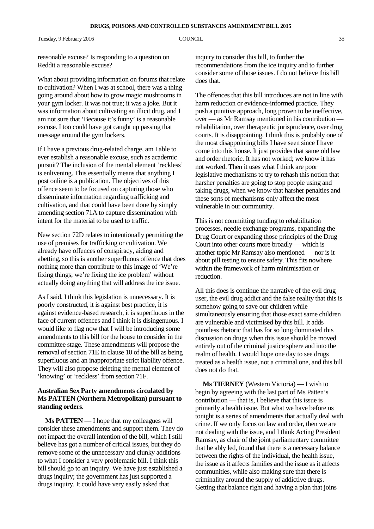Tuesday, 9 February 2016 **COUNCIL COUNCIL COUNCIL** 35

reasonable excuse? Is responding to a question on Reddit a reasonable excuse?

What about providing information on forums that relate to cultivation? When I was at school, there was a thing going around about how to grow magic mushrooms in your gym locker. It was not true; it was a joke. But it was information about cultivating an illicit drug, and I am not sure that 'Because it's funny' is a reasonable excuse. I too could have got caught up passing that message around the gym lockers.

If I have a previous drug-related charge, am I able to ever establish a reasonable excuse, such as academic pursuit? The inclusion of the mental element 'reckless' is enlivening. This essentially means that anything I post online is a publication. The objectives of this offence seem to be focused on capturing those who disseminate information regarding trafficking and cultivation, and that could have been done by simply amending section 71A to capture dissemination with intent for the material to be used to traffic.

New section 72D relates to intentionally permitting the use of premises for trafficking or cultivation. We already have offences of conspiracy, aiding and abetting, so this is another superfluous offence that does nothing more than contribute to this image of 'We're fixing things; we're fixing the ice problem' without actually doing anything that will address the ice issue.

As I said, I think this legislation is unnecessary. It is poorly constructed, it is against best practice, it is against evidence-based research, it is superfluous in the face of current offences and I think it is disingenuous. I would like to flag now that I will be introducing some amendments to this bill for the house to consider in the committee stage. These amendments will propose the removal of section 71E in clause 10 of the bill as being superfluous and an inappropriate strict liability offence. They will also propose deleting the mental element of 'knowing' or 'reckless' from section 71F.

# **Australian Sex Party amendments circulated by Ms PATTEN (Northern Metropolitan) pursuant to standing orders.**

**Ms PATTEN** — I hope that my colleagues will consider these amendments and support them. They do not impact the overall intention of the bill, which I still believe has got a number of critical issues, but they do remove some of the unnecessary and clunky additions to what I consider a very problematic bill. I think this bill should go to an inquiry. We have just established a drugs inquiry; the government has just supported a drugs inquiry. It could have very easily asked that

inquiry to consider this bill, to further the recommendations from the ice inquiry and to further consider some of those issues. I do not believe this bill does that.

The offences that this bill introduces are not in line with harm reduction or evidence-informed practice. They push a punitive approach, long proven to be ineffective, over — as Mr Ramsay mentioned in his contribution rehabilitation, over therapeutic jurisprudence, over drug courts. It is disappointing. I think this is probably one of the most disappointing bills I have seen since I have come into this house. It just provides that same old law and order rhetoric. It has not worked; we know it has not worked. Then it uses what I think are poor legislative mechanisms to try to rehash this notion that harsher penalties are going to stop people using and taking drugs, when we know that harsher penalties and these sorts of mechanisms only affect the most vulnerable in our community.

This is not committing funding to rehabilitation processes, needle exchange programs, expanding the Drug Court or expanding those principles of the Drug Court into other courts more broadly — which is another topic Mr Ramsay also mentioned — nor is it about pill testing to ensure safety. This fits nowhere within the framework of harm minimisation or reduction.

All this does is continue the narrative of the evil drug user, the evil drug addict and the false reality that this is somehow going to save our children while simultaneously ensuring that those exact same children are vulnerable and victimised by this bill. It adds pointless rhetoric that has for so long dominated this discussion on drugs when this issue should be moved entirely out of the criminal justice sphere and into the realm of health. I would hope one day to see drugs treated as a health issue, not a criminal one, and this bill does not do that.

**Ms TIERNEY** (Western Victoria) — I wish to begin by agreeing with the last part of Ms Patten's contribution — that is, I believe that this issue is primarily a health issue. But what we have before us tonight is a series of amendments that actually deal with crime. If we only focus on law and order, then we are not dealing with the issue, and I think Acting President Ramsay, as chair of the joint parliamentary committee that he ably led, found that there is a necessary balance between the rights of the individual, the health issue, the issue as it affects families and the issue as it affects communities, while also making sure that there is criminality around the supply of addictive drugs. Getting that balance right and having a plan that joins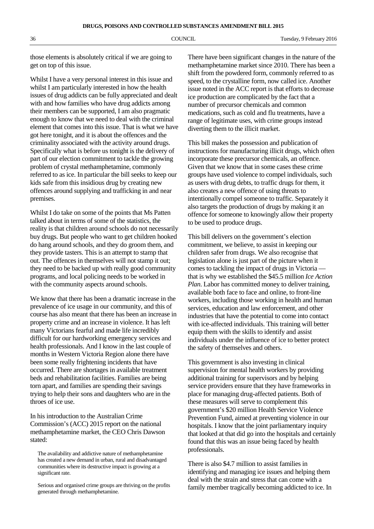**DRUGS, POISONS AND CONTROLLED SUBSTANCES AMENDMENT BILL 2015**

those elements is absolutely critical if we are going to get on top of this issue.

Whilst I have a very personal interest in this issue and whilst I am particularly interested in how the health issues of drug addicts can be fully appreciated and dealt with and how families who have drug addicts among their members can be supported, I am also pragmatic enough to know that we need to deal with the criminal element that comes into this issue. That is what we have got here tonight, and it is about the offences and the criminality associated with the activity around drugs. Specifically what is before us tonight is the delivery of part of our election commitment to tackle the growing problem of crystal methamphetamine, commonly referred to as ice. In particular the bill seeks to keep our kids safe from this insidious drug by creating new offences around supplying and trafficking in and near premises.

Whilst I do take on some of the points that Ms Patten talked about in terms of some of the statistics, the reality is that children around schools do not necessarily buy drugs. But people who want to get children hooked do hang around schools, and they do groom them, and they provide tasters. This is an attempt to stamp that out. The offences in themselves will not stamp it out; they need to be backed up with really good community programs, and local policing needs to be worked in with the community aspects around schools.

We know that there has been a dramatic increase in the prevalence of ice usage in our community, and this of course has also meant that there has been an increase in property crime and an increase in violence. It has left many Victorians fearful and made life incredibly difficult for our hardworking emergency services and health professionals. And I know in the last couple of months in Western Victoria Region alone there have been some really frightening incidents that have occurred. There are shortages in available treatment beds and rehabilitation facilities. Families are being torn apart, and families are spending their savings trying to help their sons and daughters who are in the throes of ice use.

In his introduction to the Australian Crime Commission's (ACC) 2015 report on the national methamphetamine market, the CEO Chris Dawson stated:

The availability and addictive nature of methamphetamine has created a new demand in urban, rural and disadvantaged communities where its destructive impact is growing at a significant rate.

Serious and organised crime groups are thriving on the profits generated through methamphetamine.

There have been significant changes in the nature of the methamphetamine market since 2010. There has been a shift from the powdered form, commonly referred to as speed, to the crystalline form, now called ice. Another issue noted in the ACC report is that efforts to decrease ice production are complicated by the fact that a number of precursor chemicals and common medications, such as cold and flu treatments, have a range of legitimate uses, with crime groups instead diverting them to the illicit market.

This bill makes the possession and publication of instructions for manufacturing illicit drugs, which often incorporate these precursor chemicals, an offence. Given that we know that in some cases these crime groups have used violence to compel individuals, such as users with drug debts, to traffic drugs for them, it also creates a new offence of using threats to intentionally compel someone to traffic. Separately it also targets the production of drugs by making it an offence for someone to knowingly allow their property to be used to produce drugs.

This bill delivers on the government's election commitment, we believe, to assist in keeping our children safer from drugs. We also recognise that legislation alone is just part of the picture when it comes to tackling the impact of drugs in Victoria that is why we established the \$45.5 million *Ice Action Plan*. Labor has committed money to deliver training, available both face to face and online, to front-line workers, including those working in health and human services, education and law enforcement, and other industries that have the potential to come into contact with ice-affected individuals. This training will better equip them with the skills to identify and assist individuals under the influence of ice to better protect the safety of themselves and others.

This government is also investing in clinical supervision for mental health workers by providing additional training for supervisors and by helping service providers ensure that they have frameworks in place for managing drug-affected patients. Both of these measures will serve to complement this government's \$20 million Health Service Violence Prevention Fund, aimed at preventing violence in our hospitals. I know that the joint parliamentary inquiry that looked at that did go into the hospitals and certainly found that this was an issue being faced by health professionals.

There is also \$4.7 million to assist families in identifying and managing ice issues and helping them deal with the strain and stress that can come with a family member tragically becoming addicted to ice. In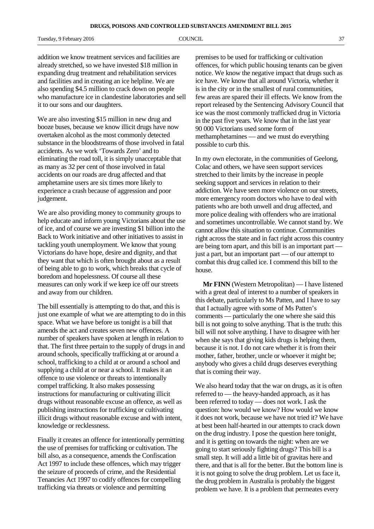Tuesday, 9 February 2016 **COUNCIL COUNCIL COUNCIL** 37

addition we know treatment services and facilities are already stretched, so we have invested \$18 million in expanding drug treatment and rehabilitation services and facilities and in creating an ice helpline. We are also spending \$4.5 million to crack down on people who manufacture ice in clandestine laboratories and sell it to our sons and our daughters.

We are also investing \$15 million in new drug and booze buses, because we know illicit drugs have now overtaken alcohol as the most commonly detected substance in the bloodstreams of those involved in fatal accidents. As we work 'Towards Zero' and to eliminating the road toll, it is simply unacceptable that as many as 32 per cent of those involved in fatal accidents on our roads are drug affected and that amphetamine users are six times more likely to experience a crash because of aggression and poor judgement.

We are also providing money to community groups to help educate and inform young Victorians about the use of ice, and of course we are investing \$1 billion into the Back to Work initiative and other initiatives to assist in tackling youth unemployment. We know that young Victorians do have hope, desire and dignity, and that they want that which is often brought about as a result of being able to go to work, which breaks that cycle of boredom and hopelessness. Of course all these measures can only work if we keep ice off our streets and away from our children.

The bill essentially is attempting to do that, and this is just one example of what we are attempting to do in this space. What we have before us tonight is a bill that amends the act and creates seven new offences. A number of speakers have spoken at length in relation to that. The first three pertain to the supply of drugs in and around schools, specifically trafficking at or around a school, trafficking to a child at or around a school and supplying a child at or near a school. It makes it an offence to use violence or threats to intentionally compel trafficking. It also makes possessing instructions for manufacturing or cultivating illicit drugs without reasonable excuse an offence, as well as publishing instructions for trafficking or cultivating illicit drugs without reasonable excuse and with intent, knowledge or recklessness.

Finally it creates an offence for intentionally permitting the use of premises for trafficking or cultivation. The bill also, as a consequence, amends the Confiscation Act 1997 to include these offences, which may trigger the seizure of proceeds of crime, and the Residential Tenancies Act 1997 to codify offences for compelling trafficking via threats or violence and permitting

premises to be used for trafficking or cultivation offences, for which public housing tenants can be given notice. We know the negative impact that drugs such as ice have. We know that all around Victoria, whether it is in the city or in the smallest of rural communities, few areas are spared their ill effects. We know from the report released by the Sentencing Advisory Council that ice was the most commonly trafficked drug in Victoria in the past five years. We know that in the last year 90 000 Victorians used some form of methamphetamines — and we must do everything possible to curb this.

In my own electorate, in the communities of Geelong, Colac and others, we have seen support services stretched to their limits by the increase in people seeking support and services in relation to their addiction. We have seen more violence on our streets, more emergency room doctors who have to deal with patients who are both unwell and drug affected, and more police dealing with offenders who are irrational and sometimes uncontrollable. We cannot stand by. We cannot allow this situation to continue. Communities right across the state and in fact right across this country are being torn apart, and this bill is an important part just a part, but an important part — of our attempt to combat this drug called ice. I commend this bill to the house.

**Mr FINN** (Western Metropolitan) — I have listened with a great deal of interest to a number of speakers in this debate, particularly to Ms Patten, and I have to say that I actually agree with some of Ms Patten's comments — particularly the one where she said this bill is not going to solve anything. That is the truth: this bill will not solve anything. I have to disagree with her when she says that giving kids drugs is helping them, because it is not. I do not care whether it is from their mother, father, brother, uncle or whoever it might be; anybody who gives a child drugs deserves everything that is coming their way.

We also heard today that the war on drugs, as it is often referred to — the heavy-handed approach, as it has been referred to today — does not work. I ask the question: how would we know? How would we know it does not work, because we have not tried it? We have at best been half-hearted in our attempts to crack down on the drug industry. I pose the question here tonight, and it is getting on towards the night: when are we going to start seriously fighting drugs? This bill is a small step. It will add a little bit of gravitas here and there, and that is all for the better. But the bottom line is it is not going to solve the drug problem. Let us face it, the drug problem in Australia is probably the biggest problem we have. It is a problem that permeates every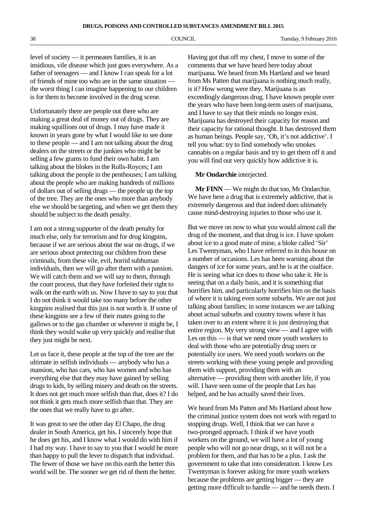level of society — it permeates families, it is an insidious, vile disease which just goes everywhere. As a father of teenagers — and I know I can speak for a lot of friends of mine too who are in the same situation the worst thing I can imagine happening to our children is for them to become involved in the drug scene.

Unfortunately there are people out there who are making a great deal of money out of drugs. They are making squillions out of drugs. I may have made it known in years gone by what I would like to see done to these people — and I am not talking about the drug dealers on the streets or the junkies who might be selling a few grams to fund their own habit. I am talking about the blokes in the Rolls-Royces; I am talking about the people in the penthouses; I am talking about the people who are making hundreds of millions of dollars out of selling drugs — the people up the top of the tree. They are the ones who more than anybody else we should be targeting, and when we get them they should be subject to the death penalty.

I am not a strong supporter of the death penalty for much else, only for terrorism and for drug kingpins, because if we are serious about the war on drugs, if we are serious about protecting our children from these criminals, from these vile, evil, horrid subhuman individuals, then we will go after them with a passion. We will catch them and we will say to them, through the court process, that they have forfeited their right to walk on the earth with us. Now I have to say to you that I do not think it would take too many before the other kingpins realised that this just is not worth it. If some of these kingpins see a few of their mates going to the gallows or to the gas chamber or wherever it might be, I think they would wake up very quickly and realise that they just might be next.

Let us face it, these people at the top of the tree are the ultimate in selfish individuals — anybody who has a mansion, who has cars, who has women and who has everything else that they may have gained by selling drugs to kids, by selling misery and death on the streets. It does not get much more selfish than that, does it? I do not think it gets much more selfish than that. They are the ones that we really have to go after.

It was great to see the other day El Chapo, the drug dealer in South America, get his. I sincerely hope that he does get his, and I know what I would do with him if I had my way. I have to say to you that I would be more than happy to pull the lever to dispatch that individual. The fewer of those we have on this earth the better this world will be. The sooner we get rid of them the better.

Having got that off my chest, I move to some of the comments that we have heard here today about marijuana. We heard from Ms Hartland and we heard from Ms Patten that marijuana is nothing much really, is it? How wrong were they. Marijuana is an exceedingly dangerous drug. I have known people over the years who have been long-term users of marijuana, and I have to say that their minds no longer exist. Marijuana has destroyed their capacity for reason and their capacity for rational thought. It has destroyed them as human beings. People say, 'Oh, it's not addictive'. I tell you what: try to find somebody who smokes cannabis on a regular basis and try to get them off it and you will find out very quickly how addictive it is.

## **Mr Ondarchie** interjected.

**Mr FINN** — We might do that too, Mr Ondarchie. We have here a drug that is extremely addictive, that is extremely dangerous and that indeed does ultimately cause mind-destroying injuries to those who use it.

But we move on now to what you would almost call the drug of the moment, and that drug is ice. I have spoken about ice to a good mate of mine, a bloke called 'Sir' Les Twentyman, who I have referred to in this house on a number of occasions. Les has been warning about the dangers of ice for some years, and he is at the coalface. He is seeing what ice does to those who take it. He is seeing that on a daily basis, and it is something that horrifies him, and particularly horrifies him on the basis of where it is taking even some suburbs. We are not just talking about families; in some instances we are talking about actual suburbs and country towns where it has taken over to an extent where it is just destroying that entire region. My very strong view — and I agree with Les on this — is that we need more youth workers to deal with those who are potentially drug users or potentially ice users. We need youth workers on the streets working with these young people and providing them with support, providing them with an alternative — providing them with another life, if you will. I have seen some of the people that Les has helped, and he has actually saved their lives.

We heard from Ms Patten and Ms Hartland about how the criminal justice system does not work with regard to stopping drugs. Well, I think that we can have a two-pronged approach. I think if we have youth workers on the ground, we will have a lot of young people who will not go near drugs, so it will not be a problem for them, and that has to be a plus. I ask the government to take that into consideration. I know Les Twentyman is forever asking for more youth workers because the problems are getting bigger — they are getting more difficult to handle — and he needs them. I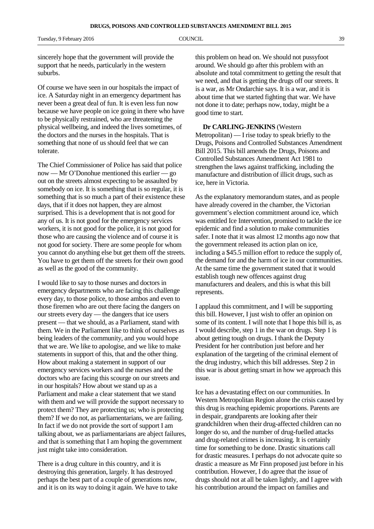sincerely hope that the government will provide the support that he needs, particularly in the western suburbs.

Of course we have seen in our hospitals the impact of ice. A Saturday night in an emergency department has never been a great deal of fun. It is even less fun now because we have people on ice going in there who have to be physically restrained, who are threatening the physical wellbeing, and indeed the lives sometimes, of the doctors and the nurses in the hospitals. That is something that none of us should feel that we can tolerate.

The Chief Commissioner of Police has said that police now — Mr O'Donohue mentioned this earlier — go out on the streets almost expecting to be assaulted by somebody on ice. It is something that is so regular, it is something that is so much a part of their existence these days, that if it does not happen, they are almost surprised. This is a development that is not good for any of us. It is not good for the emergency services workers, it is not good for the police, it is not good for those who are causing the violence and of course it is not good for society. There are some people for whom you cannot do anything else but get them off the streets. You have to get them off the streets for their own good as well as the good of the community.

I would like to say to those nurses and doctors in emergency departments who are facing this challenge every day, to those police, to those ambos and even to those firemen who are out there facing the dangers on our streets every day — the dangers that ice users present — that we should, as a Parliament, stand with them. We in the Parliament like to think of ourselves as being leaders of the community, and you would hope that we are. We like to apologise, and we like to make statements in support of this, that and the other thing. How about making a statement in support of our emergency services workers and the nurses and the doctors who are facing this scourge on our streets and in our hospitals? How about we stand up as a Parliament and make a clear statement that we stand with them and we will provide the support necessary to protect them? They are protecting us; who is protecting them? If we do not, as parliamentarians, we are failing. In fact if we do not provide the sort of support I am talking about, we as parliamentarians are abject failures, and that is something that I am hoping the government just might take into consideration.

There is a drug culture in this country, and it is destroying this generation, largely. It has destroyed perhaps the best part of a couple of generations now, and it is on its way to doing it again. We have to take this problem on head on. We should not pussyfoot around. We should go after this problem with an absolute and total commitment to getting the result that we need, and that is getting the drugs off our streets. It is a war, as Mr Ondarchie says. It is a war, and it is about time that we started fighting that war. We have not done it to date; perhaps now, today, might be a good time to start.

**Dr CARLING-JENKINS** (Western Metropolitan) — I rise today to speak briefly to the Drugs, Poisons and Controlled Substances Amendment Bill 2015. This bill amends the Drugs, Poisons and Controlled Substances Amendment Act 1981 to strengthen the laws against trafficking, including the manufacture and distribution of illicit drugs, such as ice, here in Victoria.

As the explanatory memorandum states, and as people have already covered in the chamber, the Victorian government's election commitment around ice, which was entitled Ice Intervention, promised to tackle the ice epidemic and find a solution to make communities safer. I note that it was almost 12 months ago now that the government released its action plan on ice, including a \$45.5 million effort to reduce the supply of, the demand for and the harm of ice in our communities. At the same time the government stated that it would establish tough new offences against drug manufacturers and dealers, and this is what this bill represents.

I applaud this commitment, and I will be supporting this bill. However, I just wish to offer an opinion on some of its content. I will note that I hope this bill is, as I would describe, step 1 in the war on drugs. Step 1 is about getting tough on drugs. I thank the Deputy President for her contribution just before and her explanation of the targeting of the criminal element of the drug industry, which this bill addresses. Step 2 in this war is about getting smart in how we approach this issue.

Ice has a devastating effect on our communities. In Western Metropolitan Region alone the crisis caused by this drug is reaching epidemic proportions. Parents are in despair, grandparents are looking after their grandchildren when their drug-affected children can no longer do so, and the number of drug-fuelled attacks and drug-related crimes is increasing. It is certainly time for something to be done. Drastic situations call for drastic measures. I perhaps do not advocate quite so drastic a measure as Mr Finn proposed just before in his contribution. However, I do agree that the issue of drugs should not at all be taken lightly, and I agree with his contribution around the impact on families and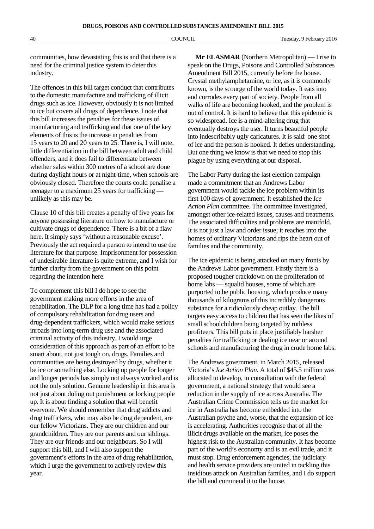communities, how devastating this is and that there is a need for the criminal justice system to deter this industry.

The offences in this bill target conduct that contributes to the domestic manufacture and trafficking of illicit drugs such as ice. However, obviously it is not limited to ice but covers all drugs of dependence. I note that this bill increases the penalties for these issues of manufacturing and trafficking and that one of the key elements of this is the increase in penalties from 15 years to 20 and 20 years to 25. There is, I will note, little differentiation in the bill between adult and child offenders, and it does fail to differentiate between whether sales within 300 metres of a school are done during daylight hours or at night-time, when schools are obviously closed. Therefore the courts could penalise a teenager to a maximum 25 years for trafficking unlikely as this may be.

Clause 10 of this bill creates a penalty of five years for anyone possessing literature on how to manufacture or cultivate drugs of dependence. There is a bit of a flaw here. It simply says 'without a reasonable excuse'. Previously the act required a person to intend to use the literature for that purpose. Imprisonment for possession of undesirable literature is quite extreme, and I wish for further clarity from the government on this point regarding the intention here.

To complement this bill I do hope to see the government making more efforts in the area of rehabilitation. The DLP for a long time has had a policy of compulsory rehabilitation for drug users and drug-dependent traffickers, which would make serious inroads into long-term drug use and the associated criminal activity of this industry. I would urge consideration of this approach as part of an effort to be smart about, not just tough on, drugs. Families and communities are being destroyed by drugs, whether it be ice or something else. Locking up people for longer and longer periods has simply not always worked and is not the only solution. Genuine leadership in this area is not just about doling out punishment or locking people up. It is about finding a solution that will benefit everyone. We should remember that drug addicts and drug traffickers, who may also be drug dependent, are our fellow Victorians. They are our children and our grandchildren. They are our parents and our siblings. They are our friends and our neighbours. So I will support this bill, and I will also support the government's efforts in the area of drug rehabilitation, which I urge the government to actively review this year.

**Mr ELASMAR** (Northern Metropolitan) — I rise to speak on the Drugs, Poisons and Controlled Substances Amendment Bill 2015, currently before the house. Crystal methylamphetamine, or ice, as it is commonly known, is the scourge of the world today. It eats into and corrodes every part of society. People from all walks of life are becoming hooked, and the problem is out of control. It is hard to believe that this epidemic is so widespread. Ice is a mind-altering drug that eventually destroys the user. It turns beautiful people into indescribably ugly caricatures. It is said: one shot of ice and the person is hooked. It defies understanding. But one thing we know is that we need to stop this plague by using everything at our disposal.

The Labor Party during the last election campaign made a commitment that an Andrews Labor government would tackle the ice problem within its first 100 days of government. It established the *Ice Action Plan* committee. The committee investigated, amongst other ice-related issues, causes and treatments. The associated difficulties and problems are manifold. It is not just a law and order issue; it reaches into the homes of ordinary Victorians and rips the heart out of families and the community.

The ice epidemic is being attacked on many fronts by the Andrews Labor government. Firstly there is a proposed tougher crackdown on the proliferation of home labs — squalid houses, some of which are purported to be public housing, which produce many thousands of kilograms of this incredibly dangerous substance for a ridiculously cheap outlay. The bill targets easy access to children that has seen the likes of small schoolchildren being targeted by ruthless profiteers. This bill puts in place justifiably harsher penalties for trafficking or dealing ice near or around schools and manufacturing the drug in crude home labs.

The Andrews government, in March 2015, released Victoria's *Ice Action Plan*. A total of \$45.5 million was allocated to develop, in consultation with the federal government, a national strategy that would see a reduction in the supply of ice across Australia. The Australian Crime Commission tells us the market for ice in Australia has become embedded into the Australian psyche and, worse, that the expansion of ice is accelerating. Authorities recognise that of all the illicit drugs available on the market, ice poses the highest risk to the Australian community. It has become part of the world's economy and is an evil trade, and it must stop. Drug enforcement agencies, the judiciary and health service providers are united in tackling this insidious attack on Australian families, and I do support the bill and commend it to the house.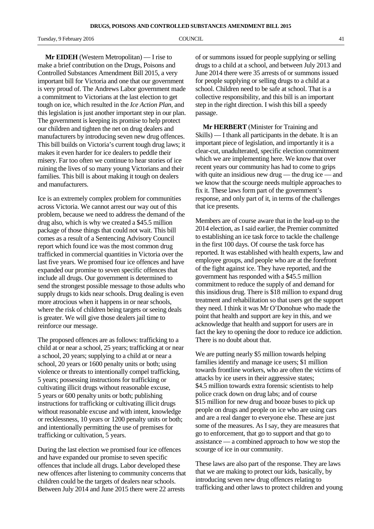Tuesday, 9 February 2016 **COUNCIL COUNCIL COUNCIL COUNCIL 1** 

**Mr EIDEH** (Western Metropolitan) — I rise to make a brief contribution on the Drugs, Poisons and Controlled Substances Amendment Bill 2015, a very important bill for Victoria and one that our government is very proud of. The Andrews Labor government made a commitment to Victorians at the last election to get tough on ice, which resulted in the *Ice Action Plan*, and this legislation is just another important step in our plan. The government is keeping its promise to help protect our children and tighten the net on drug dealers and manufacturers by introducing seven new drug offences. This bill builds on Victoria's current tough drug laws; it makes it even harder for ice dealers to peddle their misery. Far too often we continue to hear stories of ice ruining the lives of so many young Victorians and their families. This bill is about making it tough on dealers and manufacturers.

Ice is an extremely complex problem for communities across Victoria. We cannot arrest our way out of this problem, because we need to address the demand of the drug also, which is why we created a \$45.5 million package of those things that could not wait. This bill comes as a result of a Sentencing Advisory Council report which found ice was the most common drug trafficked in commercial quantities in Victoria over the last five years. We promised four ice offences and have expanded our promise to seven specific offences that include all drugs. Our government is determined to send the strongest possible message to those adults who supply drugs to kids near schools. Drug dealing is even more atrocious when it happens in or near schools, where the risk of children being targets or seeing deals is greater. We will give those dealers jail time to reinforce our message.

The proposed offences are as follows: trafficking to a child at or near a school, 25 years; trafficking at or near a school, 20 years; supplying to a child at or near a school, 20 years or 1600 penalty units or both; using violence or threats to intentionally compel trafficking, 5 years; possessing instructions for trafficking or cultivating illicit drugs without reasonable excuse, 5 years or 600 penalty units or both; publishing instructions for trafficking or cultivating illicit drugs without reasonable excuse and with intent, knowledge or recklessness, 10 years or 1200 penalty units or both; and intentionally permitting the use of premises for trafficking or cultivation, 5 years.

During the last election we promised four ice offences and have expanded our promise to seven specific offences that include all drugs. Labor developed these new offences after listening to community concerns that children could be the targets of dealers near schools. Between July 2014 and June 2015 there were 22 arrests

of or summons issued for people supplying or selling drugs to a child at a school, and between July 2013 and June 2014 there were 35 arrests of or summons issued for people supplying or selling drugs to a child at a school. Children need to be safe at school. That is a collective responsibility, and this bill is an important step in the right direction. I wish this bill a speedy passage.

**Mr HERBERT** (Minister for Training and Skills) — I thank all participants in the debate. It is an important piece of legislation, and importantly it is a clear-cut, unadulterated, specific election commitment which we are implementing here. We know that over recent years our community has had to come to grips with quite an insidious new drug — the drug ice — and we know that the scourge needs multiple approaches to fix it. These laws form part of the government's response, and only part of it, in terms of the challenges that ice presents.

Members are of course aware that in the lead-up to the 2014 election, as I said earlier, the Premier committed to establishing an ice task force to tackle the challenge in the first 100 days. Of course the task force has reported. It was established with health experts, law and employee groups, and people who are at the forefront of the fight against ice. They have reported, and the government has responded with a \$45.5 million commitment to reduce the supply of and demand for this insidious drug. There is \$18 million to expand drug treatment and rehabilitation so that users get the support they need. I think it was Mr O'Donohue who made the point that health and support are key in this, and we acknowledge that health and support for users are in fact the key to opening the door to reduce ice addiction. There is no doubt about that.

We are putting nearly \$5 million towards helping families identify and manage ice users; \$1 million towards frontline workers, who are often the victims of attacks by ice users in their aggressive states; \$4.5 million towards extra forensic scientists to help police crack down on drug labs; and of course \$15 million for new drug and booze buses to pick up people on drugs and people on ice who are using cars and are a real danger to everyone else. These are just some of the measures. As I say, they are measures that go to enforcement, that go to support and that go to assistance — a combined approach to how we stop the scourge of ice in our community.

These laws are also part of the response. They are laws that we are making to protect our kids, basically, by introducing seven new drug offences relating to trafficking and other laws to protect children and young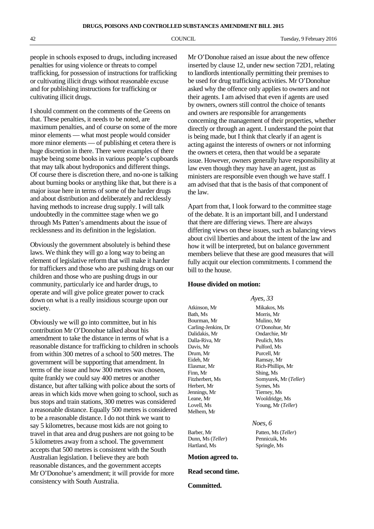people in schools exposed to drugs, including increased penalties for using violence or threats to compel trafficking, for possession of instructions for trafficking or cultivating illicit drugs without reasonable excuse and for publishing instructions for trafficking or cultivating illicit drugs.

I should comment on the comments of the Greens on that. These penalties, it needs to be noted, are maximum penalties, and of course on some of the more minor elements — what most people would consider more minor elements — of publishing et cetera there is huge discretion in there. There were examples of there maybe being some books in various people's cupboards that may talk about hydroponics and different things. Of course there is discretion there, and no-one is talking about burning books or anything like that, but there is a major issue here in terms of some of the harder drugs and about distribution and deliberately and recklessly having methods to increase drug supply. I will talk undoubtedly in the committee stage when we go through Ms Patten's amendments about the issue of recklessness and its definition in the legislation.

Obviously the government absolutely is behind these laws. We think they will go a long way to being an element of legislative reform that will make it harder for traffickers and those who are pushing drugs on our children and those who are pushing drugs in our community, particularly ice and harder drugs, to operate and will give police greater power to crack down on what is a really insidious scourge upon our society.

Obviously we will go into committee, but in his contribution Mr O'Donohue talked about his amendment to take the distance in terms of what is a reasonable distance for trafficking to children in schools from within 300 metres of a school to 500 metres. The government will be supporting that amendment. In terms of the issue and how 300 metres was chosen, quite frankly we could say 400 metres or another distance, but after talking with police about the sorts of areas in which kids move when going to school, such as bus stops and train stations, 300 metres was considered a reasonable distance. Equally 500 metres is considered to be a reasonable distance. I do not think we want to say 5 kilometres, because most kids are not going to travel in that area and drug pushers are not going to be 5 kilometres away from a school. The government accepts that 500 metres is consistent with the South Australian legislation. I believe they are both reasonable distances, and the government accepts Mr O'Donohue's amendment; it will provide for more consistency with South Australia.

Mr O'Donohue raised an issue about the new offence inserted by clause 12, under new section 72D1, relating to landlords intentionally permitting their premises to be used for drug trafficking activities. Mr O'Donohue asked why the offence only applies to owners and not their agents. I am advised that even if agents are used by owners, owners still control the choice of tenants and owners are responsible for arrangements concerning the management of their properties, whether directly or through an agent. I understand the point that is being made, but I think that clearly if an agent is acting against the interests of owners or not informing the owners et cetera, then that would be a separate issue. However, owners generally have responsibility at law even though they may have an agent, just as ministers are responsible even though we have staff. I am advised that that is the basis of that component of the law.

Apart from that, I look forward to the committee stage of the debate. It is an important bill, and I understand that there are differing views. There are always differing views on these issues, such as balancing views about civil liberties and about the intent of the law and how it will be interpreted, but on balance government members believe that these are good measures that will fully acquit our election commitments. I commend the bill to the house.

*Ayes, 33*

*Noes, 6*

Morris, Mr

Ondarchie, Mr<br>Peulich, Mrs

# **House divided on motion:**

Atkinson, Mr<br>
Bath. Ms<br>
Morris. Mr<br>
Morris. Mr Bourman, Mr Mulino, Mr Carling-Jenkins, Dr<br>
Dalidakis, Mr<br>
Ondarchie, Mr<br>
Ondarchie, Mr Dalla-Riva, Mr Davis, Mr Pulford, Ms Drum, Mr Purcell, Mr Eideh, Mr Ramsay, Mr Elasmar, Mr Rich-Phillips, Mr Finn, Mr Shing, Ms Fitzherbert, Ms Somyurek, Mr (*Teller*) Herbert, Mr Symes, Ms Jennings, Mr Tierney, Ms Leane, Mr Wooldridge, Ms Lovell, Ms Young, Mr (*Teller*) Melhem, Mr

Barber, Mr Patten, Ms (*Teller*) Dunn, Ms (*Teller*) Pennicuik, Ms Hartland, Ms Springle, Ms

# **Motion agreed to.**

# **Read second time.**

# **Committed.**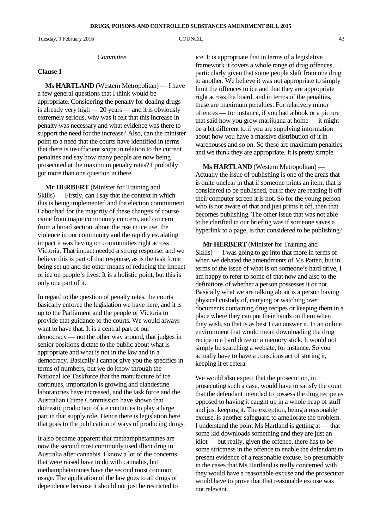Tuesday, 9 February 2016 **COUNCIL COUNCIL COUNCIL 13** 

#### *Committee*

#### **Clause 1**

**Ms HARTLAND** (Western Metropolitan) — I have a few general questions that I think would be appropriate. Considering the penalty for dealing drugs is already very high — 20 years — and it is obviously extremely serious, why was it felt that this increase in penalty was necessary and what evidence was there to support the need for the increase? Also, can the minister point to a need that the courts have identified in terms that there is insufficient scope in relation to the current penalties and say how many people are now being prosecuted at the maximum penalty rates? I probably got more than one question in there.

**Mr HERBERT** (Minister for Training and Skills) — Firstly, can I say that the context in which this is being implemented and the election commitment Labor had for the majority of these changes of course came from major community concern, and concern from a broad section, about the rise in ice use, the violence in our community and the rapidly escalating impact it was having on communities right across Victoria. That impact needed a strong response, and we believe this is part of that response, as is the task force being set up and the other means of reducing the impact of ice on people's lives. It is a holistic point, but this is only one part of it.

In regard to the question of penalty rates, the courts basically enforce the legislation we have here, and it is up to the Parliament and the people of Victoria to provide that guidance to the courts. We would always want to have that. It is a central part of our democracy — not the other way around, that judges in senior positions dictate to the public about what is appropriate and what is not in the law and in a democracy. Basically I cannot give you the specifics in terms of numbers, but we do know through the National Ice Taskforce that the manufacture of ice continues, importation is growing and clandestine laboratories have increased, and the task force and the Australian Crime Commission have shown that domestic production of ice continues to play a large part in that supply role. Hence there is legislation here that goes to the publication of ways of producing drugs.

It also became apparent that methamphetamines are now the second most commonly used illicit drug in Australia after cannabis. I know a lot of the concerns that were raised have to do with cannabis, but methamphetamines have the second most common usage. The application of the law goes to all drugs of dependence because it should not just be restricted to ice. It is appropriate that in terms of a legislative framework it covers a whole range of drug offences, particularly given that some people shift from one drug to another. We believe it was not appropriate to simply limit the offences to ice and that they are appropriate right across the board, and in terms of the penalties, these are maximum penalties. For relatively minor offences — for instance, if you had a book or a picture that said how you grow marijuana at home — it might be a bit different to if you are supplying information about how you have a massive distribution of it in warehouses and so on. So these are maximum penalties and we think they are appropriate. It is pretty simple.

**Ms HARTLAND** (Western Metropolitan) — Actually the issue of publishing is one of the areas that is quite unclear in that if someone prints an item, that is considered to be published, but if they are reading it off their computer screen it is not. So for the young person who is not aware of that and just prints it off, then that becomes publishing. The other issue that was not able to be clarified in our briefing was if someone saves a hyperlink to a page, is that considered to be publishing?

**Mr HERBERT** (Minister for Training and Skills) — I was going to go into that more in terms of when we debated the amendments of Ms Patten, but in terms of the issue of what is on someone's hard drive, I am happy to refer to some of that now and also to the definitions of whether a person possesses it or not. Basically what we are talking about is a person having physical custody of, carrying or watching over documents containing drug recipes or keeping them in a place where they can put their hands on them when they wish, so that is as best I can answer it. In an online environment that would mean downloading the drug recipe to a hard drive or a memory stick. It would not simply be searching a website, for instance. So you actually have to have a conscious act of storing it, keeping it et cetera.

We would also expect that the prosecution, in prosecuting such a case, would have to satisfy the court that the defendant intended to possess the drug recipe as opposed to having it caught up in a whole heap of stuff and just keeping it. The exception, being a reasonable excuse, is another safeguard to ameliorate the problem. I understand the point Ms Hartland is getting at — that some kid downloads something and they are just an idiot — but really, given the offence, there has to be some strictness in the offence to enable the defendant to present evidence of a reasonable excuse. So presumably in the cases that Ms Hartland is really concerned with they would have a reasonable excuse and the prosecutor would have to prove that that reasonable excuse was not relevant.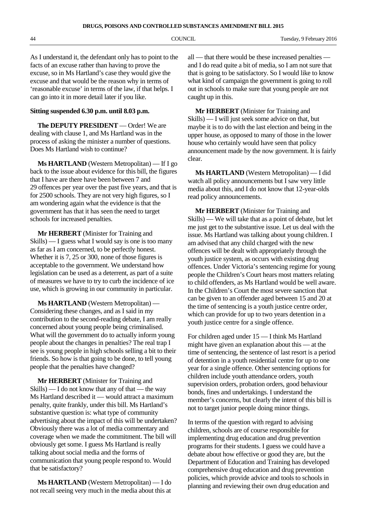As I understand it, the defendant only has to point to the facts of an excuse rather than having to prove the excuse, so in Ms Hartland's case they would give the excuse and that would be the reason why in terms of 'reasonable excuse' in terms of the law, if that helps. I can go into it in more detail later if you like.

# **Sitting suspended 6.30 p.m. until 8.03 p.m.**

**The DEPUTY PRESIDENT** — Order! We are dealing with clause 1, and Ms Hartland was in the process of asking the minister a number of questions. Does Ms Hartland wish to continue?

**Ms HARTLAND** (Western Metropolitan) — If I go back to the issue about evidence for this bill, the figures that I have are there have been between 7 and 29 offences per year over the past five years, and that is for 2500 schools. They are not very high figures, so I am wondering again what the evidence is that the government has that it has seen the need to target schools for increased penalties.

**Mr HERBERT** (Minister for Training and Skills) — I guess what I would say is one is too many as far as I am concerned, to be perfectly honest. Whether it is 7, 25 or 300, none of those figures is acceptable to the government. We understand how legislation can be used as a deterrent, as part of a suite of measures we have to try to curb the incidence of ice use, which is growing in our community in particular.

**Ms HARTLAND** (Western Metropolitan) — Considering these changes, and as I said in my contribution to the second-reading debate, I am really concerned about young people being criminalised. What will the government do to actually inform young people about the changes in penalties? The real trap I see is young people in high schools selling a bit to their friends. So how is that going to be done, to tell young people that the penalties have changed?

**Mr HERBERT** (Minister for Training and Skills) — I do not know that any of that — the way Ms Hartland described it — would attract a maximum penalty, quite frankly, under this bill. Ms Hartland's substantive question is: what type of community advertising about the impact of this will be undertaken? Obviously there was a lot of media commentary and coverage when we made the commitment. The bill will obviously get some. I guess Ms Hartland is really talking about social media and the forms of communication that young people respond to. Would that be satisfactory?

**Ms HARTLAND** (Western Metropolitan) — I do not recall seeing very much in the media about this at

all — that there would be these increased penalties and I do read quite a bit of media, so I am not sure that that is going to be satisfactory. So I would like to know what kind of campaign the government is going to roll out in schools to make sure that young people are not caught up in this.

**Mr HERBERT** (Minister for Training and Skills) — I will just seek some advice on that, but maybe it is to do with the last election and being in the upper house, as opposed to many of those in the lower house who certainly would have seen that policy announcement made by the now government. It is fairly clear.

**Ms HARTLAND** (Western Metropolitan) — I did watch all policy announcements but I saw very little media about this, and I do not know that 12-year-olds read policy announcements.

**Mr HERBERT** (Minister for Training and Skills) — We will take that as a point of debate, but let me just get to the substantive issue. Let us deal with the issue. Ms Hartland was talking about young children. I am advised that any child charged with the new offences will be dealt with appropriately through the youth justice system, as occurs with existing drug offences. Under Victoria's sentencing regime for young people the Children's Court hears most matters relating to child offenders, as Ms Hartland would be well aware. In the Children's Court the most severe sanction that can be given to an offender aged between 15 and 20 at the time of sentencing is a youth justice centre order, which can provide for up to two years detention in a youth justice centre for a single offence.

For children aged under 15 — I think Ms Hartland might have given an explanation about this — at the time of sentencing, the sentence of last resort is a period of detention in a youth residential centre for up to one year for a single offence. Other sentencing options for children include youth attendance orders, youth supervision orders, probation orders, good behaviour bonds, fines and undertakings. I understand the member's concerns, but clearly the intent of this bill is not to target junior people doing minor things.

In terms of the question with regard to advising children, schools are of course responsible for implementing drug education and drug prevention programs for their students. I guess we could have a debate about how effective or good they are, but the Department of Education and Training has developed comprehensive drug education and drug prevention policies, which provide advice and tools to schools in planning and reviewing their own drug education and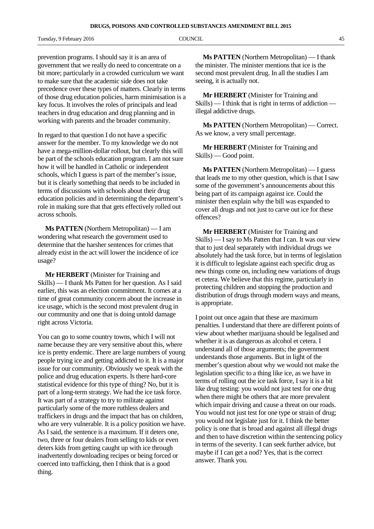Tuesday, 9 February 2016 **COUNCIL COUNCIL COUNCIL 15** 

prevention programs. I should say it is an area of government that we really do need to concentrate on a bit more; particularly in a crowded curriculum we want to make sure that the academic side does not take precedence over these types of matters. Clearly in terms of those drug education policies, harm minimisation is a key focus. It involves the roles of principals and lead teachers in drug education and drug planning and in working with parents and the broader community.

In regard to that question I do not have a specific answer for the member. To my knowledge we do not have a mega-million-dollar rollout, but clearly this will be part of the schools education program. I am not sure how it will be handled in Catholic or independent schools, which I guess is part of the member's issue, but it is clearly something that needs to be included in terms of discussions with schools about their drug education policies and in determining the department's role in making sure that that gets effectively rolled out across schools.

**Ms PATTEN** (Northern Metropolitan) — I am wondering what research the government used to determine that the harsher sentences for crimes that already exist in the act will lower the incidence of ice usage?

**Mr HERBERT** (Minister for Training and Skills) — I thank Ms Patten for her question. As I said earlier, this was an election commitment. It comes at a time of great community concern about the increase in ice usage, which is the second most prevalent drug in our community and one that is doing untold damage right across Victoria.

You can go to some country towns, which I will not name because they are very sensitive about this, where ice is pretty endemic. There are large numbers of young people trying ice and getting addicted to it. It is a major issue for our community. Obviously we speak with the police and drug education experts. Is there hard-core statistical evidence for this type of thing? No, but it is part of a long-term strategy. We had the ice task force. It was part of a strategy to try to militate against particularly some of the more ruthless dealers and traffickers in drugs and the impact that has on children, who are very vulnerable. It is a policy position we have. As I said, the sentence is a maximum. If it deters one, two, three or four dealers from selling to kids or even deters kids from getting caught up with ice through inadvertently downloading recipes or being forced or coerced into trafficking, then I think that is a good thing.

**Ms PATTEN** (Northern Metropolitan) — I thank the minister. The minister mentions that ice is the second most prevalent drug. In all the studies I am seeing, it is actually not.

**Mr HERBERT** (Minister for Training and Skills) — I think that is right in terms of addiction illegal addictive drugs.

**Ms PATTEN** (Northern Metropolitan) — Correct. As we know, a very small percentage.

**Mr HERBERT** (Minister for Training and Skills) — Good point.

**Ms PATTEN** (Northern Metropolitan) — I guess that leads me to my other question, which is that I saw some of the government's announcements about this being part of its campaign against ice. Could the minister then explain why the bill was expanded to cover all drugs and not just to carve out ice for these offences?

**Mr HERBERT** (Minister for Training and Skills) — I say to Ms Patten that I can. It was our view that to just deal separately with individual drugs we absolutely had the task force, but in terms of legislation it is difficult to legislate against each specific drug as new things come on, including new variations of drugs et cetera. We believe that this regime, particularly in protecting children and stopping the production and distribution of drugs through modern ways and means, is appropriate.

I point out once again that these are maximum penalties. I understand that there are different points of view about whether marijuana should be legalised and whether it is as dangerous as alcohol et cetera. I understand all of those arguments; the government understands those arguments. But in light of the member's question about why we would not make the legislation specific to a thing like ice, as we have in terms of rolling out the ice task force, I say it is a bit like drug testing: you would not just test for one drug when there might be others that are more prevalent which impair driving and cause a threat on our roads. You would not just test for one type or strain of drug; you would not legislate just for it. I think the better policy is one that is broad and against all illegal drugs and then to have discretion within the sentencing policy in terms of the severity. I can seek further advice, but maybe if I can get a nod? Yes, that is the correct answer. Thank you.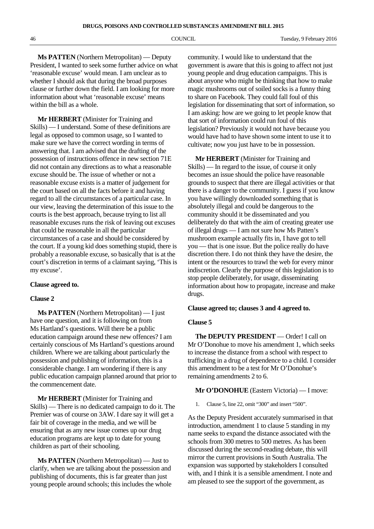**Ms PATTEN** (Northern Metropolitan) — Deputy President, I wanted to seek some further advice on what 'reasonable excuse' would mean. I am unclear as to whether I should ask that during the broad purposes clause or further down the field. I am looking for more information about what 'reasonable excuse' means within the bill as a whole.

**Mr HERBERT** (Minister for Training and Skills) — I understand. Some of these definitions are legal as opposed to common usage, so I wanted to make sure we have the correct wording in terms of answering that. I am advised that the drafting of the possession of instructions offence in new section 71E did not contain any directions as to what a reasonable excuse should be. The issue of whether or not a reasonable excuse exists is a matter of judgement for the court based on all the facts before it and having regard to all the circumstances of a particular case. In our view, leaving the determination of this issue to the courts is the best approach, because trying to list all reasonable excuses runs the risk of leaving out excuses that could be reasonable in all the particular circumstances of a case and should be considered by the court. If a young kid does something stupid, there is probably a reasonable excuse, so basically that is at the court's discretion in terms of a claimant saying, 'This is my excuse'.

## **Clause agreed to.**

## **Clause 2**

**Ms PATTEN** (Northern Metropolitan) — I just have one question, and it is following on from Ms Hartland's questions. Will there be a public education campaign around these new offences? I am certainly conscious of Ms Hartland's questions around children. Where we are talking about particularly the possession and publishing of information, this is a considerable change. I am wondering if there is any public education campaign planned around that prior to the commencement date.

**Mr HERBERT** (Minister for Training and Skills) — There is no dedicated campaign to do it. The Premier was of course on 3AW. I dare say it will get a fair bit of coverage in the media, and we will be ensuring that as any new issue comes up our drug education programs are kept up to date for young children as part of their schooling.

**Ms PATTEN** (Northern Metropolitan) — Just to clarify, when we are talking about the possession and publishing of documents, this is far greater than just young people around schools; this includes the whole community. I would like to understand that the government is aware that this is going to affect not just young people and drug education campaigns. This is about anyone who might be thinking that how to make magic mushrooms out of soiled socks is a funny thing to share on Facebook. They could fall foul of this legislation for disseminating that sort of information, so I am asking: how are we going to let people know that that sort of information could run foul of this legislation? Previously it would not have because you would have had to have shown some intent to use it to cultivate; now you just have to be in possession.

**Mr HERBERT** (Minister for Training and Skills) — In regard to the issue, of course it only becomes an issue should the police have reasonable grounds to suspect that there are illegal activities or that there is a danger to the community. I guess if you know you have willingly downloaded something that is absolutely illegal and could be dangerous to the community should it be disseminated and you deliberately do that with the aim of creating greater use of illegal drugs — I am not sure how Ms Patten's mushroom example actually fits in, I have got to tell you — that is one issue. But the police really do have discretion there. I do not think they have the desire, the intent or the resources to trawl the web for every minor indiscretion. Clearly the purpose of this legislation is to stop people deliberately, for usage, disseminating information about how to propagate, increase and make drugs.

## **Clause agreed to; clauses 3 and 4 agreed to.**

#### **Clause 5**

**The DEPUTY PRESIDENT** — Order! I call on Mr O'Donohue to move his amendment 1, which seeks to increase the distance from a school with respect to trafficking in a drug of dependence to a child. I consider this amendment to be a test for Mr O'Donohue's remaining amendments 2 to 6.

### **Mr O'DONOHUE** (Eastern Victoria) — I move:

1. Clause 5, line 22, omit "300" and insert "500".

As the Deputy President accurately summarised in that introduction, amendment 1 to clause 5 standing in my name seeks to expand the distance associated with the schools from 300 metres to 500 metres. As has been discussed during the second-reading debate, this will mirror the current provisions in South Australia. The expansion was supported by stakeholders I consulted with, and I think it is a sensible amendment. I note and am pleased to see the support of the government, as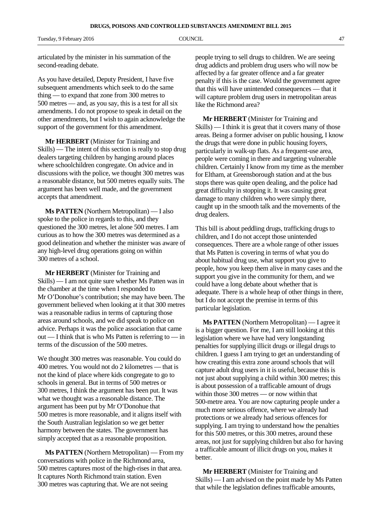articulated by the minister in his summation of the second-reading debate.

As you have detailed, Deputy President, I have five subsequent amendments which seek to do the same thing — to expand that zone from 300 metres to 500 metres — and, as you say, this is a test for all six amendments. I do not propose to speak in detail on the other amendments, but I wish to again acknowledge the support of the government for this amendment.

**Mr HERBERT** (Minister for Training and Skills) — The intent of this section is really to stop drug dealers targeting children by hanging around places where schoolchildren congregate. On advice and in discussions with the police, we thought 300 metres was a reasonable distance, but 500 metres equally suits. The argument has been well made, and the government accepts that amendment.

**Ms PATTEN** (Northern Metropolitan) — I also spoke to the police in regards to this, and they questioned the 300 metres, let alone 500 metres. I am curious as to how the 300 metres was determined as a good delineation and whether the minister was aware of any high-level drug operations going on within 300 metres of a school.

**Mr HERBERT** (Minister for Training and Skills) — I am not quite sure whether Ms Patten was in the chamber at the time when I responded to Mr O'Donohue's contribution; she may have been. The government believed when looking at it that 300 metres was a reasonable radius in terms of capturing those areas around schools, and we did speak to police on advice. Perhaps it was the police association that came out — I think that is who Ms Patten is referring to — in terms of the discussion of the 500 metres.

We thought 300 metres was reasonable. You could do 400 metres. You would not do 2 kilometres — that is not the kind of place where kids congregate to go to schools in general. But in terms of 500 metres or 300 metres, I think the argument has been put. It was what we thought was a reasonable distance. The argument has been put by Mr O'Donohue that 500 metres is more reasonable, and it aligns itself with the South Australian legislation so we get better harmony between the states. The government has simply accepted that as a reasonable proposition.

**Ms PATTEN** (Northern Metropolitan) — From my conversations with police in the Richmond area, 500 metres captures most of the high-rises in that area. It captures North Richmond train station. Even 300 metres was capturing that. We are not seeing

people trying to sell drugs to children. We are seeing drug addicts and problem drug users who will now be affected by a far greater offence and a far greater penalty if this is the case. Would the government agree that this will have unintended consequences — that it will capture problem drug users in metropolitan areas like the Richmond area?

**Mr HERBERT** (Minister for Training and Skills) — I think it is great that it covers many of those areas. Being a former adviser on public housing, I know the drugs that were done in public housing foyers, particularly in walk-up flats. As a frequent-use area, people were coming in there and targeting vulnerable children. Certainly I know from my time as the member for Eltham, at Greensborough station and at the bus stops there was quite open dealing, and the police had great difficulty in stopping it. It was causing great damage to many children who were simply there, caught up in the smooth talk and the movements of the drug dealers.

This bill is about peddling drugs, trafficking drugs to children, and I do not accept those unintended consequences. There are a whole range of other issues that Ms Patten is covering in terms of what you do about habitual drug use, what support you give to people, how you keep them alive in many cases and the support you give in the community for them, and we could have a long debate about whether that is adequate. There is a whole heap of other things in there, but I do not accept the premise in terms of this particular legislation.

**Ms PATTEN** (Northern Metropolitan) — I agree it is a bigger question. For me, I am still looking at this legislation where we have had very longstanding penalties for supplying illicit drugs or illegal drugs to children. I guess I am trying to get an understanding of how creating this extra zone around schools that will capture adult drug users in it is useful, because this is not just about supplying a child within 300 metres; this is about possession of a trafficable amount of drugs within those 300 metres — or now within that 500-metre area. You are now capturing people under a much more serious offence, where we already had protections or we already had serious offences for supplying. I am trying to understand how the penalties for this 500 metres, or this 300 metres, around these areas, not just for supplying children but also for having a trafficable amount of illicit drugs on you, makes it better.

**Mr HERBERT** (Minister for Training and Skills) — I am advised on the point made by Ms Patten that while the legislation defines trafficable amounts,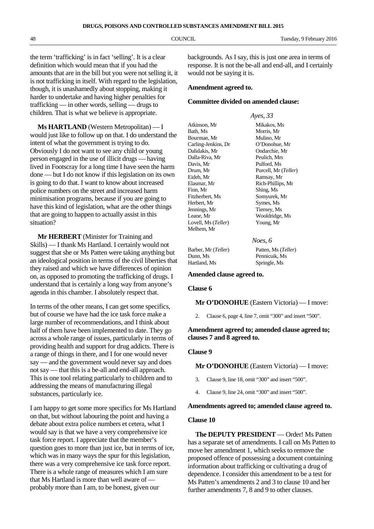the term 'trafficking' is in fact 'selling'. It is a clear definition which would mean that if you had the amounts that are in the bill but you were not selling it, it is not trafficking in itself. With regard to the legislation, though, it is unashamedly about stopping, making it harder to undertake and having higher penalties for trafficking — in other words, selling — drugs to children. That is what we believe is appropriate.

**Ms HARTLAND** (Western Metropolitan) — I would just like to follow up on that. I do understand the intent of what the government is trying to do. Obviously I do not want to see any child or young person engaged in the use of illicit drugs — having lived in Footscray for a long time I have seen the harm done — but I do not know if this legislation on its own is going to do that. I want to know about increased police numbers on the street and increased harm minimisation programs, because if you are going to have this kind of legislation, what are the other things that are going to happen to actually assist in this situation?

**Mr HERBERT** (Minister for Training and Skills) — I thank Ms Hartland. I certainly would not suggest that she or Ms Patten were taking anything but an ideological position in terms of the civil liberties that they raised and which we have differences of opinion on, as opposed to promoting the trafficking of drugs. I understand that is certainly a long way from anyone's agenda in this chamber. I absolutely respect that.

In terms of the other means, I can get some specifics, but of course we have had the ice task force make a large number of recommendations, and I think about half of them have been implemented to date. They go across a whole range of issues, particularly in terms of providing health and support for drug addicts. There is a range of things in there, and I for one would never say — and the government would never say and does not say — that this is a be-all and end-all approach. This is one tool relating particularly to children and to addressing the means of manufacturing illegal substances, particularly ice.

I am happy to get some more specifics for Ms Hartland on that, but without labouring the point and having a debate about extra police numbers et cetera, what I would say is that we have a very comprehensive ice task force report. I appreciate that the member's question goes to more than just ice, but in terms of ice, which was in many ways the spur for this legislation, there was a very comprehensive ice task force report. There is a whole range of measures which I am sure that Ms Hartland is more than well aware of probably more than I am, to be honest, given our

backgrounds. As I say, this is just one area in terms of response. It is not the be-all and end-all, and I certainly would not be saying it is.

## **Amendment agreed to.**

### **Committee divided on amended clause:**

*Ayes, 33* Atkinson, Mr Mikakos, Ms Bath, Ms Morris, Mr Bourman, Mr Mulino, Mr Carling-Jenkins, Dr O'Donohue, Mr Dalidakis, Mr Ondarchie, Mr Dalla-Riva, Mr Davis, Mr Pulford, Ms Drum, Mr Purcell, Mr (*Teller*) Eideh, Mr Ramsay, Mr Elasmar, Mr Rich-Phillips, Mr Finn, Mr Shing, Ms Fitzherbert, Ms Somyurek, Mr Herbert, Mr Symes, Ms Jennings, Mr Tierney, Ms Leane, Mr<br>
Lovell, Ms (Teller) Voung, Mr<br>
Young, Mr Lovell, Ms (Teller) Melhem, Mr

#### *Noes, 6*

Dunn, Ms Pennicuik, Ms Hartland, Ms Springle, Ms

Barber, Mr (*Teller*) Patten, Ms (*Teller*)

**Amended clause agreed to.**

### **Clause 6**

#### **Mr O'DONOHUE** (Eastern Victoria) — I move:

2. Clause 6, page 4, line 7, omit "300" and insert "500".

# **Amendment agreed to; amended clause agreed to; clauses 7 and 8 agreed to.**

### **Clause 9**

### **Mr O'DONOHUE** (Eastern Victoria) — I move:

- 3. Clause 9, line 18, omit "300" and insert "500".
- 4. Clause 9, line 24, omit "300" and insert "500".

#### **Amendments agreed to; amended clause agreed to.**

#### **Clause 10**

**The DEPUTY PRESIDENT** — Order! Ms Patten has a separate set of amendments. I call on Ms Patten to move her amendment 1, which seeks to remove the proposed offence of possessing a document containing information about trafficking or cultivating a drug of dependence. I consider this amendment to be a test for Ms Patten's amendments 2 and 3 to clause 10 and her further amendments 7, 8 and 9 to other clauses.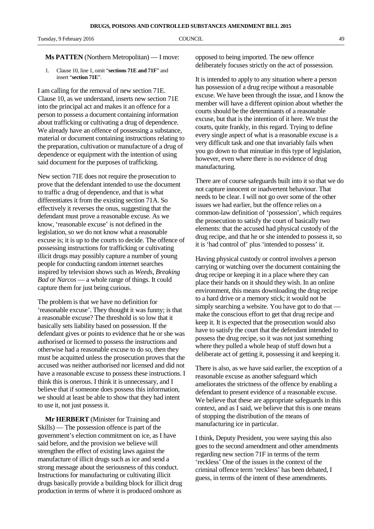### **Ms PATTEN** (Northern Metropolitan) — I move:

1. Clause 10, line 1, omit "**sections 71E and 71F**" and insert "**section 71E**".

I am calling for the removal of new section 71E. Clause 10, as we understand, inserts new section 71E into the principal act and makes it an offence for a person to possess a document containing information about trafficking or cultivating a drug of dependence. We already have an offence of possessing a substance, material or document containing instructions relating to the preparation, cultivation or manufacture of a drug of dependence or equipment with the intention of using said document for the purposes of trafficking.

New section 71E does not require the prosecution to prove that the defendant intended to use the document to traffic a drug of dependence, and that is what differentiates it from the existing section 71A. So effectively it reverses the onus, suggesting that the defendant must prove a reasonable excuse. As we know, 'reasonable excuse' is not defined in the legislation, so we do not know what a reasonable excuse is; it is up to the courts to decide. The offence of possessing instructions for trafficking or cultivating illicit drugs may possibly capture a number of young people for conducting random internet searches inspired by television shows such as *Weeds*, *Breaking Bad* or *Narcos* — a whole range of things. It could capture them for just being curious.

The problem is that we have no definition for 'reasonable excuse'. They thought it was funny; is that a reasonable excuse? The threshold is so low that it basically sets liability based on possession. If the defendant gives or points to evidence that he or she was authorised or licensed to possess the instructions and otherwise had a reasonable excuse to do so, then they must be acquitted unless the prosecution proves that the accused was neither authorised nor licensed and did not have a reasonable excuse to possess these instructions. I think this is onerous. I think it is unnecessary, and I believe that if someone does possess this information, we should at least be able to show that they had intent to use it, not just possess it.

**Mr HERBERT** (Minister for Training and Skills) — The possession offence is part of the government's election commitment on ice, as I have said before, and the provision we believe will strengthen the effect of existing laws against the manufacture of illicit drugs such as ice and send a strong message about the seriousness of this conduct. Instructions for manufacturing or cultivating illicit drugs basically provide a building block for illicit drug production in terms of where it is produced onshore as

opposed to being imported. The new offence deliberately focuses strictly on the act of possession.

It is intended to apply to any situation where a person has possession of a drug recipe without a reasonable excuse. We have been through the issue, and I know the member will have a different opinion about whether the courts should be the determinants of a reasonable excuse, but that is the intention of it here. We trust the courts, quite frankly, in this regard. Trying to define every single aspect of what is a reasonable excuse is a very difficult task and one that invariably fails when you go down to that minutiae in this type of legislation, however, even where there is no evidence of drug manufacturing.

There are of course safeguards built into it so that we do not capture innocent or inadvertent behaviour. That needs to be clear. I will not go over some of the other issues we had earlier, but the offence relies on a common-law definition of 'possession', which requires the prosecution to satisfy the court of basically two elements: that the accused had physical custody of the drug recipe, and that he or she intended to possess it, so it is 'had control of' plus 'intended to possess' it.

Having physical custody or control involves a person carrying or watching over the document containing the drug recipe or keeping it in a place where they can place their hands on it should they wish. In an online environment, this means downloading the drug recipe to a hard drive or a memory stick; it would not be simply searching a website. You have got to do that make the conscious effort to get that drug recipe and keep it. It is expected that the prosecution would also have to satisfy the court that the defendant intended to possess the drug recipe, so it was not just something where they pulled a whole heap of stuff down but a deliberate act of getting it, possessing it and keeping it.

There is also, as we have said earlier, the exception of a reasonable excuse as another safeguard which ameliorates the strictness of the offence by enabling a defendant to present evidence of a reasonable excuse. We believe that these are appropriate safeguards in this context, and as I said, we believe that this is one means of stopping the distribution of the means of manufacturing ice in particular.

I think, Deputy President, you were saying this also goes to the second amendment and other amendments regarding new section 71F in terms of the term 'reckless' One of the issues in the context of the criminal offence term 'reckless' has been debated, I guess, in terms of the intent of these amendments.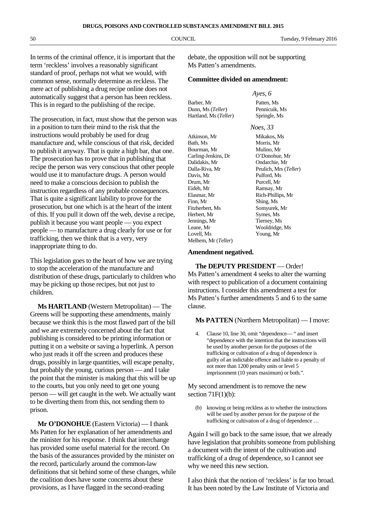In terms of the criminal offence, it is important that the term 'reckless' involves a reasonably significant standard of proof, perhaps not what we would, with common sense, normally determine as reckless. The mere act of publishing a drug recipe online does not automatically suggest that a person has been reckless. This is in regard to the publishing of the recipe.

The prosecution, in fact, must show that the person was in a position to turn their mind to the risk that the instructions would probably be used for drug manufacture and, while conscious of that risk, decided to publish it anyway. That is quite a high bar, that one. The prosecution has to prove that in publishing that recipe the person was very conscious that other people would use it to manufacture drugs. A person would need to make a conscious decision to publish the instruction regardless of any probable consequences. That is quite a significant liability to prove for the prosecution, but one which is at the heart of the intent of this. If you pull it down off the web, devise a recipe, publish it because you want people — you expect people — to manufacture a drug clearly for use or for trafficking, then we think that is a very, very inappropriate thing to do.

This legislation goes to the heart of how we are trying to stop the acceleration of the manufacture and distribution of these drugs, particularly to children who may be picking up those recipes, but not just to children.

**Ms HARTLAND** (Western Metropolitan) — The Greens will be supporting these amendments, mainly because we think this is the most flawed part of the bill and we are extremely concerned about the fact that publishing is considered to be printing information or putting it on a website or saving a hyperlink. A person who just reads it off the screen and produces these drugs, possibly in large quantities, will escape penalty, but probably the young, curious person — and I take the point that the minister is making that this will be up to the courts, but you only need to get one young person — will get caught in the web. We actually want to be diverting them from this, not sending them to prison.

**Mr O'DONOHUE** (Eastern Victoria) — I thank Ms Patten for her explanation of her amendments and the minister for his response. I think that interchange has provided some useful material for the record. On the basis of the assurances provided by the minister on the record, particularly around the common-law definitions that sit behind some of these changes, while the coalition does have some concerns about these provisions, as I have flagged in the second-reading

debate, the opposition will not be supporting Ms Patten's amendments.

## **Committee divided on amendment:**

|                       | Ayes, 6       |
|-----------------------|---------------|
| Barber, Mr            | Patten, Ms    |
| Dunn, Ms (Teller)     | Pennicuik, Ms |
| Hartland, Ms (Teller) | Springle, Ms  |
|                       |               |

*Noes, 33*

Bath, Ms Morris, Mr Bourman, Mr Mulino, Mr Carling-Jenkins, Dr O'Donohue, Mr Dalidakis, Mr Ondarchie, Mr Dalla-Riva, Mr Peulich, Mrs (*Teller*) Davis, Mr Pulford, Ms Drum, Mr Purcell, Mr Elasmar, Mr Rich-Phillips, Mr Finn, Mr Shing, Ms Fitzherbert, Ms Somyurek, Mr Herbert, Mr Symes, Ms Jennings, Mr Tierney, Ms Leane, Mr Wooldridge, Ms Lovell, Ms Young, Mr Melhem, Mr (*Teller*)

Atkinson, Mr Mikakos, Ms Ramsay, Mr

## **Amendment negatived.**

**The DEPUTY PRESIDENT** — Order! Ms Patten's amendment 4 seeks to alter the warning with respect to publication of a document containing instructions. I consider this amendment a test for Ms Patten's further amendments 5 and 6 to the same clause.

### **Ms PATTEN** (Northern Metropolitan) — I move:

4. Clause 10, line 30, omit "dependence— " and insert "dependence with the intention that the instructions will be used by another person for the purposes of the trafficking or cultivation of a drug of dependence is guilty of an indictable offence and liable to a penalty of not more than 1200 penalty units or level 5 imprisonment (10 years maximum) or both.".

## My second amendment is to remove the new section  $71F(1)(b)$ :

(b) knowing or being reckless as to whether the instructions will be used by another person for the purpose of the trafficking or cultivation of a drug of dependence …

Again I will go back to the same issue, that we already have legislation that prohibits someone from publishing a document with the intent of the cultivation and trafficking of a drug of dependence, so I cannot see why we need this new section.

I also think that the notion of 'reckless' is far too broad. It has been noted by the Law Institute of Victoria and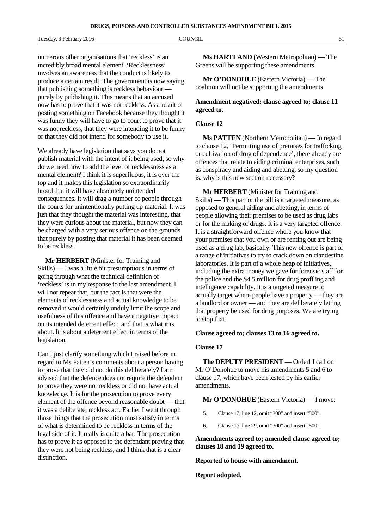Tuesday, 9 February 2016 **COUNCIL COUNCIL COUNCIL** 51

numerous other organisations that 'reckless' is an incredibly broad mental element. 'Recklessness' involves an awareness that the conduct is likely to produce a certain result. The government is now saying that publishing something is reckless behaviour purely by publishing it. This means that an accused now has to prove that it was not reckless. As a result of posting something on Facebook because they thought it was funny they will have to go to court to prove that it was not reckless, that they were intending it to be funny or that they did not intend for somebody to use it.

We already have legislation that says you do not publish material with the intent of it being used, so why do we need now to add the level of recklessness as a mental element? I think it is superfluous, it is over the top and it makes this legislation so extraordinarily broad that it will have absolutely unintended consequences. It will drag a number of people through the courts for unintentionally putting up material. It was just that they thought the material was interesting, that they were curious about the material, but now they can be charged with a very serious offence on the grounds that purely by posting that material it has been deemed to be reckless.

**Mr HERBERT** (Minister for Training and Skills) — I was a little bit presumptuous in terms of going through what the technical definition of 'reckless' is in my response to the last amendment. I will not repeat that, but the fact is that were the elements of recklessness and actual knowledge to be removed it would certainly unduly limit the scope and usefulness of this offence and have a negative impact on its intended deterrent effect, and that is what it is about. It is about a deterrent effect in terms of the legislation.

Can I just clarify something which I raised before in regard to Ms Patten's comments about a person having to prove that they did not do this deliberately? I am advised that the defence does not require the defendant to prove they were not reckless or did not have actual knowledge. It is for the prosecution to prove every element of the offence beyond reasonable doubt — that it was a deliberate, reckless act. Earlier I went through those things that the prosecution must satisfy in terms of what is determined to be reckless in terms of the legal side of it. It really is quite a bar. The prosecution has to prove it as opposed to the defendant proving that they were not being reckless, and I think that is a clear distinction.

**Ms HARTLAND** (Western Metropolitan) — The Greens will be supporting these amendments.

**Mr O'DONOHUE** (Eastern Victoria) — The coalition will not be supporting the amendments.

# **Amendment negatived; clause agreed to; clause 11 agreed to.**

## **Clause 12**

**Ms PATTEN** (Northern Metropolitan) — In regard to clause 12, 'Permitting use of premises for trafficking or cultivation of drug of dependence', there already are offences that relate to aiding criminal enterprises, such as conspiracy and aiding and abetting, so my question is: why is this new section necessary?

**Mr HERBERT** (Minister for Training and Skills) — This part of the bill is a targeted measure, as opposed to general aiding and abetting, in terms of people allowing their premises to be used as drug labs or for the making of drugs. It is a very targeted offence. It is a straightforward offence where you know that your premises that you own or are renting out are being used as a drug lab, basically. This new offence is part of a range of initiatives to try to crack down on clandestine laboratories. It is part of a whole heap of initiatives, including the extra money we gave for forensic staff for the police and the \$4.5 million for drug profiling and intelligence capability. It is a targeted measure to actually target where people have a property — they are a landlord or owner — and they are deliberately letting that property be used for drug purposes. We are trying to stop that.

## **Clause agreed to; clauses 13 to 16 agreed to.**

## **Clause 17**

**The DEPUTY PRESIDENT** — Order! I call on Mr O'Donohue to move his amendments 5 and 6 to clause 17, which have been tested by his earlier amendments.

#### **Mr O'DONOHUE** (Eastern Victoria) — I move:

- 5. Clause 17, line 12, omit "300" and insert "500".
- 6. Clause 17, line 29, omit "300" and insert "500".

**Amendments agreed to; amended clause agreed to; clauses 18 and 19 agreed to.**

## **Reported to house with amendment.**

### **Report adopted.**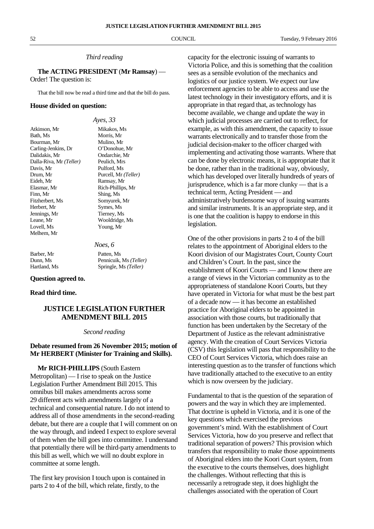## *Third reading*

**The ACTING PRESIDENT** (**Mr Ramsay**) — Order! The question is:

That the bill now be read a third time and that the bill do pass.

### **House divided on question:**

|                                | Ayes, $33$           |
|--------------------------------|----------------------|
| Atkinson, Mr                   | Mikakos, Ms          |
| Bath, Ms                       | Morris. Mr           |
| Bourman, Mr                    | Mulino, Mr           |
| Carling-Jenkins, Dr            | O'Donohue, Mr        |
| Dalidakis, Mr                  | Ondarchie. Mr        |
| Dalla-Riva, Mr <i>(Teller)</i> | Peulich. Mrs         |
| Davis. Mr                      | Pulford, Ms          |
| Drum, Mr                       | Purcell, Mr (Teller) |
| Eideh, Mr                      | Ramsay, Mr           |
| Elasmar, Mr                    | Rich-Phillips, Mr    |
| Finn, Mr                       | Shing, Ms            |
| Fitzherbert, Ms                | Somyurek, Mr         |
| Herbert, Mr                    | Symes, Ms            |
| Jennings, Mr                   | Tierney, Ms          |
| Leane, Mr                      | Wooldridge, Ms       |
| Lovell, Ms                     | Young, Mr            |
| Melhem, Mr                     |                      |
|                                |                      |

Barber, Mr Patten, Ms

*Noes, 6* Dunn, Ms Pennicuik, Ms *(Teller)* Springle, Ms (Teller)

### **Question agreed to.**

## **Read third time.**

# **JUSTICE LEGISLATION FURTHER AMENDMENT BILL 2015**

#### *Second reading*

# **Debate resumed from 26 November 2015; motion of Mr HERBERT (Minister for Training and Skills).**

**Mr RICH-PHILLIPS** (South Eastern Metropolitan) — I rise to speak on the Justice Legislation Further Amendment Bill 2015. This omnibus bill makes amendments across some 29 different acts with amendments largely of a technical and consequential nature. I do not intend to address all of those amendments in the second-reading debate, but there are a couple that I will comment on on the way through, and indeed I expect to explore several of them when the bill goes into committee. I understand that potentially there will be third-party amendments to this bill as well, which we will no doubt explore in committee at some length.

The first key provision I touch upon is contained in parts 2 to 4 of the bill, which relate, firstly, to the

capacity for the electronic issuing of warrants to Victoria Police, and this is something that the coalition sees as a sensible evolution of the mechanics and logistics of our justice system. We expect our law enforcement agencies to be able to access and use the latest technology in their investigatory efforts, and it is appropriate in that regard that, as technology has become available, we change and update the way in which judicial processes are carried out to reflect, for example, as with this amendment, the capacity to issue warrants electronically and to transfer those from the judicial decision-maker to the officer charged with implementing and activating those warrants. Where that can be done by electronic means, it is appropriate that it be done, rather than in the traditional way, obviously, which has developed over literally hundreds of years of jurisprudence, which is a far more clunky — that is a technical term, Acting President — and administratively burdensome way of issuing warrants and similar instruments. It is an appropriate step, and it is one that the coalition is happy to endorse in this legislation.

One of the other provisions in parts 2 to 4 of the bill relates to the appointment of Aboriginal elders to the Koori division of our Magistrates Court, County Court and Children's Court. In the past, since the establishment of Koori Courts — and I know there are a range of views in the Victorian community as to the appropriateness of standalone Koori Courts, but they have operated in Victoria for what must be the best part of a decade now — it has become an established practice for Aboriginal elders to be appointed in association with those courts, but traditionally that function has been undertaken by the Secretary of the Department of Justice as the relevant administrative agency. With the creation of Court Services Victoria (CSV) this legislation will pass that responsibility to the CEO of Court Services Victoria, which does raise an interesting question as to the transfer of functions which have traditionally attached to the executive to an entity which is now overseen by the judiciary.

Fundamental to that is the question of the separation of powers and the way in which they are implemented. That doctrine is upheld in Victoria, and it is one of the key questions which exercised the previous government's mind. With the establishment of Court Services Victoria, how do you preserve and reflect that traditional separation of powers? This provision which transfers that responsibility to make those appointments of Aboriginal elders into the Koori Court system, from the executive to the courts themselves, does highlight the challenges. Without reflecting that this is necessarily a retrograde step, it does highlight the challenges associated with the operation of Court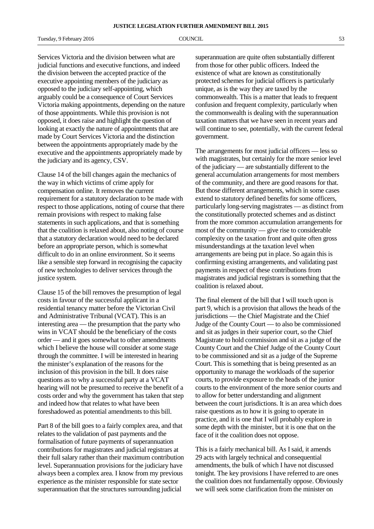Tuesday, 9 February 2016 **COUNCIL** 63

Services Victoria and the division between what are judicial functions and executive functions, and indeed the division between the accepted practice of the executive appointing members of the judiciary as opposed to the judiciary self-appointing, which arguably could be a consequence of Court Services Victoria making appointments, depending on the nature of those appointments. While this provision is not opposed, it does raise and highlight the question of looking at exactly the nature of appointments that are made by Court Services Victoria and the distinction between the appointments appropriately made by the executive and the appointments appropriately made by the judiciary and its agency, CSV.

Clause 14 of the bill changes again the mechanics of the way in which victims of crime apply for compensation online. It removes the current requirement for a statutory declaration to be made with respect to those applications, noting of course that there remain provisions with respect to making false statements in such applications, and that is something that the coalition is relaxed about, also noting of course that a statutory declaration would need to be declared before an appropriate person, which is somewhat difficult to do in an online environment. So it seems like a sensible step forward in recognising the capacity of new technologies to deliver services through the justice system.

Clause 15 of the bill removes the presumption of legal costs in favour of the successful applicant in a residential tenancy matter before the Victorian Civil and Administrative Tribunal (VCAT). This is an interesting area — the presumption that the party who wins in VCAT should be the beneficiary of the costs order — and it goes somewhat to other amendments which I believe the house will consider at some stage through the committee. I will be interested in hearing the minister's explanation of the reasons for the inclusion of this provision in the bill. It does raise questions as to why a successful party at a VCAT hearing will not be presumed to receive the benefit of a costs order and why the government has taken that step and indeed how that relates to what have been foreshadowed as potential amendments to this bill.

Part 8 of the bill goes to a fairly complex area, and that relates to the validation of past payments and the formalisation of future payments of superannuation contributions for magistrates and judicial registrars at their full salary rather than their maximum contribution level. Superannuation provisions for the judiciary have always been a complex area. I know from my previous experience as the minister responsible for state sector superannuation that the structures surrounding judicial

superannuation are quite often substantially different from those for other public officers. Indeed the existence of what are known as constitutionally protected schemes for judicial officers is particularly unique, as is the way they are taxed by the commonwealth. This is a matter that leads to frequent confusion and frequent complexity, particularly when the commonwealth is dealing with the superannuation taxation matters that we have seen in recent years and will continue to see, potentially, with the current federal government.

The arrangements for most judicial officers — less so with magistrates, but certainly for the more senior level of the judiciary — are substantially different to the general accumulation arrangements for most members of the community, and there are good reasons for that. But those different arrangements, which in some cases extend to statutory defined benefits for some officers, particularly long-serving magistrates — as distinct from the constitutionally protected schemes and as distinct from the more common accumulation arrangements for most of the community — give rise to considerable complexity on the taxation front and quite often gross misunderstandings at the taxation level when arrangements are being put in place. So again this is confirming existing arrangements, and validating past payments in respect of these contributions from magistrates and judicial registrars is something that the coalition is relaxed about.

The final element of the bill that I will touch upon is part 9, which is a provision that allows the heads of the jurisdictions — the Chief Magistrate and the Chief Judge of the County Court — to also be commissioned and sit as judges in their superior court, so the Chief Magistrate to hold commission and sit as a judge of the County Court and the Chief Judge of the County Court to be commissioned and sit as a judge of the Supreme Court. This is something that is being presented as an opportunity to manage the workloads of the superior courts, to provide exposure to the heads of the junior courts to the environment of the more senior courts and to allow for better understanding and alignment between the court jurisdictions. It is an area which does raise questions as to how it is going to operate in practice, and it is one that I will probably explore in some depth with the minister, but it is one that on the face of it the coalition does not oppose.

This is a fairly mechanical bill. As I said, it amends 29 acts with largely technical and consequential amendments, the bulk of which I have not discussed tonight. The key provisions I have referred to are ones the coalition does not fundamentally oppose. Obviously we will seek some clarification from the minister on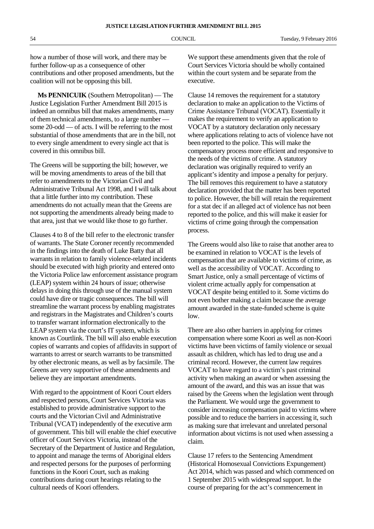how a number of those will work, and there may be further follow-up as a consequence of other contributions and other proposed amendments, but the coalition will not be opposing this bill.

**Ms PENNICUIK** (Southern Metropolitan) — The Justice Legislation Further Amendment Bill 2015 is indeed an omnibus bill that makes amendments, many of them technical amendments, to a large number some 20-odd — of acts. I will be referring to the most substantial of those amendments that are in the bill, not to every single amendment to every single act that is covered in this omnibus bill.

The Greens will be supporting the bill; however, we will be moving amendments to areas of the bill that refer to amendments to the Victorian Civil and Administrative Tribunal Act 1998, and I will talk about that a little further into my contribution. These amendments do not actually mean that the Greens are not supporting the amendments already being made to that area, just that we would like those to go further.

Clauses 4 to 8 of the bill refer to the electronic transfer of warrants. The State Coroner recently recommended in the findings into the death of Luke Batty that all warrants in relation to family violence-related incidents should be executed with high priority and entered onto the Victoria Police law enforcement assistance program (LEAP) system within 24 hours of issue; otherwise delays in doing this through use of the manual system could have dire or tragic consequences. The bill will streamline the warrant process by enabling magistrates and registrars in the Magistrates and Children's courts to transfer warrant information electronically to the LEAP system via the court's IT system, which is known as Courtlink. The bill will also enable execution copies of warrants and copies of affidavits in support of warrants to arrest or search warrants to be transmitted by other electronic means, as well as by facsimile. The Greens are very supportive of these amendments and believe they are important amendments.

With regard to the appointment of Koori Court elders and respected persons, Court Services Victoria was established to provide administrative support to the courts and the Victorian Civil and Administrative Tribunal (VCAT) independently of the executive arm of government. This bill will enable the chief executive officer of Court Services Victoria, instead of the Secretary of the Department of Justice and Regulation, to appoint and manage the terms of Aboriginal elders and respected persons for the purposes of performing functions in the Koori Court, such as making contributions during court hearings relating to the cultural needs of Koori offenders.

We support these amendments given that the role of Court Services Victoria should be wholly contained within the court system and be separate from the executive.

Clause 14 removes the requirement for a statutory declaration to make an application to the Victims of Crime Assistance Tribunal (VOCAT). Essentially it makes the requirement to verify an application to VOCAT by a statutory declaration only necessary where applications relating to acts of violence have not been reported to the police. This will make the compensatory process more efficient and responsive to the needs of the victims of crime. A statutory declaration was originally required to verify an applicant's identity and impose a penalty for perjury. The bill removes this requirement to have a statutory declaration provided that the matter has been reported to police. However, the bill will retain the requirement for a stat dec if an alleged act of violence has not been reported to the police, and this will make it easier for victims of crime going through the compensation process.

The Greens would also like to raise that another area to be examined in relation to VOCAT is the levels of compensation that are available to victims of crime, as well as the accessibility of VOCAT. According to Smart Justice, only a small percentage of victims of violent crime actually apply for compensation at VOCAT despite being entitled to it. Some victims do not even bother making a claim because the average amount awarded in the state-funded scheme is quite low.

There are also other barriers in applying for crimes compensation where some Koori as well as non-Koori victims have been victims of family violence or sexual assault as children, which has led to drug use and a criminal record. However, the current law requires VOCAT to have regard to a victim's past criminal activity when making an award or when assessing the amount of the award, and this was an issue that was raised by the Greens when the legislation went through the Parliament. We would urge the government to consider increasing compensation paid to victims where possible and to reduce the barriers in accessing it, such as making sure that irrelevant and unrelated personal information about victims is not used when assessing a claim.

Clause 17 refers to the Sentencing Amendment (Historical Homosexual Convictions Expungement) Act 2014, which was passed and which commenced on 1 September 2015 with widespread support. In the course of preparing for the act's commencement in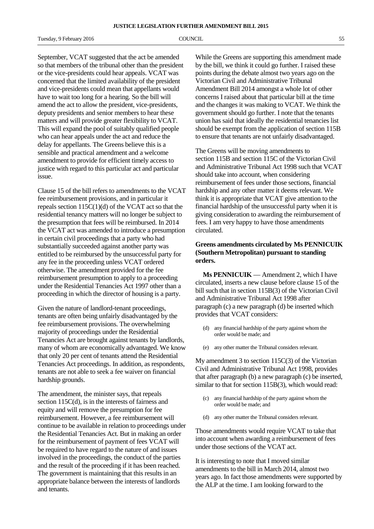Tuesday, 9 February 2016 **COUNCIL COUNCIL** 55

September, VCAT suggested that the act be amended so that members of the tribunal other than the president or the vice-presidents could hear appeals. VCAT was concerned that the limited availability of the president and vice-presidents could mean that appellants would have to wait too long for a hearing. So the bill will amend the act to allow the president, vice-presidents, deputy presidents and senior members to hear these matters and will provide greater flexibility to VCAT. This will expand the pool of suitably qualified people who can hear appeals under the act and reduce the delay for appellants. The Greens believe this is a sensible and practical amendment and a welcome amendment to provide for efficient timely access to justice with regard to this particular act and particular issue.

Clause 15 of the bill refers to amendments to the VCAT fee reimbursement provisions, and in particular it repeals section  $115C(1)(d)$  of the VCAT act so that the residential tenancy matters will no longer be subject to the presumption that fees will be reimbursed. In 2014 the VCAT act was amended to introduce a presumption in certain civil proceedings that a party who had substantially succeeded against another party was entitled to be reimbursed by the unsuccessful party for any fee in the proceeding unless VCAT ordered otherwise. The amendment provided for the fee reimbursement presumption to apply to a proceeding under the Residential Tenancies Act 1997 other than a proceeding in which the director of housing is a party.

Given the nature of landlord-tenant proceedings, tenants are often being unfairly disadvantaged by the fee reimbursement provisions. The overwhelming majority of proceedings under the Residential Tenancies Act are brought against tenants by landlords, many of whom are economically advantaged. We know that only 20 per cent of tenants attend the Residential Tenancies Act proceedings. In addition, as respondents, tenants are not able to seek a fee waiver on financial hardship grounds.

The amendment, the minister says, that repeals section 115C(d), is in the interests of fairness and equity and will remove the presumption for fee reimbursement. However, a fee reimbursement will continue to be available in relation to proceedings under the Residential Tenancies Act. But in making an order for the reimbursement of payment of fees VCAT will be required to have regard to the nature of and issues involved in the proceedings, the conduct of the parties and the result of the proceeding if it has been reached. The government is maintaining that this results in an appropriate balance between the interests of landlords and tenants.

While the Greens are supporting this amendment made by the bill, we think it could go further. I raised these points during the debate almost two years ago on the Victorian Civil and Administrative Tribunal Amendment Bill 2014 amongst a whole lot of other concerns I raised about that particular bill at the time and the changes it was making to VCAT. We think the government should go further. I note that the tenants union has said that ideally the residential tenancies list should be exempt from the application of section 115B to ensure that tenants are not unfairly disadvantaged.

The Greens will be moving amendments to section 115B and section 115C of the Victorian Civil and Administrative Tribunal Act 1998 such that VCAT should take into account, when considering reimbursement of fees under those sections, financial hardship and any other matter it deems relevant. We think it is appropriate that VCAT give attention to the financial hardship of the unsuccessful party when it is giving consideration to awarding the reimbursement of fees. I am very happy to have those amendments circulated.

# **Greens amendments circulated by Ms PENNICUIK (Southern Metropolitan) pursuant to standing orders.**

**Ms PENNICUIK** — Amendment 2, which I have circulated, inserts a new clause before clause 15 of the bill such that in section 115B(3) of the Victorian Civil and Administrative Tribunal Act 1998 after paragraph (c) a new paragraph (d) be inserted which provides that VCAT considers:

- (d) any financial hardship of the party against whom the order would be made; and
- (e) any other matter the Tribunal considers relevant.

My amendment 3 to section 115C(3) of the Victorian Civil and Administrative Tribunal Act 1998, provides that after paragraph (b) a new paragraph (c) be inserted, similar to that for section 115B(3), which would read:

- (c) any financial hardship of the party against whom the order would be made; and
- (d) any other matter the Tribunal considers relevant.

Those amendments would require VCAT to take that into account when awarding a reimbursement of fees under those sections of the VCAT act.

It is interesting to note that I moved similar amendments to the bill in March 2014, almost two years ago. In fact those amendments were supported by the ALP at the time. I am looking forward to the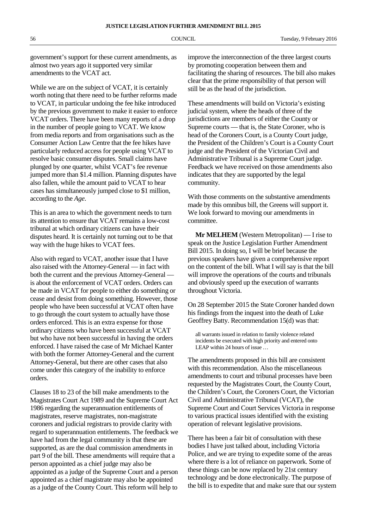government's support for these current amendments, as almost two years ago it supported very similar amendments to the VCAT act.

While we are on the subject of VCAT, it is certainly worth noting that there need to be further reforms made to VCAT, in particular undoing the fee hike introduced by the previous government to make it easier to enforce VCAT orders. There have been many reports of a drop in the number of people going to VCAT. We know from media reports and from organisations such as the Consumer Action Law Centre that the fee hikes have particularly reduced access for people using VCAT to resolve basic consumer disputes. Small claims have plunged by one quarter, whilst VCAT's fee revenue jumped more than \$1.4 million. Planning disputes have also fallen, while the amount paid to VCAT to hear cases has simultaneously jumped close to \$1 million, according to the *Age*.

This is an area to which the government needs to turn its attention to ensure that VCAT remains a low-cost tribunal at which ordinary citizens can have their disputes heard. It is certainly not turning out to be that way with the huge hikes to VCAT fees.

Also with regard to VCAT, another issue that I have also raised with the Attorney-General — in fact with both the current and the previous Attorney-General is about the enforcement of VCAT orders. Orders can be made in VCAT for people to either do something or cease and desist from doing something. However, those people who have been successful at VCAT often have to go through the court system to actually have those orders enforced. This is an extra expense for those ordinary citizens who have been successful at VCAT but who have not been successful in having the orders enforced. I have raised the case of Mr Michael Kanter with both the former Attorney-General and the current Attorney-General, but there are other cases that also come under this category of the inability to enforce orders.

Clauses 18 to 23 of the bill make amendments to the Magistrates Court Act 1989 and the Supreme Court Act 1986 regarding the superannuation entitlements of magistrates, reserve magistrates, non-magistrate coroners and judicial registrars to provide clarity with regard to superannuation entitlements. The feedback we have had from the legal community is that these are supported, as are the dual commission amendments in part 9 of the bill. These amendments will require that a person appointed as a chief judge may also be appointed as a judge of the Supreme Court and a person appointed as a chief magistrate may also be appointed as a judge of the County Court. This reform will help to

improve the interconnection of the three largest courts by promoting cooperation between them and facilitating the sharing of resources. The bill also makes clear that the prime responsibility of that person will still be as the head of the jurisdiction.

These amendments will build on Victoria's existing judicial system, where the heads of three of the jurisdictions are members of either the County or Supreme courts — that is, the State Coroner, who is head of the Coroners Court, is a County Court judge, the President of the Children's Court is a County Court judge and the President of the Victorian Civil and Administrative Tribunal is a Supreme Court judge. Feedback we have received on those amendments also indicates that they are supported by the legal community.

With those comments on the substantive amendments made by this omnibus bill, the Greens will support it. We look forward to moving our amendments in committee.

**Mr MELHEM** (Western Metropolitan) — I rise to speak on the Justice Legislation Further Amendment Bill 2015. In doing so, I will be brief because the previous speakers have given a comprehensive report on the content of the bill. What I will say is that the bill will improve the operations of the courts and tribunals and obviously speed up the execution of warrants throughout Victoria.

On 28 September 2015 the State Coroner handed down his findings from the inquest into the death of Luke Geoffrey Batty. Recommendation 15(d) was that:

all warrants issued in relation to family violence related incidents be executed with high priority and entered onto LEAP within 24 hours of issue …

The amendments proposed in this bill are consistent with this recommendation. Also the miscellaneous amendments to court and tribunal processes have been requested by the Magistrates Court, the County Court, the Children's Court, the Coroners Court, the Victorian Civil and Administrative Tribunal (VCAT), the Supreme Court and Court Services Victoria in response to various practical issues identified with the existing operation of relevant legislative provisions.

There has been a fair bit of consultation with these bodies I have just talked about, including Victoria Police, and we are trying to expedite some of the areas where there is a lot of reliance on paperwork. Some of these things can be now replaced by 21st century technology and be done electronically. The purpose of the bill is to expedite that and make sure that our system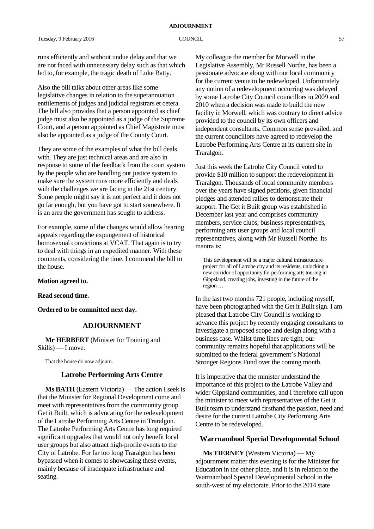runs efficiently and without undue delay and that we are not faced with unnecessary delay such as that which led to, for example, the tragic death of Luke Batty.

Also the bill talks about other areas like some legislative changes in relation to the superannuation entitlements of judges and judicial registrars et cetera. The bill also provides that a person appointed as chief judge must also be appointed as a judge of the Supreme Court, and a person appointed as Chief Magistrate must also be appointed as a judge of the County Court.

They are some of the examples of what the bill deals with. They are just technical areas and are also in response to some of the feedback from the court system by the people who are handling our justice system to make sure the system runs more efficiently and deals with the challenges we are facing in the 21st century. Some people might say it is not perfect and it does not go far enough, but you have got to start somewhere. It is an area the government has sought to address.

For example, some of the changes would allow hearing appeals regarding the expungement of historical homosexual convictions at VCAT. That again is to try to deal with things in an expedited manner. With these comments, considering the time, I commend the bill to the house.

#### **Motion agreed to.**

**Read second time.**

**Ordered to be committed next day.**

### **ADJOURNMENT**

**Mr HERBERT** (Minister for Training and Skills) — I move:

That the house do now adjourn.

## **Latrobe Performing Arts Centre**

**Ms BATH** (Eastern Victoria) — The action I seek is that the Minister for Regional Development come and meet with representatives from the community group Get it Built, which is advocating for the redevelopment of the Latrobe Performing Arts Centre in Traralgon. The Latrobe Performing Arts Centre has long required significant upgrades that would not only benefit local user groups but also attract high-profile events to the City of Latrobe. For far too long Traralgon has been bypassed when it comes to showcasing these events, mainly because of inadequate infrastructure and seating.

My colleague the member for Morwell in the Legislative Assembly, Mr Russell Northe, has been a passionate advocate along with our local community for the current venue to be redeveloped. Unfortunately any notion of a redevelopment occurring was delayed by some Latrobe City Council councillors in 2009 and 2010 when a decision was made to build the new facility in Morwell, which was contrary to direct advice provided to the council by its own officers and independent consultants. Common sense prevailed, and the current councillors have agreed to redevelop the Latrobe Performing Arts Centre at its current site in Traralgon.

Just this week the Latrobe City Council voted to provide \$10 million to support the redevelopment in Traralgon. Thousands of local community members over the years have signed petitions, given financial pledges and attended rallies to demonstrate their support. The Get it Built group was established in December last year and comprises community members, service clubs, business representatives, performing arts user groups and local council representatives, along with Mr Russell Northe. Its mantra is:

This development will be a major cultural infrastructure project for all of Latrobe city and its residents, unlocking a new corridor of opportunity for performing arts touring in Gippsland, creating jobs, investing in the future of the region …

In the last two months 721 people, including myself, have been photographed with the Get it Built sign. I am pleased that Latrobe City Council is working to advance this project by recently engaging consultants to investigate a proposed scope and design along with a business case. Whilst time lines are tight, our community remains hopeful that applications will be submitted to the federal government's National Stronger Regions Fund over the coming month.

It is imperative that the minister understand the importance of this project to the Latrobe Valley and wider Gippsland communities, and I therefore call upon the minister to meet with representatives of the Get it Built team to understand firsthand the passion, need and desire for the current Latrobe City Performing Arts Centre to be redeveloped.

### **Warrnambool Special Developmental School**

**Ms TIERNEY** (Western Victoria) — My adjournment matter this evening is for the Minister for Education in the other place, and it is in relation to the Warrnambool Special Developmental School in the south-west of my electorate. Prior to the 2014 state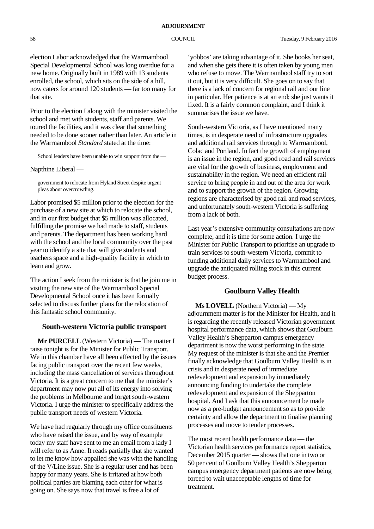election Labor acknowledged that the Warrnambool Special Developmental School was long overdue for a new home. Originally built in 1989 with 13 students enrolled, the school, which sits on the side of a hill, now caters for around 120 students — far too many for that site.

Prior to the election I along with the minister visited the school and met with students, staff and parents. We toured the facilities, and it was clear that something needed to be done sooner rather than later. An article in the Warrnambool *Standard* stated at the time:

School leaders have been unable to win support from the —

Napthine Liberal —

government to relocate from Hyland Street despite urgent pleas about overcrowding.

Labor promised \$5 million prior to the election for the purchase of a new site at which to relocate the school, and in our first budget that \$5 million was allocated, fulfilling the promise we had made to staff, students and parents. The department has been working hard with the school and the local community over the past year to identify a site that will give students and teachers space and a high-quality facility in which to learn and grow.

The action I seek from the minister is that he join me in visiting the new site of the Warrnambool Special Developmental School once it has been formally selected to discuss further plans for the relocation of this fantastic school community.

# **South-western Victoria public transport**

**Mr PURCELL** (Western Victoria) — The matter I raise tonight is for the Minister for Public Transport. We in this chamber have all been affected by the issues facing public transport over the recent few weeks, including the mass cancellation of services throughout Victoria. It is a great concern to me that the minister's department may now put all of its energy into solving the problems in Melbourne and forget south-western Victoria. I urge the minister to specifically address the public transport needs of western Victoria.

We have had regularly through my office constituents who have raised the issue, and by way of example today my staff have sent to me an email from a lady I will refer to as Anne. It reads partially that she wanted to let me know how appalled she was with the handling of the V/Line issue. She is a regular user and has been happy for many years. She is irritated at how both political parties are blaming each other for what is going on. She says now that travel is free a lot of

'yobbos' are taking advantage of it. She books her seat, and when she gets there it is often taken by young men who refuse to move. The Warrnambool staff try to sort it out, but it is very difficult. She goes on to say that there is a lack of concern for regional rail and our line in particular. Her patience is at an end; she just wants it fixed. It is a fairly common complaint, and I think it summarises the issue we have.

South-western Victoria, as I have mentioned many times, is in desperate need of infrastructure upgrades and additional rail services through to Warrnambool, Colac and Portland. In fact the growth of employment is an issue in the region, and good road and rail services are vital for the growth of business, employment and sustainability in the region. We need an efficient rail service to bring people in and out of the area for work and to support the growth of the region. Growing regions are characterised by good rail and road services, and unfortunately south-western Victoria is suffering from a lack of both.

Last year's extensive community consultations are now complete, and it is time for some action. I urge the Minister for Public Transport to prioritise an upgrade to train services to south-western Victoria, commit to funding additional daily services to Warrnambool and upgrade the antiquated rolling stock in this current budget process.

# **Goulburn Valley Health**

**Ms LOVELL** (Northern Victoria) — My adjournment matter is for the Minister for Health, and it is regarding the recently released Victorian government hospital performance data, which shows that Goulburn Valley Health's Shepparton campus emergency department is now the worst performing in the state. My request of the minister is that she and the Premier finally acknowledge that Goulburn Valley Health is in crisis and in desperate need of immediate redevelopment and expansion by immediately announcing funding to undertake the complete redevelopment and expansion of the Shepparton hospital. And I ask that this announcement be made now as a pre-budget announcement so as to provide certainty and allow the department to finalise planning processes and move to tender processes.

The most recent health performance data — the Victorian health services performance report statistics, December 2015 quarter — shows that one in two or 50 per cent of Goulburn Valley Health's Shepparton campus emergency department patients are now being forced to wait unacceptable lengths of time for treatment.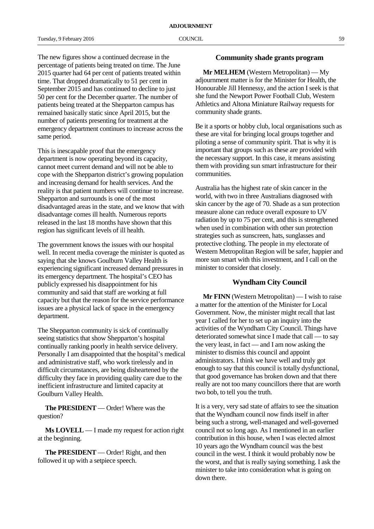The new figures show a continued decrease in the percentage of patients being treated on time. The June 2015 quarter had 64 per cent of patients treated within time. That dropped dramatically to 51 per cent in September 2015 and has continued to decline to just 50 per cent for the December quarter. The number of patients being treated at the Shepparton campus has remained basically static since April 2015, but the number of patients presenting for treatment at the emergency department continues to increase across the same period.

This is inescapable proof that the emergency department is now operating beyond its capacity, cannot meet current demand and will not be able to cope with the Shepparton district's growing population and increasing demand for health services. And the reality is that patient numbers will continue to increase. Shepparton and surrounds is one of the most disadvantaged areas in the state, and we know that with disadvantage comes ill health. Numerous reports released in the last 18 months have shown that this region has significant levels of ill health.

The government knows the issues with our hospital well. In recent media coverage the minister is quoted as saying that she knows Goulburn Valley Health is experiencing significant increased demand pressures in its emergency department. The hospital's CEO has publicly expressed his disappointment for his community and said that staff are working at full capacity but that the reason for the service performance issues are a physical lack of space in the emergency department.

The Shepparton community is sick of continually seeing statistics that show Shepparton's hospital continually ranking poorly in health service delivery. Personally I am disappointed that the hospital's medical and administrative staff, who work tirelessly and in difficult circumstances, are being disheartened by the difficulty they face in providing quality care due to the inefficient infrastructure and limited capacity at Goulburn Valley Health.

**The PRESIDENT** — Order! Where was the question?

**Ms LOVELL** — I made my request for action right at the beginning.

**The PRESIDENT** — Order! Right, and then followed it up with a setpiece speech.

# **Community shade grants program**

**Mr MELHEM** (Western Metropolitan) — My adjournment matter is for the Minister for Health, the Honourable Jill Hennessy, and the action I seek is that she fund the Newport Power Football Club, Western Athletics and Altona Miniature Railway requests for community shade grants.

Be it a sports or hobby club, local organisations such as these are vital for bringing local groups together and piloting a sense of community spirit. That is why it is important that groups such as these are provided with the necessary support. In this case, it means assisting them with providing sun smart infrastructure for their communities.

Australia has the highest rate of skin cancer in the world, with two in three Australians diagnosed with skin cancer by the age of 70. Shade as a sun protection measure alone can reduce overall exposure to UV radiation by up to 75 per cent, and this is strengthened when used in combination with other sun protection strategies such as sunscreen, hats, sunglasses and protective clothing. The people in my electorate of Western Metropolitan Region will be safer, happier and more sun smart with this investment, and I call on the minister to consider that closely.

# **Wyndham City Council**

**Mr FINN** (Western Metropolitan) — I wish to raise a matter for the attention of the Minister for Local Government. Now, the minister might recall that last year I called for her to set up an inquiry into the activities of the Wyndham City Council. Things have deteriorated somewhat since I made that call — to say the very least, in fact — and I am now asking the minister to dismiss this council and appoint administrators. I think we have well and truly got enough to say that this council is totally dysfunctional, that good governance has broken down and that there really are not too many councillors there that are worth two bob, to tell you the truth.

It is a very, very sad state of affairs to see the situation that the Wyndham council now finds itself in after being such a strong, well-managed and well-governed council not so long ago. As I mentioned in an earlier contribution in this house, when I was elected almost 10 years ago the Wyndham council was the best council in the west. I think it would probably now be the worst, and that is really saying something. I ask the minister to take into consideration what is going on down there.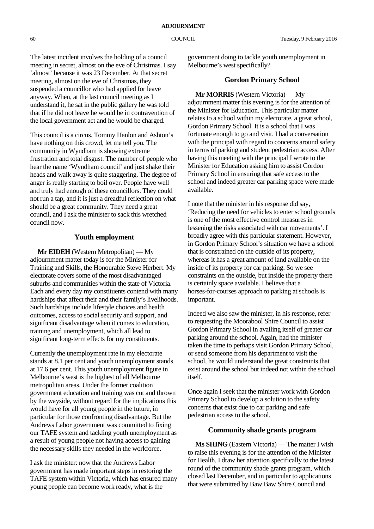The latest incident involves the holding of a council meeting in secret, almost on the eve of Christmas. I say 'almost' because it was 23 December. At that secret meeting, almost on the eve of Christmas, they suspended a councillor who had applied for leave anyway. When, at the last council meeting as I understand it, he sat in the public gallery he was told that if he did not leave he would be in contravention of the local government act and he would be charged.

This council is a circus. Tommy Hanlon and Ashton's have nothing on this crowd, let me tell you. The community in Wyndham is showing extreme frustration and total disgust. The number of people who hear the name 'Wyndham council' and just shake their heads and walk away is quite staggering. The degree of anger is really starting to boil over. People have well and truly had enough of these councillors. They could not run a tap, and it is just a dreadful reflection on what should be a great community. They need a great council, and I ask the minister to sack this wretched council now.

# **Youth employment**

**Mr EIDEH** (Western Metropolitan) — My adjournment matter today is for the Minister for Training and Skills, the Honourable Steve Herbert. My electorate covers some of the most disadvantaged suburbs and communities within the state of Victoria. Each and every day my constituents contend with many hardships that affect their and their family's livelihoods. Such hardships include lifestyle choices and health outcomes, access to social security and support, and significant disadvantage when it comes to education, training and unemployment, which all lead to significant long-term effects for my constituents.

Currently the unemployment rate in my electorate stands at 8.1 per cent and youth unemployment stands at 17.6 per cent. This youth unemployment figure in Melbourne's west is the highest of all Melbourne metropolitan areas. Under the former coalition government education and training was cut and thrown by the wayside, without regard for the implications this would have for all young people in the future, in particular for those confronting disadvantage. But the Andrews Labor government was committed to fixing our TAFE system and tackling youth unemployment as a result of young people not having access to gaining the necessary skills they needed in the workforce.

I ask the minister: now that the Andrews Labor government has made important steps in restoring the TAFE system within Victoria, which has ensured many young people can become work ready, what is the

government doing to tackle youth unemployment in Melbourne's west specifically?

# **Gordon Primary School**

**Mr MORRIS** (Western Victoria) — My adjournment matter this evening is for the attention of the Minister for Education. This particular matter relates to a school within my electorate, a great school, Gordon Primary School. It is a school that I was fortunate enough to go and visit. I had a conversation with the principal with regard to concerns around safety in terms of parking and student pedestrian access. After having this meeting with the principal I wrote to the Minister for Education asking him to assist Gordon Primary School in ensuring that safe access to the school and indeed greater car parking space were made available.

I note that the minister in his response did say, 'Reducing the need for vehicles to enter school grounds is one of the most effective control measures in lessening the risks associated with car movements'. I broadly agree with this particular statement. However, in Gordon Primary School's situation we have a school that is constrained on the outside of its property, whereas it has a great amount of land available on the inside of its property for car parking. So we see constraints on the outside, but inside the property there is certainly space available. I believe that a horses-for-courses approach to parking at schools is important.

Indeed we also saw the minister, in his response, refer to requesting the Moorabool Shire Council to assist Gordon Primary School in availing itself of greater car parking around the school. Again, had the minister taken the time to perhaps visit Gordon Primary School, or send someone from his department to visit the school, he would understand the great constraints that exist around the school but indeed not within the school itself.

Once again I seek that the minister work with Gordon Primary School to develop a solution to the safety concerns that exist due to car parking and safe pedestrian access to the school.

# **Community shade grants program**

**Ms SHING** (Eastern Victoria) — The matter I wish to raise this evening is for the attention of the Minister for Health. I draw her attention specifically to the latest round of the community shade grants program, which closed last December, and in particular to applications that were submitted by Baw Baw Shire Council and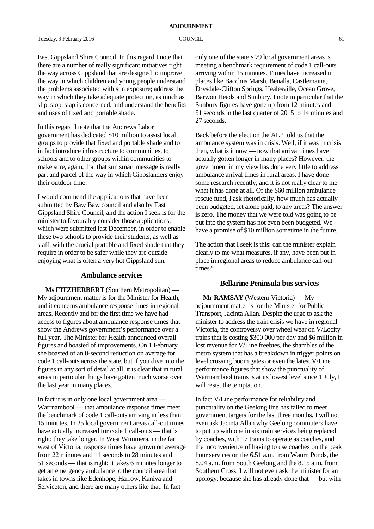East Gippsland Shire Council. In this regard I note that there are a number of really significant initiatives right the way across Gippsland that are designed to improve the way in which children and young people understand the problems associated with sun exposure; address the way in which they take adequate protection, as much as slip, slop, slap is concerned; and understand the benefits and uses of fixed and portable shade.

In this regard I note that the Andrews Labor government has dedicated \$10 million to assist local groups to provide that fixed and portable shade and to in fact introduce infrastructure to communities, to schools and to other groups within communities to make sure, again, that that sun smart message is really part and parcel of the way in which Gippslanders enjoy their outdoor time.

I would commend the applications that have been submitted by Baw Baw council and also by East Gippsland Shire Council, and the action I seek is for the minister to favourably consider those applications, which were submitted last December, in order to enable these two schools to provide their students, as well as staff, with the crucial portable and fixed shade that they require in order to be safer while they are outside enjoying what is often a very hot Gippsland sun.

## **Ambulance services**

**Ms FITZHERBERT** (Southern Metropolitan) — My adjournment matter is for the Minister for Health, and it concerns ambulance response times in regional areas. Recently and for the first time we have had access to figures about ambulance response times that show the Andrews government's performance over a full year. The Minister for Health announced overall figures and boasted of improvements. On 1 February she boasted of an 8-second reduction on average for code 1 call-outs across the state, but if you dive into the figures in any sort of detail at all, it is clear that in rural areas in particular things have gotten much worse over the last year in many places.

In fact it is in only one local government area — Warrnambool — that ambulance response times meet the benchmark of code 1 call-outs arriving in less than 15 minutes. In 25 local government areas call-out times have actually increased for code 1 call-outs — that is right; they take longer. In West Wimmera, in the far west of Victoria, response times have grown on average from 22 minutes and 11 seconds to 28 minutes and 51 seconds — that is right; it takes 6 minutes longer to get an emergency ambulance to the council area that takes in towns like Edenhope, Harrow, Kaniva and Serviceton, and there are many others like that. In fact

only one of the state's 79 local government areas is meeting a benchmark requirement of code 1 call-outs arriving within 15 minutes. Times have increased in places like Bacchus Marsh, Benalla, Castlemaine, Drysdale-Clifton Springs, Healesville, Ocean Grove, Barwon Heads and Sunbury. I note in particular that the Sunbury figures have gone up from 12 minutes and 51 seconds in the last quarter of 2015 to 14 minutes and 27 seconds.

Back before the election the ALP told us that the ambulance system was in crisis. Well, if it was in crisis then, what is it now — now that arrival times have actually gotten longer in many places? However, the government in my view has done very little to address ambulance arrival times in rural areas. I have done some research recently, and it is not really clear to me what it has done at all. Of the \$60 million ambulance rescue fund, I ask rhetorically, how much has actually been budgeted, let alone paid, to any areas? The answer is zero. The money that we were told was going to be put into the system has not even been budgeted. We have a promise of \$10 million sometime in the future.

The action that I seek is this: can the minister explain clearly to me what measures, if any, have been put in place in regional areas to reduce ambulance call-out times?

### **Bellarine Peninsula bus services**

**Mr RAMSAY** (Western Victoria) — My adjournment matter is for the Minister for Public Transport, Jacinta Allan. Despite the urge to ask the minister to address the train crisis we have in regional Victoria, the controversy over wheel wear on V/Locity trains that is costing \$300 000 per day and \$6 million in lost revenue for V/Line freebies, the shambles of the metro system that has a breakdown in trigger points on level crossing boom gates or even the latest V/Line performance figures that show the punctuality of Warrnambool trains is at its lowest level since 1 July, I will resist the temptation.

In fact V/Line performance for reliability and punctuality on the Geelong line has failed to meet government targets for the last three months. I will not even ask Jacinta Allan why Geelong commuters have to put up with one in six train services being replaced by coaches, with 17 trains to operate as coaches, and the inconvenience of having to use coaches on the peak hour services on the 6.51 a.m. from Waurn Ponds, the 8.04 a.m. from South Geelong and the 8.15 a.m. from Southern Cross. I will not even ask the minister for an apology, because she has already done that — but with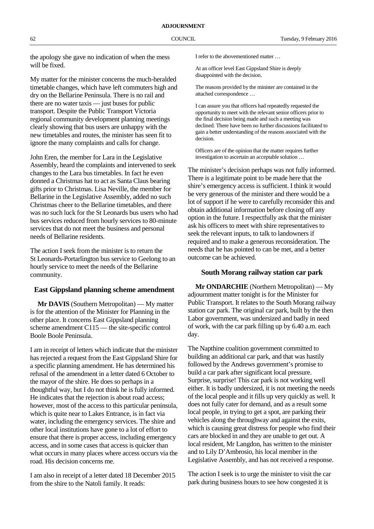the apology she gave no indication of when the mess will be fixed.

My matter for the minister concerns the much-heralded timetable changes, which have left commuters high and dry on the Bellarine Peninsula. There is no rail and there are no water taxis — just buses for public transport. Despite the Public Transport Victoria regional community development planning meetings clearly showing that bus users are unhappy with the new timetables and routes, the minister has seen fit to ignore the many complaints and calls for change.

John Eren, the member for Lara in the Legislative Assembly, heard the complaints and intervened to seek changes to the Lara bus timetables. In fact he even donned a Christmas hat to act as Santa Claus bearing gifts prior to Christmas. Lisa Neville, the member for Bellarine in the Legislative Assembly, added no such Christmas cheer to the Bellarine timetables, and there was no such luck for the St Leonards bus users who had bus services reduced from hourly services to 80-minute services that do not meet the business and personal needs of Bellarine residents.

The action I seek from the minister is to return the St Leonards-Portarlington bus service to Geelong to an hourly service to meet the needs of the Bellarine community.

# **East Gippsland planning scheme amendment**

**Mr DAVIS** (Southern Metropolitan) — My matter is for the attention of the Minister for Planning in the other place. It concerns East Gippsland planning scheme amendment C115 — the site-specific control Boole Boole Peninsula.

I am in receipt of letters which indicate that the minister has rejected a request from the East Gippsland Shire for a specific planning amendment. He has determined his refusal of the amendment in a letter dated 6 October to the mayor of the shire. He does so perhaps in a thoughtful way, but I do not think he is fully informed. He indicates that the rejection is about road access; however, most of the access to this particular peninsula, which is quite near to Lakes Entrance, is in fact via water, including the emergency services. The shire and other local institutions have gone to a lot of effort to ensure that there is proper access, including emergency access, and in some cases that access is quicker than what occurs in many places where access occurs via the road. His decision concerns me.

I am also in receipt of a letter dated 18 December 2015 from the shire to the Natoli family. It reads:

I refer to the abovementioned matter …

At an officer level East Gippsland Shire is deeply disappointed with the decision.

The reasons provided by the minister are contained in the attached correspondence …

I can assure you that officers had repeatedly requested the opportunity to meet with the relevant senior officers prior to the final decision being made and such a meeting was declined. There have been no further discussions facilitated to gain a better understanding of the reasons associated with the decision.

Officers are of the opinion that the matter requires further investigation to ascertain an acceptable solution …

The minister's decision perhaps was not fully informed. There is a legitimate point to be made here that the shire's emergency access is sufficient. I think it would be very generous of the minister and there would be a lot of support if he were to carefully reconsider this and obtain additional information before closing off any option in the future. I respectfully ask that the minister ask his officers to meet with shire representatives to seek the relevant inputs, to talk to landowners if required and to make a generous reconsideration. The needs that he has pointed to can be met, and a better outcome can be achieved.

# **South Morang railway station car park**

**Mr ONDARCHIE** (Northern Metropolitan) — My adjournment matter tonight is for the Minister for Public Transport. It relates to the South Morang railway station car park. The original car park, built by the then Labor government, was undersized and badly in need of work, with the car park filling up by 6.40 a.m. each day.

The Napthine coalition government committed to building an additional car park, and that was hastily followed by the Andrews government's promise to build a car park after significant local pressure. Surprise, surprise! This car park is not working well either. It is badly undersized, it is not meeting the needs of the local people and it fills up very quickly as well. It does not fully cater for demand, and as a result some local people, in trying to get a spot, are parking their vehicles along the throughway and against the exits, which is causing great distress for people who find their cars are blocked in and they are unable to get out. A local resident, Mr Langdon, has written to the minister and to Lily D'Ambrosio, his local member in the Legislative Assembly, and has not received a response.

The action I seek is to urge the minister to visit the car park during business hours to see how congested it is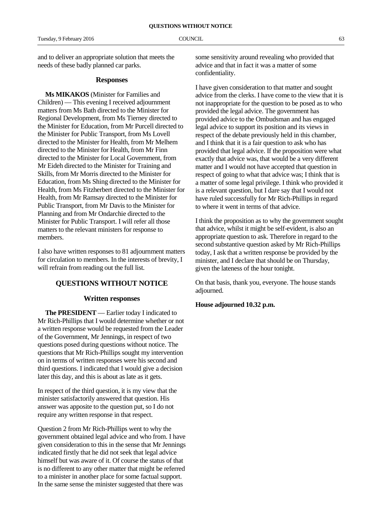and to deliver an appropriate solution that meets the needs of these badly planned car parks.

## **Responses**

**Ms MIKAKOS** (Minister for Families and Children) — This evening I received adjournment matters from Ms Bath directed to the Minister for Regional Development, from Ms Tierney directed to the Minister for Education, from Mr Purcell directed to the Minister for Public Transport, from Ms Lovell directed to the Minister for Health, from Mr Melhem directed to the Minister for Health, from Mr Finn directed to the Minister for Local Government, from Mr Eideh directed to the Minister for Training and Skills, from Mr Morris directed to the Minister for Education, from Ms Shing directed to the Minister for Health, from Ms Fitzherbert directed to the Minister for Health, from Mr Ramsay directed to the Minister for Public Transport, from Mr Davis to the Minister for Planning and from Mr Ondarchie directed to the Minister for Public Transport. I will refer all those matters to the relevant ministers for response to members.

I also have written responses to 81 adjournment matters for circulation to members. In the interests of brevity, I will refrain from reading out the full list.

## **QUESTIONS WITHOUT NOTICE**

## **Written responses**

**The PRESIDENT** — Earlier today I indicated to Mr Rich-Phillips that I would determine whether or not a written response would be requested from the Leader of the Government, Mr Jennings, in respect of two questions posed during questions without notice. The questions that Mr Rich-Phillips sought my intervention on in terms of written responses were his second and third questions. I indicated that I would give a decision later this day, and this is about as late as it gets.

In respect of the third question, it is my view that the minister satisfactorily answered that question. His answer was apposite to the question put, so I do not require any written response in that respect.

Question 2 from Mr Rich-Phillips went to why the government obtained legal advice and who from. I have given consideration to this in the sense that Mr Jennings indicated firstly that he did not seek that legal advice himself but was aware of it. Of course the status of that is no different to any other matter that might be referred to a minister in another place for some factual support. In the same sense the minister suggested that there was

some sensitivity around revealing who provided that advice and that in fact it was a matter of some confidentiality.

I have given consideration to that matter and sought advice from the clerks. I have come to the view that it is not inappropriate for the question to be posed as to who provided the legal advice. The government has provided advice to the Ombudsman and has engaged legal advice to support its position and its views in respect of the debate previously held in this chamber, and I think that it is a fair question to ask who has provided that legal advice. If the proposition were what exactly that advice was, that would be a very different matter and I would not have accepted that question in respect of going to what that advice was; I think that is a matter of some legal privilege. I think who provided it is a relevant question, but I dare say that I would not have ruled successfully for Mr Rich-Phillips in regard to where it went in terms of that advice.

I think the proposition as to why the government sought that advice, whilst it might be self-evident, is also an appropriate question to ask. Therefore in regard to the second substantive question asked by Mr Rich-Phillips today, I ask that a written response be provided by the minister, and I declare that should be on Thursday, given the lateness of the hour tonight.

On that basis, thank you, everyone. The house stands adjourned.

**House adjourned 10.32 p.m.**